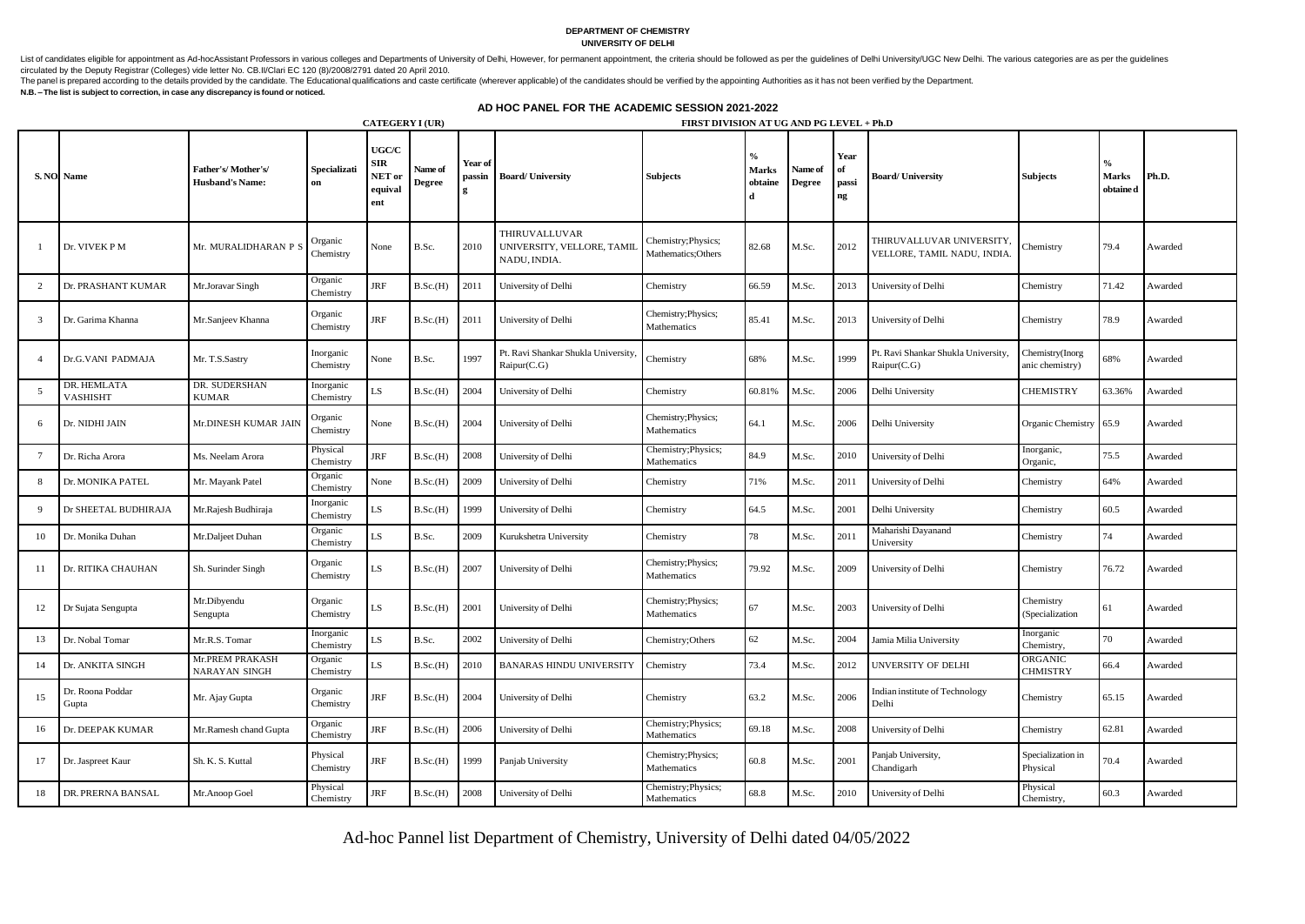## **DEPARTMENT OF CHEMISTRY UNIVERSITY OF DELHI**

List of candidates eligible for appointment as Ad-hocAssistant Professors in various colleges and Departments of University of Delhi, However, for permanent appointment, the criteria should be followed as per the guideline circulated by the Deputy Registrar (Colleges) vide letter No. CB.II/Clari EC 120 (8)/2008/2791 dated 20 April 2010.

The panel is prepared according to the details provided by the candidate. The Educational qualifications and caste certificate (wherever applicable) of the candidates should be verified by the appointing Authorities as it

**N.B. –The list is subject to correction, in case any discrepancy is found or noticed.**

## **AD HOC PANEL FOR THE ACADEMIC SESSION 2021-2022**

**CATEGERY I (UR) FIRST DIVISION AT UG AND PG LEVEL + Ph.D**

|                | S. NO. Name                    | Father's/Mother's/<br><b>Husband's Name:</b> | Specializati<br>on     | UGC/C<br>SIR<br>NET o<br>equival<br>ent | Name of<br><b>Degree</b> | Year of<br>passin | <b>Board/University</b>                                     | <b>Subjects</b>                           | $\mathbf{0}_{\Lambda}$<br>Marks<br>obtaine | Name of<br>Degree | Year<br>of<br>passi<br>ng | <b>Board/University</b>                                  | <b>Subjects</b>                    | Marks<br>obtaine d | Ph.D.   |
|----------------|--------------------------------|----------------------------------------------|------------------------|-----------------------------------------|--------------------------|-------------------|-------------------------------------------------------------|-------------------------------------------|--------------------------------------------|-------------------|---------------------------|----------------------------------------------------------|------------------------------------|--------------------|---------|
| -1             | Dr. VIVEK PM                   | Mr. MURALIDHARAN P                           | Organic<br>Chemistry   | None                                    | B.Sc.                    | 2010              | THIRUVALLUVAR<br>UNIVERSITY, VELLORE, TAMIL<br>NADU, INDIA. | Chemistry; Physics;<br>Mathematics;Others | 82.68                                      | M.Sc.             | 2012                      | THIRUVALLUVAR UNIVERSITY,<br>VELLORE, TAMIL NADU, INDIA. | Chemistry                          | 79.4               | Awarded |
| 2              | Dr. PRASHANT KUMAR             | Mr.Joravar Singh                             | Organic<br>Chemistry   | JRF                                     | B.Sc.(H)                 | 2011              | University of Delhi                                         | Chemistry                                 | 66.59                                      | M.Sc.             | 2013                      | University of Delhi                                      | Chemistry                          | 71.42              | Awarded |
| 3              | Dr. Garima Khanna              | Mr.Sanjeev Khanna                            | Organic<br>Chemistry   | JRF                                     | B.Sc.(H)                 | 2011              | University of Delhi                                         | Chemistry; Physics;<br>Mathematics        | 85.41                                      | M.Sc.             | 2013                      | University of Delhi                                      | Chemistry                          | 78.9               | Awarded |
| $\overline{4}$ | Dr.G.VANI PADMAJA              | Mr. T.S.Sastry                               | Inorganic<br>Chemistry | None                                    | B.Sc.                    | 1997              | Pt. Ravi Shankar Shukla University<br>Raipur(C.G)           | Chemistry                                 | 68%                                        | M.Sc.             | 1999                      | Pt. Ravi Shankar Shukla University,<br>Raipur(C.G)       | Chemistry(Inorg<br>anic chemistry) | 68%                | Awarded |
| 5              | DR. HEMLATA<br><b>VASHISHT</b> | DR. SUDERSHAN<br><b>KUMAR</b>                | Inorganic<br>Chemistry | LS                                      | B.Sc.(H)                 | 2004              | University of Delhi                                         | Chemistry                                 | 60.81%                                     | M.Sc.             | 2006                      | Delhi University                                         | <b>CHEMISTRY</b>                   | 63.36%             | Awarded |
| 6              | Dr. NIDHI JAIN                 | Mr.DINESH KUMAR JAIN                         | Organic<br>Chemistry   | None                                    | B.Sc.(H)                 | 2004              | University of Delhi                                         | Chemistry; Physics;<br>Mathematics        | 64.1                                       | M.Sc.             | 2006                      | Delhi University                                         | Organic Chemistry                  | 65.9               | Awarded |
| 7              | Dr. Richa Arora                | Ms. Neelam Arora                             | Physical<br>Chemistry  | JRF                                     | B.Sc.(H)                 | 2008              | University of Delhi                                         | Chemistry; Physics;<br>Mathematics        | 84.9                                       | M.Sc.             | 2010                      | University of Delhi                                      | Inorganic,<br>Organic,             | 75.5               | Awarded |
| 8              | Dr. MONIKA PATEL               | Mr. Mayank Patel                             | Organic<br>Chemistry   | None                                    | B.Sc.(H)                 | 2009              | University of Delhi                                         | Chemistry                                 | 71%                                        | M.Sc.             | 2011                      | University of Delhi                                      | Chemistry                          | 64%                | Awarded |
| 9              | Dr SHEETAL BUDHIRAJA           | Mr.Rajesh Budhiraja                          | Inorganic<br>Chemistry | $\overline{\mathbf{S}}$                 | B.Sc.(H)                 | 1999              | University of Delhi                                         | Chemistry                                 | 64.5                                       | M.Sc.             | 2001                      | Delhi University                                         | Chemistry                          | 60.5               | Awarded |
| 10             | Dr. Monika Duhan               | Mr.Daljeet Duhan                             | Organic<br>Chemistry   | LS                                      | B.Sc.                    | 2009              | Kurukshetra University                                      | Chemistry                                 | 78                                         | M.Sc.             | 2011                      | Maharishi Dayanand<br>University                         | Chemistry                          | 74                 | Awarded |
| 11             | Dr. RITIKA CHAUHAN             | Sh. Surinder Singh                           | Organic<br>Chemistry   | LS                                      | B.Sc.(H)                 | 2007              | University of Delhi                                         | Chemistry; Physics;<br>Mathematics        | 79.92                                      | M.Sc.             | 2009                      | University of Delhi                                      | Chemistry                          | 76.72              | Awarded |
| 12             | Dr Sujata Sengupta             | Mr.Dibyendu<br>Sengupta                      | Organic<br>Chemistry   | LS                                      | B.Sc.(H)                 | 2001              | University of Delhi                                         | Chemistry; Physics;<br>Mathematics        | 67                                         | M.Sc.             | 2003                      | University of Delhi                                      | Chemistry<br>(Specialization       | 61                 | Awarded |
| 13             | Dr. Nobal Tomar                | Mr.R.S. Tomar                                | Inorganic<br>Chemistry | LS                                      | B.Sc.                    | 2002              | University of Delhi                                         | Chemistry; Others                         | 62                                         | M.Sc.             | 2004                      | Jamia Milia University                                   | Inorganic<br>Chemistry,            | 70                 | Awarded |
| 14             | Dr. ANKITA SINGH               | Mr.PREM PRAKASH<br><b>NARAYAN SINGH</b>      | Organic<br>Chemistry   | LS                                      | B.Sc.(H)                 | 2010              | <b>BANARAS HINDU UNIVERSITY</b>                             | Chemistry                                 | 73.4                                       | M.Sc.             | 2012                      | UNVERSITY OF DELHI                                       | ORGANIC<br><b>CHMISTRY</b>         | 66.4               | Awarded |
| 15             | Dr. Roona Poddar<br>Gupta      | Mr. Ajay Gupta                               | Organic<br>Chemistry   | JRF                                     | B.Sc.(H)                 | 2004              | University of Delhi                                         | Chemistry                                 | 63.2                                       | M.Sc.             | 2006                      | ndian institute of Technology<br>Delhi                   | Chemistry                          | 65.15              | Awarded |
| 16             | Dr. DEEPAK KUMAR               | Mr.Ramesh chand Gupta                        | Organic<br>Chemistry   | JRF                                     | B.Sc.(H)                 | 2006              | University of Delhi                                         | Chemistry; Physics;<br>Mathematics        | 69.18                                      | M.Sc.             | 2008                      | Jniversity of Delhi                                      | Chemistry                          | 62.81              | Awarded |
| 17             | Dr. Jaspreet Kaur              | Sh. K. S. Kuttal                             | Physical<br>Chemistry  | JRF                                     | B.Sc.(H)                 | 1999              | Panjab University                                           | Chemistry; Physics;<br>Mathematics        | 60.8                                       | M.Sc.             | 2001                      | Panjab University,<br>Chandigarh                         | Specialization in<br>Physical      | 70.4               | Awarded |
| 18             | DR. PRERNA BANSAL              | Mr.Anoop Goel                                | Physical<br>Chemistry  | JRF                                     | B.Sc.(H)                 | 2008              | University of Delhi                                         | Chemistry; Physics;<br>Mathematics        | 68.8                                       | M.Sc.             | 2010                      | University of Delhi                                      | Physical<br>Chemistry.             | 60.3               | Awarded |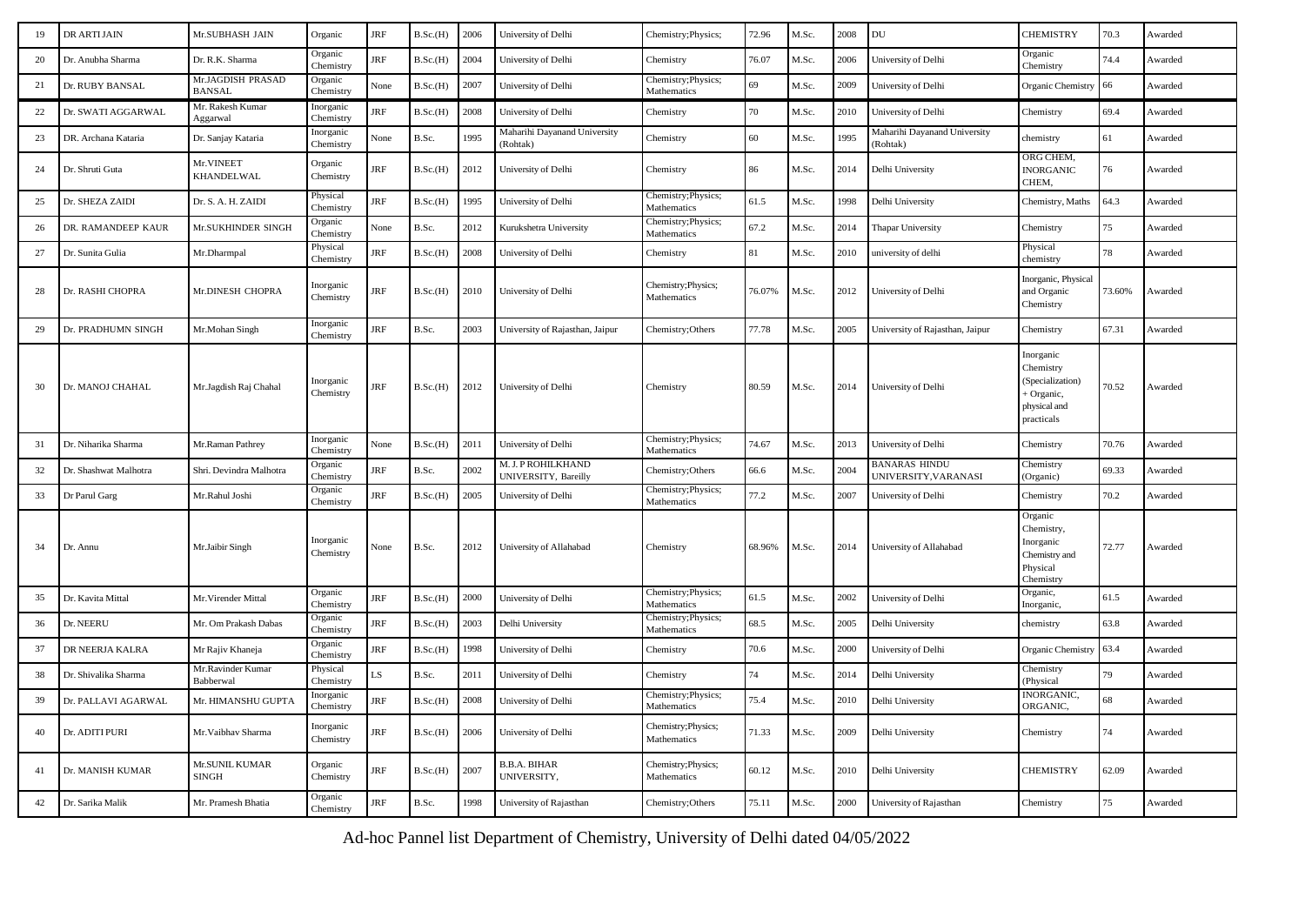| 19 | DR ARTI JAIN          | Mr.SUBHASH JAIN                    | Organic                | JRF        | B.Sc.(H) | 2006 | University of Delhi                        | Chemistry; Physics;                | 72.96  | M.Sc. | 2008 | DU                                           | <b>CHEMISTRY</b>                                                                       | 70.3   | Awarded |
|----|-----------------------|------------------------------------|------------------------|------------|----------|------|--------------------------------------------|------------------------------------|--------|-------|------|----------------------------------------------|----------------------------------------------------------------------------------------|--------|---------|
| 20 | Dr. Anubha Sharma     | Dr. R.K. Sharma                    | Organic<br>Chemistry   | <b>IRF</b> | B.Sc.(H) | 2004 | University of Delhi                        | Chemistry                          | 76.07  | M.Sc. | 2006 | University of Delhi                          | Organic<br>Chemistry                                                                   | 74.4   | Awarded |
| 21 | Dr. RUBY BANSAL       | Mr.JAGDISH PRASAD<br><b>BANSAL</b> | Organic<br>Chemistry   | None       | B.Sc.(H) | 2007 | University of Delhi                        | Chemistry; Physics;<br>Mathematics | 69     | M.Sc. | 2009 | University of Delhi                          | Organic Chemistry                                                                      | 66     | Awarded |
| 22 | Dr. SWATI AGGARWAL    | Mr. Rakesh Kumar<br>Aggarwal       | Inorganic<br>Chemistry | JRF        | B.Sc.(H) | 2008 | University of Delhi                        | Chemistry                          | 70     | M.Sc. | 2010 | University of Delhi                          | Chemistry                                                                              | 69.4   | Awarded |
| 23 | DR. Archana Kataria   | Dr. Sanjay Kataria                 | Inorganic<br>Chemistry | None       | B.Sc.    | 1995 | Maharihi Dayanand University<br>(Rohtak)   | Chemistry                          | 60     | M.Sc. | 1995 | Maharihi Dayanand University<br>Rohtak)      | chemistry                                                                              | 61     | Awarded |
| 24 | Dr. Shruti Guta       | Mr. VINEET<br>KHANDELWAL           | Organic<br>Chemistry   | JRF        | B.Sc.(H) | 2012 | University of Delhi                        | Chemistry                          | 86     | M.Sc. | 2014 | Delhi University                             | ORG CHEM,<br><b>INORGANIC</b><br>CHEM.                                                 | 76     | Awarded |
| 25 | Dr. SHEZA ZAIDI       | Dr. S. A. H. ZAIDI                 | Physical<br>Chemistry  | JRF        | B.Sc.(H) | 1995 | University of Delhi                        | Chemistry; Physics;<br>Mathematics | 61.5   | M.Sc. | 1998 | Delhi University                             | Chemistry, Maths                                                                       | 64.3   | Awarded |
| 26 | DR. RAMANDEEP KAUR    | Mr.SUKHINDER SINGH                 | Organic<br>Chemistry   | None       | B.Sc.    | 2012 | Kurukshetra University                     | Chemistry; Physics;<br>Mathematics | 67.2   | M.Sc. | 2014 | Thapar University                            | Chemistry                                                                              | 75     | Awarded |
| 27 | Dr. Sunita Gulia      | Mr.Dharmpal                        | Physical<br>Chemistry  | IRF        | B.Sc.(H) | 2008 | University of Delhi                        | Chemistry                          | 81     | M.Sc. | 2010 | university of delhi                          | Physical<br>chemistry                                                                  | 78     | Awarded |
| 28 | Dr. RASHI CHOPRA      | Mr.DINESH CHOPRA                   | Inorganic<br>Chemistry | IRF        | B.Sc.(H) | 2010 | University of Delhi                        | Chemistry; Physics;<br>Mathematics | 76.07% | M.Sc. | 2012 | University of Delhi                          | Inorganic, Physical<br>and Organic<br>Chemistry                                        | 73.60% | Awarded |
| 29 | Dr. PRADHUMN SINGH    | Mr.Mohan Singh                     | Inorganic<br>Chemistry | IRF        | B.Sc.    | 2003 | University of Rajasthan, Jaipur            | Chemistry; Others                  | 77.78  | M.Sc. | 2005 | University of Rajasthan, Jaipur              | Chemistry                                                                              | 67.31  | Awarded |
| 30 | Dr. MANOJ CHAHAL      | Mr.Jagdish Raj Chahal              | Inorganic<br>Chemistry | JRF        | B.Sc.(H) | 2012 | University of Delhi                        | Chemistry                          | 80.59  | M.Sc. | 2014 | University of Delhi                          | Inorganic<br>Chemistry<br>(Specialization)<br>- Organic,<br>physical and<br>practicals | 70.52  | Awarded |
| 31 | Dr. Niharika Sharma   | Mr.Raman Pathrey                   | Inorganic<br>Chemistry | None       | B.Sc.(H) | 2011 | University of Delhi                        | Chemistry; Physics;<br>Mathematics | 74.67  | M.Sc. | 2013 | University of Delhi                          | Chemistry                                                                              | 70.76  | Awarded |
| 32 | Dr. Shashwat Malhotra | Shri. Devindra Malhotra            | Organic<br>Chemistry   | IRF        | B.Sc.    | 2002 | M. J. P ROHILKHAND<br>UNIVERSITY, Bareilly | Chemistry; Others                  | 66.6   | M.Sc. | 2004 | <b>BANARAS HINDU</b><br>UNIVERSITY, VARANASI | Chemistry<br>(Organic)                                                                 | 69.33  | Awarded |
| 33 | Dr Parul Garg         | Mr.Rahul Joshi                     | Organic<br>Chemistry   | IRF        | B.Sc.(H) | 2005 | University of Delhi                        | Chemistry; Physics;<br>Mathematics | 77.2   | M.Sc. | 2007 | University of Delhi                          | Chemistry                                                                              | 70.2   | Awarded |
| 34 | Dr. Annu              | Mr.Jaibir Singh                    | Inorganic<br>Chemistry | None       | B.Sc.    | 2012 | University of Allahabad                    | Chemistry                          | 68.96% | M.Sc. | 2014 | University of Allahabad                      | Organic<br>Chemistry,<br>Inorganic<br>Chemistry and<br>Physical<br>Chemistry           | 72.77  | Awarded |
| 35 | Dr. Kavita Mittal     | Mr. Virender Mittal                | Organic<br>Chemistry   | JRF        | B.Sc.(H) | 2000 | University of Delhi                        | Chemistry; Physics;<br>Mathematics | 61.5   | M.Sc. | 2002 | University of Delhi                          | Organic,<br>Inorganic,                                                                 | 61.5   | Awarded |
| 36 | Dr. NEERU             | Mr. Om Prakash Dabas               | Organic<br>Chemistry   | IRF        | B.Sc.(H) | 2003 | Delhi University                           | Chemistry; Physics;<br>Mathematics | 68.5   | M.Sc. | 2005 | Delhi University                             | chemistry                                                                              | 63.8   | Awarded |
| 37 | DR NEERJA KALRA       | Mr Rajiv Khaneja                   | Organic<br>Chemistry   | <b>IRF</b> | B.Sc.(H) | 1998 | University of Delhi                        | Chemistry                          | 70.6   | M.Sc. | 2000 | University of Delhi                          | Organic Chemistry                                                                      | 63.4   | Awarded |
| 38 | Dr. Shivalika Sharma  | Mr.Ravinder Kumar<br>Babberwal     | Physical<br>Chemistry  | LS         | B.Sc.    | 2011 | Jniversity of Delhi                        | Chemistry                          | 74     | M.Sc. | 2014 | Delhi University                             | Chemistry<br>(Physical                                                                 | 79     | Awarded |
| 39 | Dr. PALLAVI AGARWAL   | Mr. HIMANSHU GUPTA                 | Inorganic<br>Chemistry | IRF        | B.Sc.(H) | 2008 | University of Delhi                        | Chemistry; Physics;<br>Mathematics | 75.4   | M.Sc. | 2010 | Delhi University                             | INORGANIC,<br>ORGANIC,                                                                 | 68     | Awarded |
| 40 | Dr. ADITI PURI        | Mr. Vaibhav Sharma                 | Inorganic<br>Chemistry | IRF        | B.Sc.(H) | 2006 | University of Delhi                        | Chemistry; Physics;<br>Mathematics | 71.33  | M.Sc. | 2009 | Delhi University                             | Chemistry                                                                              | 74     | Awarded |
| 41 | Dr. MANISH KUMAR      | Mr.SUNIL KUMAR<br>SINGH            | Organic<br>Chemistry   | <b>IRF</b> | B.Sc.(H) | 2007 | <b>B.B.A. BIHAR</b><br>UNIVERSITY,         | Chemistry; Physics;<br>Mathematics | 60.12  | M.Sc. | 2010 | Delhi University                             | <b>CHEMISTRY</b>                                                                       | 62.09  | Awarded |
| 42 | Dr. Sarika Malik      | Mr. Pramesh Bhatia                 | Organic<br>Chemistry   | IRF        | B.Sc.    | 1998 | University of Rajasthan                    | Chemistry; Others                  | 75.11  | M.Sc. | 2000 | University of Rajasthan                      | Chemistry                                                                              | 75     | Awarded |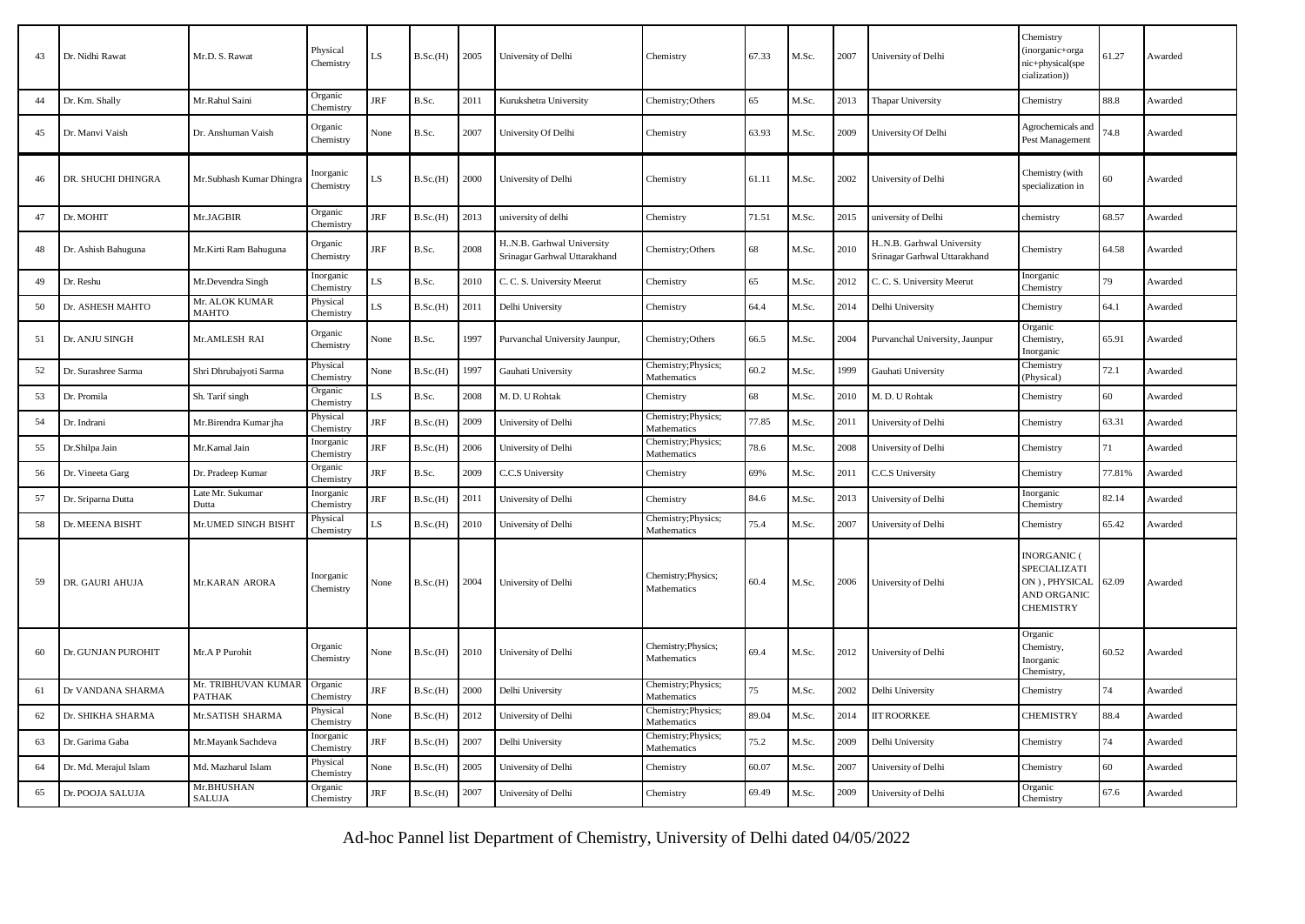| 43 | Dr. Nidhi Rawat       | Mr.D. S. Rawat                       | Physical<br>Chemistry  | LS         | B.Sc.(H) | 2005 | University of Delhi                                      | Chemistry                          | 67.33 | M.Sc. | 2007 | University of Delhi                                       | Chemistry<br>inorganic+orga<br>nic+physical(spe<br>cialization))                       | 51.27  | Awarded |
|----|-----------------------|--------------------------------------|------------------------|------------|----------|------|----------------------------------------------------------|------------------------------------|-------|-------|------|-----------------------------------------------------------|----------------------------------------------------------------------------------------|--------|---------|
| 44 | Dr. Km. Shally        | Mr.Rahul Saini                       | Organic<br>Chemistry   | <b>JRF</b> | B.Sc.    | 2011 | Kurukshetra University                                   | Chemistry; Others                  | 65    | M.Sc. | 2013 | Thapar University                                         | Chemistry                                                                              | 88.8   | Awarded |
| 45 | Dr. Manvi Vaish       | Dr. Anshuman Vaish                   | Organic<br>Chemistry   | None       | B.Sc.    | 2007 | University Of Delhi                                      | Chemistry                          | 63.93 | M.Sc. | 2009 | University Of Delhi                                       | Agrochemicals and<br>Pest Management                                                   | 74.8   | Awarded |
| 46 | DR. SHUCHI DHINGRA    | Mr.Subhash Kumar Dhingra             | Inorganic<br>Chemistry | LS         | B.Sc.(H) | 2000 | University of Delhi                                      | Chemistry                          | 61.11 | M.Sc. | 2002 | University of Delhi                                       | Chemistry (with<br>specialization in                                                   | 60     | Awarded |
| 47 | Dr. MOHIT             | Mr.JAGBIR                            | Organic<br>Chemistry   | $\rm JRF$  | B.Sc.(H) | 2013 | university of delhi                                      | Chemistry                          | 71.51 | M.Sc. | 2015 | university of Delhi                                       | chemistry                                                                              | 68.57  | Awarded |
| 48 | Dr. Ashish Bahuguna   | Mr.Kirti Ram Bahuguna                | Organic<br>Chemistry   | $\rm JRF$  | B.Sc.    | 2008 | HN.B. Garhwal University<br>Srinagar Garhwal Uttarakhand | Chemistry; Others                  | 68    | M.Sc. | 2010 | H.N.B. Garhwal University<br>Srinagar Garhwal Uttarakhand | Chemistry                                                                              | 54.58  | Awarded |
| 49 | Dr. Reshu             | Mr.Devendra Singh                    | Inorganic<br>Chemistry | LS         | B.Sc.    | 2010 | C. C. S. University Meerut                               | Chemistry                          | 65    | M.Sc. | 2012 | C. C. S. University Meerut                                | Inorganic<br>Chemistry                                                                 | 79     | Awarded |
| 50 | Dr. ASHESH MAHTO      | Mr. ALOK KUMAR<br>MAHTO              | Physical<br>Chemistry  | LS         | B.Sc.(H) | 2011 | Delhi University                                         | Chemistry                          | 64.4  | M.Sc. | 2014 | Delhi University                                          | Chemistry                                                                              | 64.1   | Awarded |
| 51 | Dr. ANJU SINGH        | Mr.AMLESH RAI                        | Organic<br>Chemistry   | None       | B.Sc.    | 1997 | Purvanchal University Jaunpur,                           | Chemistry; Others                  | 66.5  | M.Sc. | 2004 | Purvanchal University, Jaunpur                            | Organic<br>Chemistry,<br>Inorganic                                                     | 65.91  | Awarded |
| 52 | Dr. Surashree Sarma   | Shri Dhrubajyoti Sarma               | Physical<br>Chemistry  | None       | B.Sc.(H) | 1997 | Gauhati University                                       | Chemistry; Physics;<br>Mathematics | 60.2  | M.Sc. | 1999 | Gauhati University                                        | Chemistry<br>(Physical)                                                                | 72.1   | Awarded |
| 53 | Dr. Promila           | Sh. Tarif singh                      | Organic<br>Chemistry   | LS         | B.Sc.    | 2008 | M. D. U Rohtak                                           | Chemistry                          | 68    | M.Sc. | 2010 | M. D. U Rohtak                                            | Chemistry                                                                              | 60     | Awarded |
| 54 | Dr. Indrani           | Mr.Birendra Kumar jha                | Physical<br>Chemistry  | <b>JRF</b> | B.Sc.(H) | 2009 | University of Delhi                                      | Chemistry; Physics;<br>Mathematics | 77.85 | M.Sc. | 2011 | University of Delhi                                       | Chemistry                                                                              | 63.31  | Awarded |
| 55 | Dr.Shilpa Jain        | Mr.Kamal Jain                        | Inorganic<br>Chemistry | $\rm JRF$  | B.Sc.(H) | 2006 | University of Delhi                                      | Chemistry; Physics;<br>Mathematics | 78.6  | M.Sc. | 2008 | University of Delhi                                       | Chemistry                                                                              | 71     | Awarded |
| 56 | Dr. Vineeta Garg      | Dr. Pradeep Kumar                    | Organic<br>Chemistry   | <b>JRF</b> | B.Sc.    | 2009 | C.C.S University                                         | Chemistry                          | 69%   | M.Sc. | 2011 | C.C.S University                                          | Chemistry                                                                              | 77.81% | Awarded |
| 57 | Dr. Sriparna Dutta    | Late Mr. Sukumar<br>Dutta            | Inorganic<br>Chemistry | <b>JRF</b> | B.Sc.(H) | 2011 | University of Delhi                                      | Chemistry                          | 84.6  | M.Sc. | 2013 | University of Delhi                                       | Inorganic<br>Chemistry                                                                 | 32.14  | Awarded |
| 58 | Dr. MEENA BISHT       | Mr.UMED SINGH BISHT                  | Physical<br>Chemistry  | LS         | B.Sc.(H) | 2010 | University of Delhi                                      | Chemistry; Physics;<br>Mathematics | 75.4  | M.Sc. | 2007 | University of Delhi                                       | Chemistry                                                                              | 65.42  | Awarded |
| 59 | DR. GAURI AHUJA       | Mr.KARAN ARORA                       | Inorganic<br>Chemistry | None       | B.Sc.(H) | 2004 | University of Delhi                                      | Chemistry; Physics;<br>Mathematics | 60.4  | M.Sc. | 2006 | University of Delhi                                       | <b>INORGANIC (</b><br>SPECIALIZATI<br>ON), PHYSICAL<br>AND ORGANIC<br><b>CHEMISTRY</b> | 52.09  | Awarded |
| 60 | Dr. GUNJAN PUROHIT    | Mr.A P Purohit                       | Organic<br>Chemistry   | None       | B.Sc.(H) | 2010 | University of Delhi                                      | Chemistry; Physics;<br>Mathematics | 69.4  | M.Sc. | 2012 | University of Delhi                                       | Organic<br>Chemistry,<br>Inorganic<br>Chemistry                                        | 60.52  | Awarded |
| 61 | Dr VANDANA SHARMA     | Mr. TRIBHUVAN KUMAR<br><b>PATHAK</b> | Organic<br>Chemistry   | <b>JRF</b> | B.Sc.(H) | 2000 | Delhi University                                         | Chemistry; Physics;<br>Mathematics | 75    | M.Sc. | 2002 | Delhi University                                          | Chemistry                                                                              | 74     | Awarded |
| 62 | Dr. SHIKHA SHARMA     | Mr.SATISH SHARMA                     | Physical<br>Chemistry  | None       | B.Sc.(H) | 2012 | University of Delhi                                      | Chemistry; Physics;<br>Mathematics | 89.04 | M.Sc. | 2014 | <b>IIT ROORKEE</b>                                        | <b>CHEMISTRY</b>                                                                       | 88.4   | Awarded |
| 63 | Dr. Garima Gaba       | Mr.Mayank Sachdeva                   | Inorganic<br>Chemistry | <b>JRF</b> | B.Sc.(H) | 2007 | Delhi University                                         | Chemistry; Physics;<br>Mathematics | 75.2  | M.Sc. | 2009 | Delhi University                                          | Chemistry                                                                              | 74     | Awarded |
| 64 | Dr. Md. Merajul Islam | Md. Mazharul Islam                   | Physical<br>Chemistry  | None       | B.Sc.(H) | 2005 | University of Delhi                                      | Chemistry                          | 60.07 | M.Sc. | 2007 | University of Delhi                                       | Chemistry                                                                              | 60     | Awarded |
| 65 | Dr. POOJA SALUJA      | Mr.BHUSHAN<br><b>SALUJA</b>          | Organic<br>Chemistry   | <b>JRF</b> | B.Sc.(H) | 2007 | University of Delhi                                      | Chemistry                          | 69.49 | M.Sc. | 2009 | University of Delhi                                       | Organic<br>Chemistry                                                                   | 67.6   | Awarded |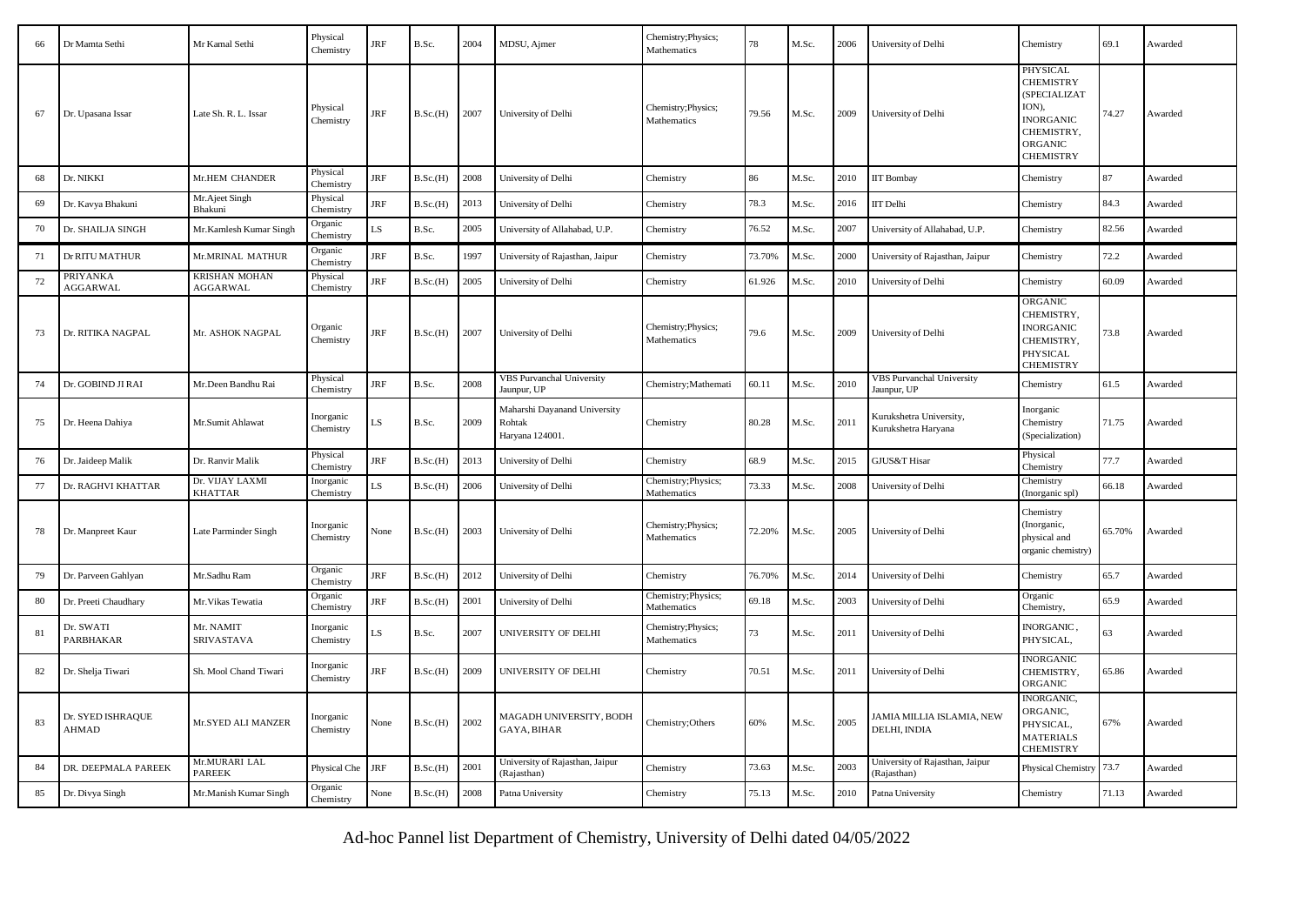| 66 | Dr Mamta Sethi                    | Mr Kamal Sethi                    | Physical<br>Chemistry  | <b>JRF</b> | B.Sc.    | 2004 | MDSU, Ajmer                                               | Chemistry; Physics;<br>Mathematics | 78     | M.Sc. | 2006 | University of Delhi                             | Chemistry                                                                                                              | 69.1   | Awarded |
|----|-----------------------------------|-----------------------------------|------------------------|------------|----------|------|-----------------------------------------------------------|------------------------------------|--------|-------|------|-------------------------------------------------|------------------------------------------------------------------------------------------------------------------------|--------|---------|
| 67 | Dr. Upasana Issar                 | Late Sh. R. L. Issar              | Physical<br>Chemistry  | JRF        | B.Sc.(H) | 2007 | University of Delhi                                       | Chemistry; Physics;<br>Mathematics | 79.56  | M.Sc. | 2009 | University of Delhi                             | PHYSICAL<br><b>CHEMISTRY</b><br>(SPECIALIZAT<br>ION),<br><b>INORGANIC</b><br>CHEMISTRY,<br>ORGANIC<br><b>CHEMISTRY</b> | 74.27  | Awarded |
| 68 | Dr. NIKKI                         | Mr.HEM CHANDER                    | Physical<br>Chemistry  | <b>JRF</b> | B.Sc.(H) | 2008 | University of Delhi                                       | Chemistry                          | 86     | M.Sc. | 2010 | <b>IIT Bombay</b>                               | Chemistry                                                                                                              | 87     | Awarded |
| 69 | Dr. Kavya Bhakuni                 | Mr.Ajeet Singh<br>Bhakuni         | Physical<br>Chemistry  | JRF        | B.Sc.(H) | 2013 | University of Delhi                                       | Chemistry                          | 78.3   | M.Sc. | 2016 | <b>IIT</b> Delhi                                | Chemistry                                                                                                              | 84.3   | Awarded |
| 70 | Dr. SHAILJA SINGH                 | Mr. Kamlesh Kumar Singh           | Organic<br>Chemistry   | LS.        | B.Sc.    | 2005 | University of Allahabad, U.P.                             | Chemistry                          | 76.52  | M.Sc. | 2007 | University of Allahabad, U.P.                   | Chemistry                                                                                                              | 82.56  | Awarded |
| 71 | Dr RITU MATHUR                    | Mr.MRINAL MATHUR                  | Organic<br>Chemistry   | JRF        | B.Sc.    | 1997 | University of Rajasthan, Jaipur                           | Chemistry                          | 73.70% | M.Sc. | 2000 | University of Rajasthan, Jaipur                 | Chemistry                                                                                                              | 72.2   | Awarded |
| 72 | PRIYANKA<br><b>AGGARWAL</b>       | KRISHAN MOHAN<br>AGGARWAL         | Physical<br>Chemistry  | <b>JRF</b> | B.Sc.(H) | 2005 | University of Delhi                                       | Chemistry                          | 61.926 | M.Sc. | 2010 | University of Delhi                             | Chemistry                                                                                                              | 60.09  | Awarded |
| 73 | Dr. RITIKA NAGPAL                 | Mr. ASHOK NAGPAL                  | Organic<br>Chemistry   | <b>JRF</b> | B.Sc.(H) | 2007 | University of Delhi                                       | Chemistry; Physics;<br>Mathematics | 79.6   | M.Sc. | 2009 | University of Delhi                             | ORGANIC<br>CHEMISTRY,<br><b>INORGANIC</b><br>CHEMISTRY,<br>PHYSICAL<br><b>CHEMISTRY</b>                                | 73.8   | Awarded |
| 74 | Dr. GOBIND JI RAI                 | Mr.Deen Bandhu Rai                | Physical<br>Chemistry  | <b>JRF</b> | B.Sc.    | 2008 | <b>VBS Purvanchal University</b><br>Jaunpur, UP           | Chemistry; Mathemati               | 60.11  | M.Sc. | 2010 | <b>VBS Purvanchal University</b><br>Jaunpur, UP | Chemistry                                                                                                              | 61.5   | Awarded |
| 75 | Dr. Heena Dahiya                  | Mr.Sumit Ahlawat                  | Inorganic<br>Chemistry | LS.        | B.Sc.    | 2009 | Maharshi Dayanand University<br>Rohtak<br>Haryana 124001. | Chemistry                          | 80.28  | M.Sc. | 2011 | Kurukshetra University,<br>Kurukshetra Haryana  | Inorganic<br>Chemistry<br>(Specialization)                                                                             | 71.75  | Awarded |
| 76 | Dr. Jaideep Malik                 | Dr. Ranvir Malik                  | Physical<br>Chemistry  | JRF        | B.Sc.(H) | 2013 | University of Delhi                                       | Chemistry                          | 68.9   | M.Sc. | 2015 | GJUS&T Hisar                                    | Physical<br>Chemistry                                                                                                  | 77.7   | Awarded |
| 77 | Dr. RAGHVI KHATTAR                | Dr. VIJAY LAXMI<br><b>KHATTAR</b> | Inorganic<br>Chemistry | LS         | B.Sc.(H) | 2006 | University of Delhi                                       | Chemistry; Physics;<br>Mathematics | 73.33  | M.Sc. | 2008 | University of Delhi                             | Chemistry<br>(Inorganic spl)                                                                                           | 66.18  | Awarded |
| 78 | Dr. Manpreet Kaur                 | Late Parminder Singh              | Inorganic<br>Chemistry | None       | B.Sc.(H) | 2003 | University of Delhi                                       | Chemistry; Physics;<br>Mathematics | 72.20% | M.Sc. | 2005 | University of Delhi                             | Chemistry<br>(Inorganic,<br>physical and<br>organic chemistry)                                                         | 65.70% | Awarded |
| 79 | Dr. Parveen Gahlyan               | Mr.Sadhu Ram                      | Organic<br>Chemistry   | JRF        | B.Sc.(H) | 2012 | University of Delhi                                       | Chemistry                          | 76.70% | M.Sc. | 2014 | University of Delhi                             | Chemistry                                                                                                              | 65.7   | Awarded |
| 80 | Dr. Preeti Chaudhary              | Mr. Vikas Tewatia                 | Organic<br>Chemistry   | JRF        | B.Sc.(H) | 2001 | University of Delhi                                       | Chemistry; Physics;<br>Mathematics | 69.18  | M.Sc. | 2003 | University of Delhi                             | Organic<br>Chemistry,                                                                                                  | 65.9   | Awarded |
| 81 | Dr. SWATI<br><b>PARBHAKAR</b>     | Mr. NAMIT<br>SRIVASTAVA           | Inorganic<br>Chemistry | LS         | B.Sc.    | 2007 | UNIVERSITY OF DELHI                                       | Chemistry; Physics;<br>Mathematics | 73     | M.Sc. | 2011 | University of Delhi                             | INORGANIC,<br>PHYSICAL,                                                                                                | 63     | Awarded |
| 82 | Dr. Shelja Tiwari                 | Sh. Mool Chand Tiwari             | Inorganic<br>Chemistry | <b>JRF</b> | B.Sc.(H) | 2009 | UNIVERSITY OF DELHI                                       | Chemistry                          | 70.51  | M.Sc. | 2011 | University of Delhi                             | <b>INORGANIC</b><br>CHEMISTRY,<br>ORGANIC                                                                              | 65.86  | Awarded |
| 83 | Dr. SYED ISHRAQUE<br><b>AHMAD</b> | Mr.SYED ALI MANZER                | Inorganic<br>Chemistry | None       | B.Sc.(H) | 2002 | MAGADH UNIVERSITY, BODH<br>GAYA, BIHAR                    | Chemistry; Others                  | 60%    | M.Sc. | 2005 | AMIA MILLIA ISLAMIA, NEW<br>DELHI, INDIA        | INORGANIC,<br>ORGANIC,<br>PHYSICAL,<br><b>MATERIALS</b><br><b>CHEMISTRY</b>                                            | 67%    | Awarded |
| 84 | DR. DEEPMALA PAREEK               | Mr.MURARI LAL<br><b>PAREEK</b>    | Physical Che           | JRF        | B.Sc.(H) | 2001 | University of Rajasthan, Jaipur<br>(Rajasthan)            | Chemistry                          | 73.63  | M.Sc. | 2003 | Jniversity of Rajasthan, Jaipur<br>Rajasthan)   | Physical Chemistry                                                                                                     | 73.7   | Awarded |
| 85 | Dr. Divya Singh                   | Mr.Manish Kumar Singh             | Organic<br>Chemistry   | None       | B.Sc.(H) | 2008 | Patna University                                          | Chemistry                          | 75.13  | M.Sc. | 2010 | Patna University                                | Chemistry                                                                                                              | 71.13  | Awarded |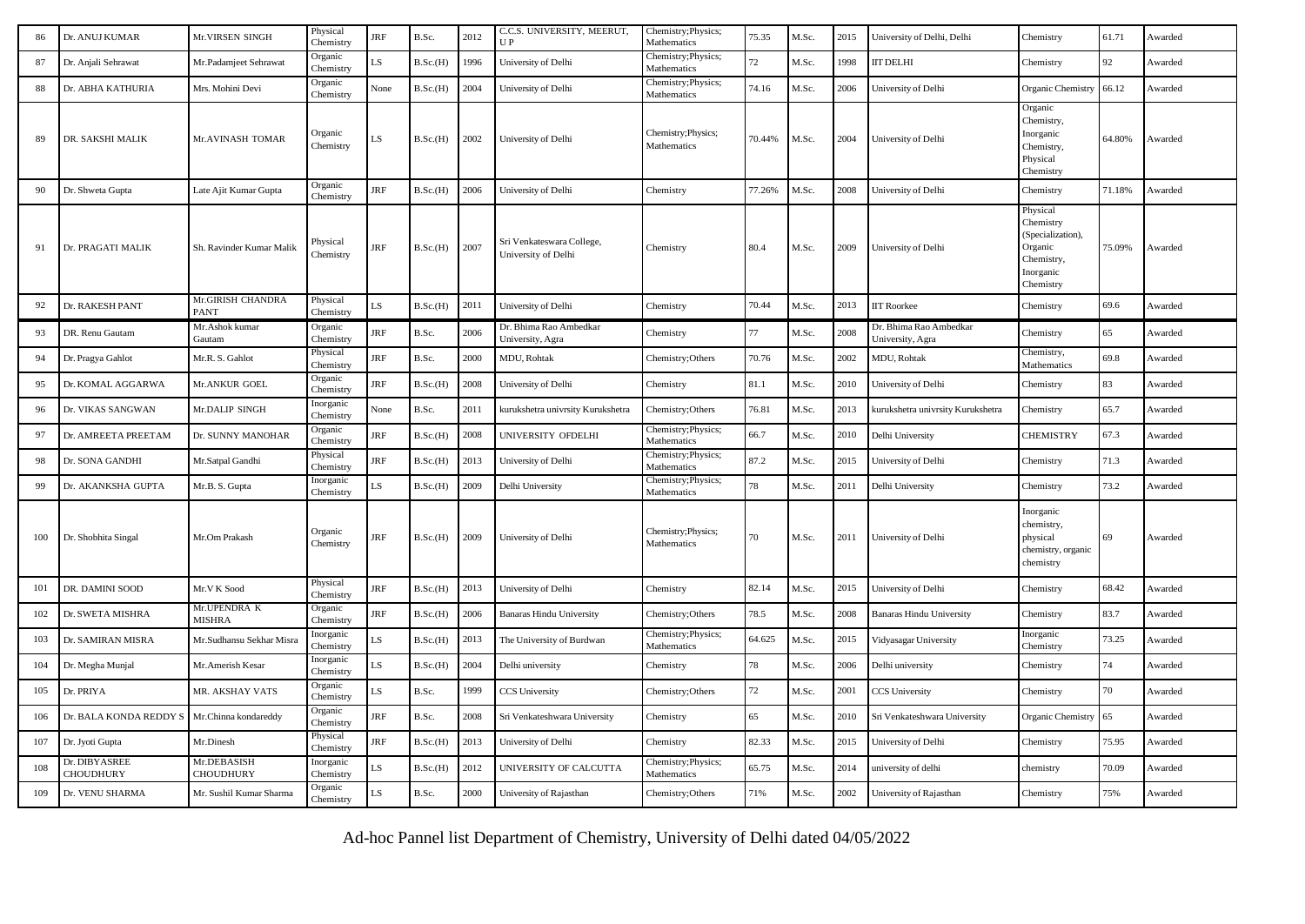| 86  | Dr. ANUJ KUMAR             | Mr. VIRSEN SINGH                 | Physical<br>Chemistry  | $\rm JRF$  | B.Sc.    | 2012 | C.C.S. UNIVERSITY, MEERUT,<br>U P                | Chemistry; Physics;<br>Mathematics | 75.35  | M.Sc. | 2015 | University of Delhi, Delhi                 | Chemistry                                                                                     | 61.71  | Awarded |
|-----|----------------------------|----------------------------------|------------------------|------------|----------|------|--------------------------------------------------|------------------------------------|--------|-------|------|--------------------------------------------|-----------------------------------------------------------------------------------------------|--------|---------|
| 87  | Dr. Anjali Sehrawat        | Mr.Padamjeet Sehrawat            | Organic<br>Chemistry   | LS         | B.Sc.(H) | 1996 | University of Delhi                              | Chemistry; Physics;<br>Mathematics | 72     | M.Sc. | 1998 | <b>IIT DELHI</b>                           | Chemistry                                                                                     | 92     | Awarded |
| 88  | Dr. ABHA KATHURIA          | Mrs. Mohini Devi                 | Organic<br>Chemistry   | None       | B.Sc.(H) | 2004 | University of Delhi                              | Chemistry; Physics;<br>Mathematics | 74.16  | M.Sc. | 2006 | University of Delhi                        | Organic Chemistry                                                                             | 66.12  | Awarded |
| 89  | DR. SAKSHI MALIK           | Mr.AVINASH TOMAR                 | Organic<br>Chemistry   | LS         | B.Sc.(H) | 2002 | University of Delhi                              | Chemistry; Physics;<br>Mathematics | 70.44% | M.Sc. | 2004 | University of Delhi                        | Organic<br>Chemistry,<br>Inorganic<br>Chemistry,<br>Physical<br>Chemistry                     | 64.80% | Awarded |
| 90  | Dr. Shweta Gupta           | Late Ajit Kumar Gupta            | Organic<br>Chemistry   | <b>JRF</b> | B.Sc.(H) | 2006 | University of Delhi                              | Chemistry                          | 77.26% | M.Sc. | 2008 | University of Delhi                        | Chemistry                                                                                     | 71.18% | Awarded |
| 91  | Dr. PRAGATI MALIK          | Sh. Ravinder Kumar Malik         | Physical<br>Chemistry  | $\rm JRF$  | B.Sc.(H) | 2007 | Sri Venkateswara College,<br>University of Delhi | Chemistry                          | 80.4   | M.Sc. | 2009 | University of Delhi                        | Physical<br>Chemistry<br>(Specialization),<br>Organic<br>Chemistry,<br>Inorganic<br>Chemistry | 75.09% | Awarded |
| 92  | Dr. RAKESH PANT            | Mr.GIRISH CHANDRA<br><b>PANT</b> | Physical<br>Chemistry  | LS         | B.Sc.(H) | 2011 | University of Delhi                              | Chemistry                          | 70.44  | M.Sc. | 2013 | <b>IIT Roorkee</b>                         | Chemistry                                                                                     | 69.6   | Awarded |
| 93  | DR. Renu Gautam            | Mr.Ashok kumar<br>Gautam         | Organic<br>Chemistry   | $\rm JRF$  | B.Sc.    | 2006 | Dr. Bhima Rao Ambedkar<br>University, Agra       | Chemistry                          | 77     | M.Sc. | 2008 | Dr. Bhima Rao Ambedkar<br>University, Agra | Chemistry                                                                                     | 65     | Awarded |
| 94  | Dr. Pragya Gahlot          | Mr.R.S. Gahlot                   | Physical<br>Chemistry  | <b>JRF</b> | B.Sc.    | 2000 | <b>MDU</b> , Rohtak                              | Chemistry; Others                  | 70.76  | M.Sc. | 2002 | MDU, Rohtak                                | Chemistry,<br>Mathematics                                                                     | 69.8   | Awarded |
| 95  | Dr. KOMAL AGGARWA          | Mr.ANKUR GOEL                    | Organic<br>Chemistry   | $\rm JRF$  | B.Sc.(H) | 2008 | University of Delhi                              | Chemistry                          | 81.1   | M.Sc. | 2010 | University of Delhi                        | Chemistry                                                                                     | 83     | Awarded |
| 96  | Dr. VIKAS SANGWAN          | Mr.DALIP SINGH                   | Inorganic<br>Chemistry | None       | B.Sc.    | 2011 | kurukshetra univrsity Kurukshetra                | Chemistry; Others                  | 76.81  | M.Sc. | 2013 | kurukshetra univrsity Kurukshetra          | Chemistry                                                                                     | 65.7   | Awarded |
| 97  | Dr. AMREETA PREETAM        | Dr. SUNNY MANOHAR                | Organic<br>Chemistry   | <b>JRF</b> | B.Sc.(H) | 2008 | UNIVERSITY OFDELHI                               | Chemistry; Physics;<br>Mathematics | 66.7   | M.Sc. | 2010 | Delhi University                           | <b>CHEMISTRY</b>                                                                              | 67.3   | Awarded |
| 98  | Dr. SONA GANDHI            | Mr.Satpal Gandhi                 | Physical<br>Chemistry  | <b>JRF</b> | B.Sc.(H) | 2013 | University of Delhi                              | Chemistry; Physics;<br>Mathematics | 87.2   | M.Sc. | 2015 | University of Delhi                        | Chemistry                                                                                     | 71.3   | Awarded |
| 99  | Dr. AKANKSHA GUPTA         | Mr.B. S. Gupta                   | Inorganic<br>Chemistry | LS         | B.Sc.(H) | 2009 | Delhi University                                 | Chemistry; Physics;<br>Mathematics | 78     | M.Sc. | 2011 | Delhi University                           | Chemistry                                                                                     | 73.2   | Awarded |
| 100 | Dr. Shobhita Singal        | Mr.Om Prakash                    | Organic<br>Chemistry   | $\rm JRF$  | B.Sc.(H) | 2009 | University of Delhi                              | Chemistry; Physics;<br>Mathematics | 70     | M.Sc. | 2011 | University of Delhi                        | Inorganic<br>chemistry,<br>physical<br>chemistry, organic<br>chemistry                        | 69     | Awarded |
| 101 | DR. DAMINI SOOD            | Mr.V K Sood                      | Physical<br>Chemistry  | <b>JRF</b> | B.Sc.(H) | 2013 | University of Delhi                              | Chemistry                          | 82.14  | M.Sc. | 2015 | University of Delhi                        | Chemistry                                                                                     | 68.42  | Awarded |
| 102 | Dr. SWETA MISHRA           | Mr.UPENDRA K<br>MISHRA           | Organic<br>Chemistry   | $\rm JRF$  | B.Sc.(H) | 2006 | <b>Banaras Hindu University</b>                  | Chemistry; Others                  | 78.5   | M.Sc. | 2008 | <b>Banaras Hindu University</b>            | Chemistry                                                                                     | 83.7   | Awarded |
| 103 | Dr. SAMIRAN MISRA          | Mr.Sudhansu Sekhar Misra         | Inorganic<br>Chemistry | LS         | B.Sc.(H) | 2013 | The University of Burdwan                        | Chemistry; Physics;<br>Mathematics | 64.625 | M.Sc. | 2015 | Vidyasagar University                      | Inorganic<br>Chemistry                                                                        | 73.25  | Awarded |
| 104 | Dr. Megha Munjal           | Mr. Amerish Kesar                | Inorganic<br>Chemistry | LS         | B.Sc.(H) | 2004 | Delhi university                                 | Chemistry                          | 78     | M.Sc. | 2006 | Delhi university                           | Chemistry                                                                                     | 74     | Awarded |
| 105 | Dr. PRIYA                  | MR. AKSHAY VATS                  | Organic<br>Chemistry   | LS         | B.Sc.    | 1999 | <b>CCS University</b>                            | Chemistry; Others                  | 72     | M.Sc. | 2001 | <b>CCS University</b>                      | Chemistry                                                                                     | 70     | Awarded |
| 106 | Dr. BALA KONDA REDDY S     | Mr.Chinna kondareddy             | Organic<br>Chemistry   | <b>JRF</b> | B.Sc.    | 2008 | Sri Venkateshwara University                     | Chemistry                          | 65     | M.Sc. | 2010 | Sri Venkateshwara University               | Organic Chemistry                                                                             | 65     | Awarded |
| 107 | Dr. Jyoti Gupta            | Mr.Dinesh                        | Physical<br>Chemistry  | <b>JRF</b> | B.Sc.(H) | 2013 | University of Delhi                              | Chemistry                          | 82.33  | M.Sc. | 2015 | University of Delhi                        | Chemistry                                                                                     | 75.95  | Awarded |
| 108 | Dr. DIBYASREE<br>CHOUDHURY | Mr.DEBASISH<br><b>CHOUDHURY</b>  | Inorganic<br>Chemistry | LS         | B.Sc.(H) | 2012 | UNIVERSITY OF CALCUTTA                           | Chemistry; Physics;<br>Mathematics | 65.75  | M.Sc. | 2014 | university of delhi                        | chemistry                                                                                     | 70.09  | Awarded |
| 109 | Dr. VENU SHARMA            | Mr. Sushil Kumar Sharma          | Organic<br>Chemistry   | LS         | B.Sc.    | 2000 | University of Rajasthan                          | Chemistry; Others                  | 71%    | M.Sc. | 2002 | University of Rajasthan                    | Chemistry                                                                                     | 75%    | Awarded |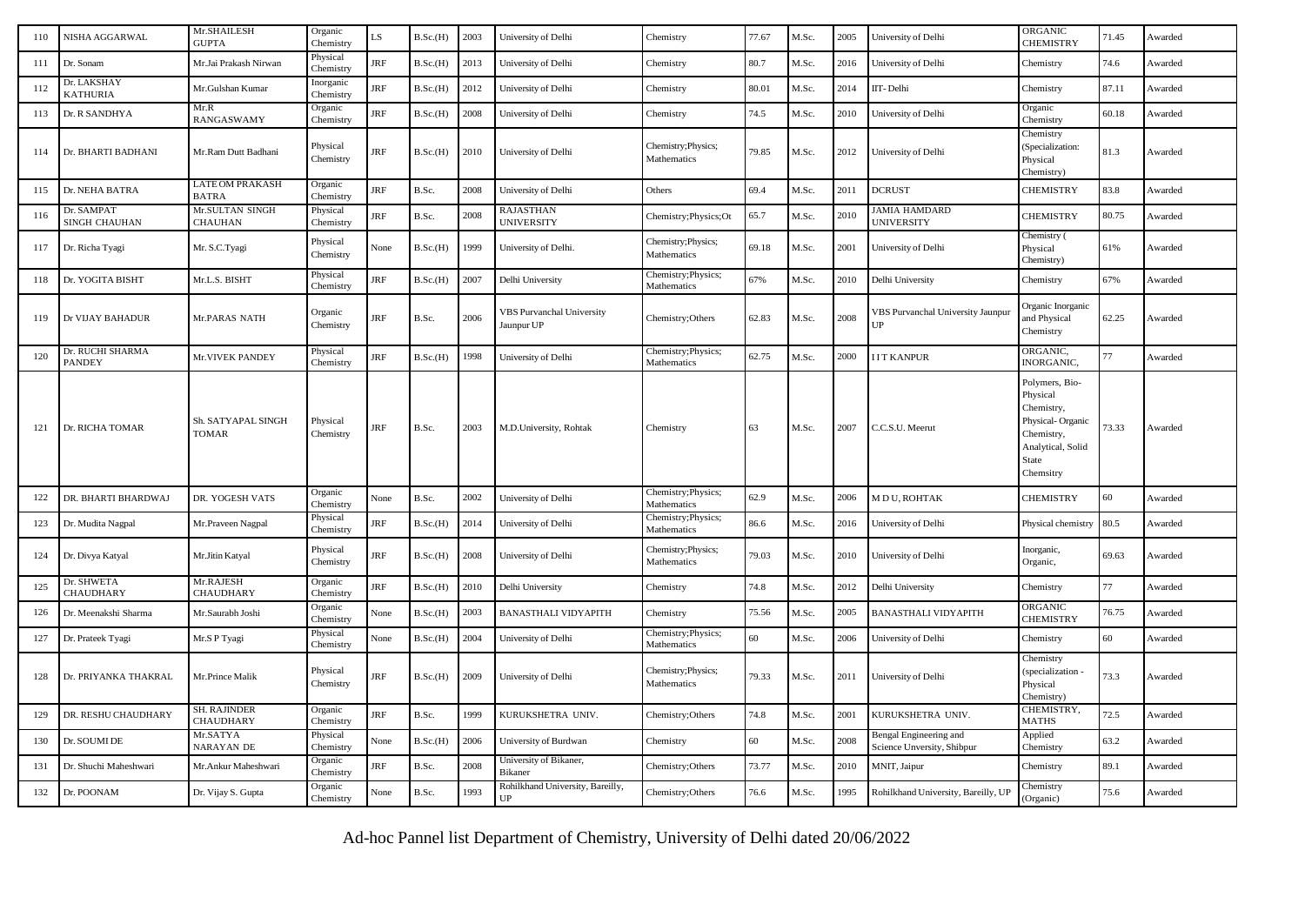| 110 | NISHA AGGARWAL              | Mr.SHAILESH<br><b>GUPTA</b>            | Organic<br>Chemistry   | LS         | B.Sc.(H) | 2003 | University of Delhi                            | Chemistry                          | 77.67 | M.Sc. | 2005 | University of Delhi                                  | ORGANIC<br><b>CHEMISTRY</b>                                                                                           | 71.45 | Awarded |
|-----|-----------------------------|----------------------------------------|------------------------|------------|----------|------|------------------------------------------------|------------------------------------|-------|-------|------|------------------------------------------------------|-----------------------------------------------------------------------------------------------------------------------|-------|---------|
| 111 | Dr. Sonam                   | Mr.Jai Prakash Nirwan                  | Physical<br>Chemistry  | JRF        | B.Sc.(H) | 2013 | University of Delhi                            | Chemistry                          | 80.7  | M.Sc. | 2016 | University of Delhi                                  | Chemistry                                                                                                             | 74.6  | Awarded |
| 112 | Dr. LAKSHAY<br>KATHURIA     | Mr.Gulshan Kumar                       | Inorganic<br>Chemistry | JRF        | B.Sc.(H) | 2012 | University of Delhi                            | Chemistry                          | 80.01 | M.Sc. | 2014 | IIT-Delhi                                            | Chemistry                                                                                                             | 87.11 | Awarded |
| 113 | Dr. R SANDHYA               | Mr.R<br><b>RANGASWAMY</b>              | Organic<br>Chemistry   | JRF        | B.Sc.(H) | 2008 | University of Delhi                            | Chemistry                          | 74.5  | M.Sc. | 2010 | University of Delhi                                  | Organic<br>Chemistry                                                                                                  | 60.18 | Awarded |
| 114 | Dr. BHARTI BADHANI          | Mr.Ram Dutt Badhani                    | Physical<br>Chemistry  | JRF        | B.Sc.(H) | 2010 | University of Delhi                            | Chemistry; Physics;<br>Mathematics | 79.85 | M.Sc. | 2012 | University of Delhi                                  | Chemistry<br>(Specialization:<br>Physical<br>Chemistry)                                                               | 31.3  | Awarded |
| 115 | Dr. NEHA BATRA              | <b>LATE OM PRAKASH</b><br><b>BATRA</b> | Organic<br>Chemistry   | <b>JRF</b> | B.Sc.    | 2008 | University of Delhi                            | Others                             | 69.4  | M.Sc. | 2011 | <b>DCRUST</b>                                        | <b>CHEMISTRY</b>                                                                                                      | 83.8  | Awarded |
| 116 | Dr. SAMPAT<br>SINGH CHAUHAN | Mr.SULTAN SINGH<br><b>CHAUHAN</b>      | Physical<br>Chemistry  | JRF        | B.Sc.    | 2008 | RAJASTHAN<br>UNIVERSITY                        | Chemistry; Physics; Ot             | 65.7  | M.Sc. | 2010 | JAMIA HAMDARD<br><b>UNIVERSITY</b>                   | <b>CHEMISTRY</b>                                                                                                      | 80.75 | Awarded |
| 117 | Dr. Richa Tyagi             | Mr. S.C.Tyagi                          | Physical<br>Chemistry  | None       | B.Sc.(H) | 1999 | University of Delhi.                           | Chemistry; Physics;<br>Mathematics | 69.18 | M.Sc. | 2001 | University of Delhi                                  | Chemistry (<br>Physical<br>Chemistry)                                                                                 | 61%   | Awarded |
| 118 | Dr. YOGITA BISHT            | Mr.L.S. BISHT                          | Physical<br>Chemistry  | <b>JRF</b> | B.Sc.(H) | 2007 | Delhi University                               | Chemistry; Physics;<br>Mathematics | 67%   | M.Sc. | 2010 | Delhi University                                     | Chemistry                                                                                                             | 67%   | Awarded |
| 119 | Dr VIJAY BAHADUR            | Mr.PARAS NATH                          | Organic<br>Chemistry   | JRF        | B.Sc.    | 2006 | <b>VBS Purvanchal University</b><br>Jaunpur UP | Chemistry; Others                  | 62.83 | M.Sc. | 2008 | VBS Purvanchal University Jaunpur<br>UP              | Organic Inorganic<br>and Physical<br>Chemistry                                                                        | 62.25 | Awarded |
| 120 | Dr. RUCHI SHARMA<br>PANDEY  | Mr. VIVEK PANDEY                       | Physical<br>Chemistry  | JRF        | B.Sc.(H) | 1998 | University of Delhi                            | Chemistry; Physics;<br>Mathematics | 62.75 | M.Sc. | 2000 | <b>IIT KANPUR</b>                                    | ORGANIC,<br><b>INORGANIC,</b>                                                                                         | 77    | Awarded |
| 121 | Dr. RICHA TOMAR             | Sh. SATYAPAL SINGH<br><b>TOMAR</b>     | Physical<br>Chemistry  | JRF        | B.Sc.    | 2003 | M.D.University, Rohtak                         | Chemistry                          | 63    | M.Sc. | 2007 | C.C.S.U. Meerut                                      | Polymers, Bio-<br>Physical<br>Chemistry,<br>Physical-Organic<br>Chemistry,<br>Analytical, Solid<br>State<br>Chemsitry | 73.33 | Awarded |
| 122 | DR. BHARTI BHARDWAJ         | DR. YOGESH VATS                        | Organic<br>Chemistry   | None       | B.Sc.    | 2002 | University of Delhi                            | Chemistry; Physics;<br>Mathematics | 62.9  | M.Sc. | 2006 | M D U, ROHTAK                                        | CHEMISTRY                                                                                                             | 60    | Awarded |
| 123 | Dr. Mudita Nagpal           | Mr.Praveen Nagpal                      | Physical<br>Chemistry  | JRF        | B.Sc.(H) | 2014 | University of Delhi                            | Chemistry; Physics;<br>Mathematics | 86.6  | M.Sc. | 2016 | University of Delhi                                  | Physical chemistry                                                                                                    | 80.5  | Awarded |
| 124 | Dr. Divya Katyal            | Mr.Jitin Katyal                        | Physical<br>Chemistry  | JRF        | B.Sc.(H) | 2008 | University of Delhi                            | Chemistry; Physics;<br>Mathematics | 79.03 | M.Sc. | 2010 | University of Delhi                                  | Inorganic,<br>Organic,                                                                                                | 69.63 | Awarded |
| 125 | Dr. SHWETA<br>CHAUDHARY     | Mr.RAJESH<br><b>CHAUDHARY</b>          | Organic<br>Chemistry   | JRF        | B.Sc.(H) | 2010 | Delhi University                               | Chemistry                          | 74.8  | M.Sc. | 2012 | Delhi University                                     | Chemistry                                                                                                             | 77    | Awarded |
| 126 | Dr. Meenakshi Sharma        | Mr.Saurabh Joshi                       | Organic<br>Chemistry   | None       | B.Sc.(H) | 2003 | <b>BANASTHALI VIDYAPITH</b>                    | Chemistry                          | 75.56 | M.Sc. | 2005 | <b>BANASTHALI VIDYAPITH</b>                          | ORGANIC<br>CHEMISTRY                                                                                                  | 76.75 | Awarded |
| 127 | Dr. Prateek Tyagi           | Mr.S P Tyagi                           | Physical<br>Chemistry  | None       | B.Sc.(H) | 2004 | University of Delhi                            | Chemistry; Physics;<br>Mathematics | 60    | M.Sc. | 2006 | University of Delhi                                  | Chemistry                                                                                                             | 60    | Awarded |
| 128 | Dr. PRIYANKA THAKRAL        | Mr.Prince Malik                        | Physical<br>Chemistry  | JRF        | B.Sc.(H) | 2009 | University of Delhi                            | Chemistry; Physics;<br>Mathematics | 79.33 | M.Sc. | 2011 | University of Delhi                                  | Chemistry<br>(specialization -<br>Physical<br>Chemistry)                                                              | 73.3  | Awarded |
| 129 | DR. RESHU CHAUDHARY         | <b>SH. RAJINDER</b><br>CHAUDHARY       | Organic<br>Chemistry   | <b>JRF</b> | B.Sc.    | 1999 | KURUKSHETRA UNIV.                              | Chemistry; Others                  | 74.8  | M.Sc. | 2001 | KURUKSHETRA UNIV.                                    | CHEMISTRY,<br><b>MATHS</b>                                                                                            | 72.5  | Awarded |
| 130 | Dr. SOUMI DE                | Mr.SATYA<br>NARAYAN DE                 | Physical<br>Chemistry  | None       | B.Sc.(H) | 2006 | University of Burdwan                          | Chemistry                          | 60    | M.Sc. | 2008 | Bengal Engineering and<br>Science Unversity, Shibpur | Applied<br>Chemistry                                                                                                  | 63.2  | Awarded |
| 131 | Dr. Shuchi Maheshwari       | Mr.Ankur Maheshwari                    | Organic<br>Chemistry   | JRF        | B.Sc.    | 2008 | University of Bikaner,<br>Bikaner              | Chemistry; Others                  | 73.77 | M.Sc. | 2010 | MNIT, Jaipur                                         | Chemistry                                                                                                             | 89.1  | Awarded |
| 132 | Dr. POONAM                  | Dr. Vijay S. Gupta                     | Organic<br>Chemistry   | None       | B.Sc.    | 1993 | Rohilkhand University, Bareilly,<br>UP         | Chemistry; Others                  | 76.6  | M.Sc. | 1995 | Rohilkhand University, Bareilly, UP                  | Chemistry<br>(Organic)                                                                                                | 75.6  | Awarded |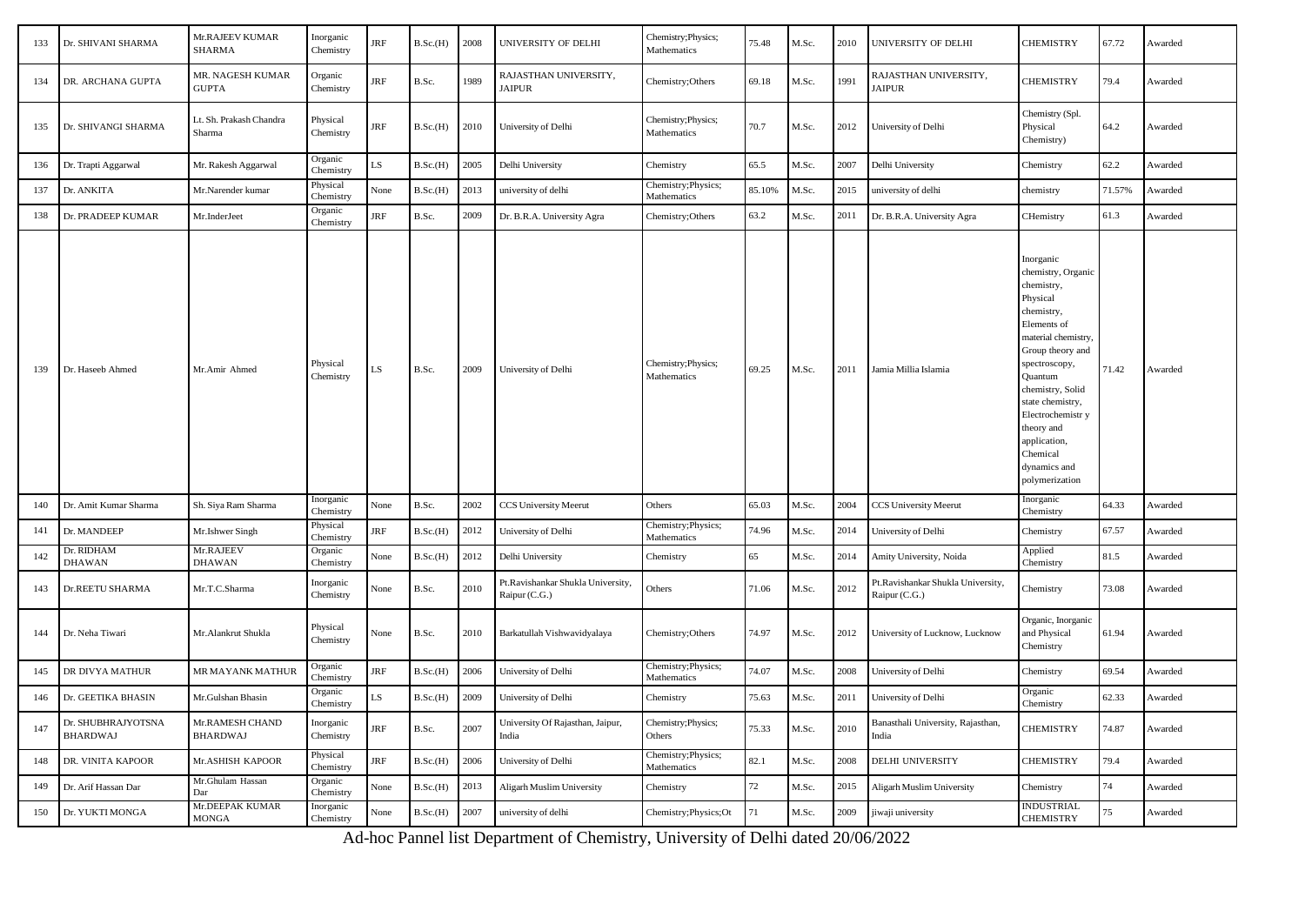| 133 | Dr. SHIVANI SHARMA                    | Mr.RAJEEV KUMAR<br><b>SHARMA</b>   | Inorganic<br>Chemistry | JRF  | B.Sc.(H) | 2008 | UNIVERSITY OF DELHI                                | Chemistry; Physics;<br>Mathematics | 75.48  | M.Sc. | 2010 | UNIVERSITY OF DELHI                                | <b>CHEMISTRY</b>                                                                                                                                                                                                                                                                                       | 67.72  | Awarded |
|-----|---------------------------------------|------------------------------------|------------------------|------|----------|------|----------------------------------------------------|------------------------------------|--------|-------|------|----------------------------------------------------|--------------------------------------------------------------------------------------------------------------------------------------------------------------------------------------------------------------------------------------------------------------------------------------------------------|--------|---------|
| 134 | DR. ARCHANA GUPTA                     | MR. NAGESH KUMAR<br><b>GUPTA</b>   | Organic<br>Chemistry   | JRF  | B.Sc.    | 1989 | RAJASTHAN UNIVERSITY,<br>JAIPUR                    | Chemistry; Others                  | 69.18  | M.Sc. | 1991 | RAJASTHAN UNIVERSITY,<br>JAIPUR                    | <b>CHEMISTRY</b>                                                                                                                                                                                                                                                                                       | 79.4   | Awarded |
| 135 | Dr. SHIVANGI SHARMA                   | Lt. Sh. Prakash Chandra<br>Sharma  | Physical<br>Chemistry  | JRF  | B.Sc.(H) | 2010 | University of Delhi                                | Chemistry; Physics;<br>Mathematics | 70.7   | M.Sc. | 2012 | University of Delhi                                | Chemistry (Spl.<br>Physical<br>Chemistry)                                                                                                                                                                                                                                                              | 64.2   | Awarded |
| 136 | Dr. Trapti Aggarwal                   | Mr. Rakesh Aggarwal                | Organic<br>Chemistry   | LS   | B.Sc.(H) | 2005 | Delhi University                                   | Chemistry                          | 65.5   | M.Sc. | 2007 | Delhi University                                   | Chemistry                                                                                                                                                                                                                                                                                              | 62.2   | Awarded |
| 137 | Dr. ANKITA                            | Mr.Narender kumar                  | Physical<br>Chemistry  | None | B.Sc.(H) | 2013 | university of delhi                                | Chemistry; Physics;<br>Mathematics | 85.10% | M.Sc. | 2015 | university of delhi                                | chemistry                                                                                                                                                                                                                                                                                              | 71.57% | Awarded |
| 138 | Dr. PRADEEP KUMAR                     | Mr.InderJeet                       | Organic<br>Chemistry   | JRF  | B.Sc.    | 2009 | Dr. B.R.A. University Agra                         | Chemistry; Others                  | 63.2   | M.Sc. | 2011 | Dr. B.R.A. University Agra                         | CHemistry                                                                                                                                                                                                                                                                                              | 61.3   | Awarded |
| 139 | Dr. Haseeb Ahmed                      | Mr.Amir Ahmed                      | Physical<br>Chemistry  | LS   | B.Sc.    | 2009 | University of Delhi                                | Chemistry; Physics;<br>Mathematics | 69.25  | M.Sc. | 2011 | Jamia Millia Islamia                               | Inorganic<br>chemistry, Organic<br>chemistry,<br>Physical<br>chemistry,<br>Elements of<br>material chemistry.<br>Group theory and<br>spectroscopy,<br>Quantum<br>chemistry, Solid<br>state chemistry,<br>Electrochemistr y<br>theory and<br>application,<br>Chemical<br>dynamics and<br>polymerization | 71.42  | Awarded |
| 140 | Dr. Amit Kumar Sharma                 | Sh. Siya Ram Sharma                | Inorganic<br>Chemistry | None | B.Sc.    | 2002 | <b>CCS University Meerut</b>                       | Others                             | 65.03  | M.Sc. | 2004 | <b>CCS University Meerut</b>                       | Inorganic<br>Chemistry                                                                                                                                                                                                                                                                                 | 54.33  | Awarded |
| 141 | Dr. MANDEEP                           | Mr. Ishwer Singh                   | Physical<br>Chemistry  | JRF  | B.Sc.(H) | 2012 | University of Delhi                                | Chemistry; Physics;<br>Mathematics | 74.96  | M.Sc. | 2014 | University of Delhi                                | Chemistry                                                                                                                                                                                                                                                                                              | 67.57  | Awarded |
| 142 | Dr. RIDHAM<br><b>DHAWAN</b>           | Mr.RAJEEV<br><b>DHAWAN</b>         | Organic<br>Chemistry   | None | B.Sc.(H) | 2012 | Delhi University                                   | Chemistry                          | 65     | M.Sc. | 2014 | Amity University, Noida                            | Applied<br>Chemistry                                                                                                                                                                                                                                                                                   | 81.5   | Awarded |
| 143 | Dr.REETU SHARMA                       | Mr.T.C.Sharma                      | Inorganic<br>Chemistry | None | B.Sc.    | 2010 | Pt.Ravishankar Shukla University,<br>Raipur (C.G.) | Others                             | 71.06  | M.Sc. | 2012 | Pt.Ravishankar Shukla University,<br>Raipur (C.G.) | Chemistry                                                                                                                                                                                                                                                                                              | 73.08  | Awarded |
| 144 | Dr. Neha Tiwari                       | Mr. Alankrut Shukla                | Physical<br>Chemistry  | None | B.Sc.    | 2010 | Barkatullah Vishwavidyalaya                        | Chemistry; Others                  | 74.97  | M.Sc. | 2012 | University of Lucknow, Lucknow                     | Organic, Inorganic<br>and Physical<br>Chemistry                                                                                                                                                                                                                                                        | 61.94  | Awarded |
| 145 | DR DIVYA MATHUR                       | MR MAYANK MATHUR                   | Organic<br>Chemistry   | JRF  | B.Sc.(H) | 2006 | University of Delhi                                | Chemistry; Physics;<br>Mathematics | 74.07  | M.Sc. | 2008 | University of Delhi                                | Chemistry                                                                                                                                                                                                                                                                                              | 69.54  | Awarded |
| 146 | Dr. GEETIKA BHASIN                    | Mr.Gulshan Bhasin                  | Organic<br>Chemistry   | LS   | B.Sc.(H) | 2009 | University of Delhi                                | Chemistry                          | 75.63  | M.Sc. | 2011 | University of Delhi                                | Organic<br>Chemistry                                                                                                                                                                                                                                                                                   | 52.33  | Awarded |
| 147 | Dr. SHUBHRAJYOTSNA<br><b>BHARDWAJ</b> | Mr.RAMESH CHAND<br><b>BHARDWAJ</b> | Inorganic<br>Chemistry | JRF  | B.Sc.    | 2007 | University Of Rajasthan, Jaipur,<br>India          | Chemistry; Physics;<br>Others      | 75.33  | M.Sc. | 2010 | Banasthali University, Rajasthan,<br>India         | <b>CHEMISTRY</b>                                                                                                                                                                                                                                                                                       | 74.87  | Awarded |
| 148 | DR. VINITA KAPOOR                     | Mr.ASHISH KAPOOR                   | Physical<br>Chemistry  | JRF  | B.Sc.(H) | 2006 | University of Delhi                                | Chemistry; Physics;<br>Mathematics | 82.1   | M.Sc. | 2008 | DELHI UNIVERSITY                                   | <b>CHEMISTRY</b>                                                                                                                                                                                                                                                                                       | 79.4   | Awarded |
| 149 | Dr. Arif Hassan Dar                   | Mr.Ghulam Hassan<br>Dar            | Organic<br>Chemistry   | None | B.Sc.(H) | 2013 | Aligarh Muslim University                          | Chemistry                          | 72     | M.Sc. | 2015 | Aligarh Muslim University                          | Chemistry                                                                                                                                                                                                                                                                                              | 74     | Awarded |
| 150 | Dr. YUKTI MONGA                       | Mr.DEEPAK KUMAR<br><b>MONGA</b>    | Inorganic<br>Chemistry | None | B.Sc.(H) | 2007 | university of delhi                                | Chemistry; Physics; Ot             | $71\,$ | M.Sc. | 2009 | jiwaji university                                  | <b>INDUSTRIAL</b><br><b>CHEMISTRY</b>                                                                                                                                                                                                                                                                  | 75     | Awarded |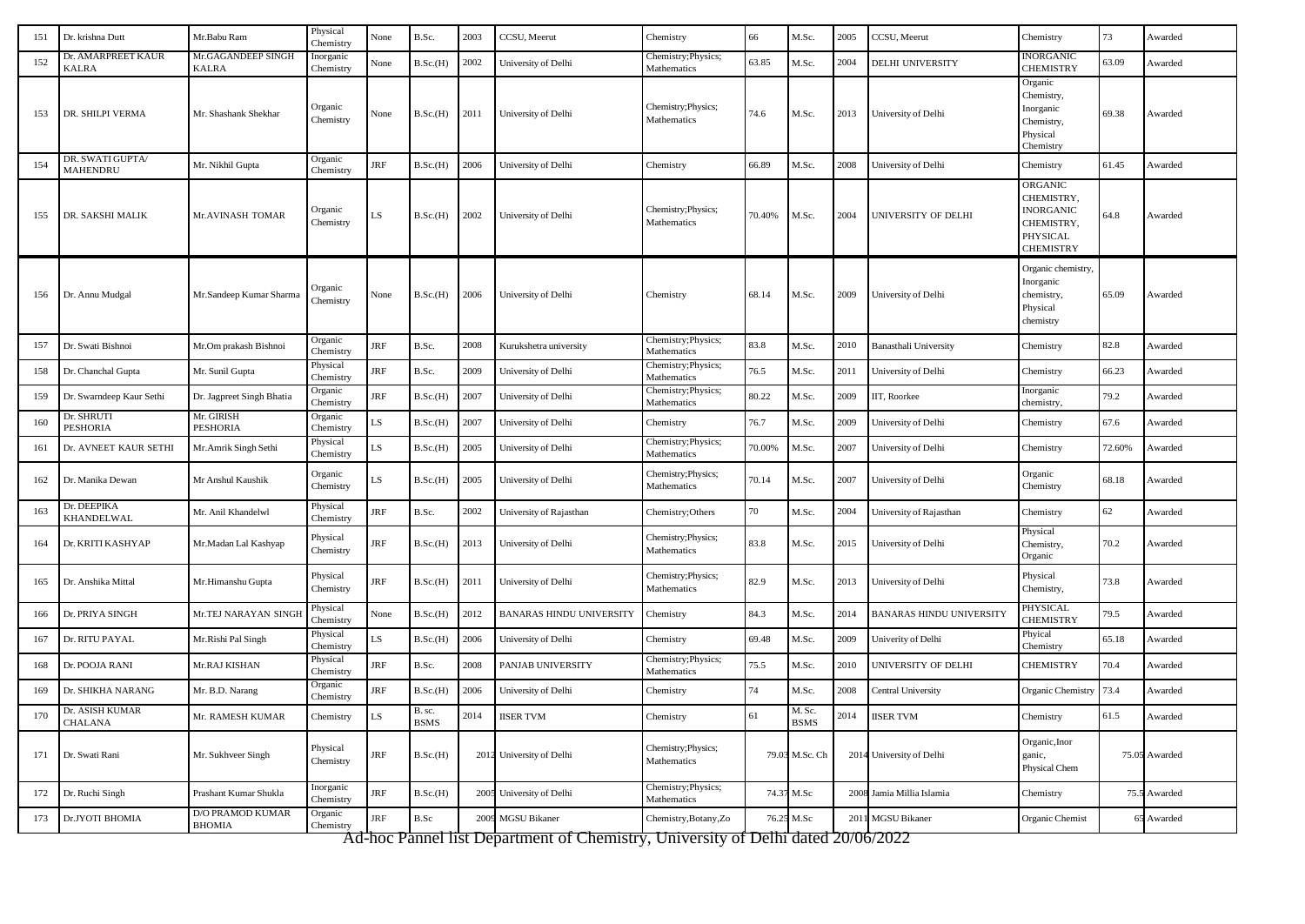| 151 | Dr. krishna Dutt             | Mr.Babu Ram                              | Physical<br>Chemistry  | None       | B.Sc.                 | 2003 | CCSU, Meerut                    | Chemistry                          | 66     | M.Sc.                 | 2005 | CCSU, Meerut                    | Chemistry                                                                               | 73     | Awarded       |
|-----|------------------------------|------------------------------------------|------------------------|------------|-----------------------|------|---------------------------------|------------------------------------|--------|-----------------------|------|---------------------------------|-----------------------------------------------------------------------------------------|--------|---------------|
| 152 | Dr. AMARPREET KAUR<br>KALRA  | Mr.GAGANDEEP SINGH<br><b>KALRA</b>       | Inorganic<br>Chemistry | None       | B.Sc.(H)              | 2002 | University of Delhi             | Chemistry; Physics;<br>Mathematics | 63.85  | M.Sc.                 | 2004 | <b>DELHI UNIVERSITY</b>         | INORGANIC<br><b>CHEMISTRY</b>                                                           | 63.09  | Awarded       |
| 153 | DR. SHILPI VERMA             | Mr. Shashank Shekhar                     | Organic<br>Chemistry   | None       | <b>B.Sc.(H)</b>       | 2011 | University of Delhi             | Chemistry; Physics;<br>Mathematics | 74.6   | M.Sc.                 | 2013 | University of Delhi             | Organic<br>Chemistry,<br>Inorganic<br>Chemistry,<br>Physical<br>Chemistry               | 69.38  | Awarded       |
| 154 | DR. SWATI GUPTA/<br>MAHENDRU | Mr. Nikhil Gupta                         | Organic<br>Chemistry   | JRF        | B.Sc.(H)              | 2006 | University of Delhi             | Chemistry                          | 66.89  | M.Sc.                 | 2008 | University of Delhi             | Chemistry                                                                               | 61.45  | Awarded       |
| 155 | DR. SAKSHI MALIK             | Mr.AVINASH TOMAR                         | Organic<br>Chemistry   | LS.        | B.Sc.(H)              | 2002 | University of Delhi             | Chemistry; Physics;<br>Mathematics | 70.40% | M.Sc.                 | 2004 | UNIVERSITY OF DELHI             | ORGANIC<br>CHEMISTRY,<br><b>INORGANIC</b><br>CHEMISTRY,<br>PHYSICAL<br><b>CHEMISTRY</b> | 64.8   | Awarded       |
| 156 | Dr. Annu Mudgal              | Mr.Sandeep Kumar Sharma                  | Organic<br>Chemistry   | None       | B.Sc.(H)              | 2006 | University of Delhi             | Chemistry                          | 68.14  | M.Sc.                 | 2009 | University of Delhi             | Organic chemistry,<br>Inorganic<br>chemistry,<br>Physical<br>chemistry                  | 65.09  | Awarded       |
| 157 | Dr. Swati Bishnoi            | Mr.Om prakash Bishnoi                    | Organic<br>Chemistry   | IRF        | B.Sc.                 | 2008 | Kurukshetra university          | Chemistry; Physics;<br>Mathematics | 83.8   | M.Sc.                 | 2010 | Banasthali University           | Chemistry                                                                               | 82.8   | Awarded       |
| 158 | Dr. Chanchal Gupta           | Mr. Sunil Gupta                          | Physical<br>Chemistry  | JRF        | B.Sc.                 | 2009 | University of Delhi             | Chemistry; Physics;<br>Mathematics | 76.5   | M.Sc.                 | 2011 | University of Delhi             | Chemistry                                                                               | 66.23  | Awarded       |
| 159 | Dr. Swarndeep Kaur Sethi     | Dr. Jagpreet Singh Bhatia                | Organic<br>Chemistry   | JRF        | B.Sc.(H)              | 2007 | University of Delhi             | Chemistry; Physics;<br>Mathematics | 80.22  | M.Sc.                 | 2009 | IIT, Roorkee                    | Inorganic<br>chemistry.                                                                 | 79.2   | Awarded       |
| 160 | Dr. SHRUTI<br>PESHORIA       | Mr. GIRISH<br><b>PESHORIA</b>            | Organic<br>Chemistry   | LS         | B.Sc.(H)              | 2007 | University of Delhi             | Chemistry                          | 76.7   | M.Sc.                 | 2009 | Jniversity of Delhi             | Chemistry                                                                               | 67.6   | Awarded       |
| 161 | Dr. AVNEET KAUR SETHI        | Mr. Amrik Singh Sethi                    | Physical<br>Chemistry  | LS.        | B.Sc.(H)              | 2005 | University of Delhi             | Chemistry; Physics;<br>Mathematics | 70.00% | M.Sc.                 | 2007 | University of Delhi             | Chemistry                                                                               | 72.60% | Awarded       |
| 162 | Dr. Manika Dewan             | Mr Anshul Kaushik                        | Organic<br>Chemistry   | LS.        | B.Sc.(H)              | 2005 | University of Delhi             | Chemistry; Physics;<br>Mathematics | 70.14  | M.Sc.                 | 2007 | University of Delhi             | Organic<br>Chemistry                                                                    | 68.18  | Awarded       |
| 163 | Dr. DEEPIKA<br>KHANDELWAL    | Mr. Anil Khandelwl                       | Physical<br>Chemistry  | <b>IRF</b> | B.Sc.                 | 2002 | University of Rajasthan         | Chemistry; Others                  | 70     | M.Sc.                 | 2004 | University of Rajasthan         | Chemistry                                                                               | 62     | Awarded       |
| 164 | Dr. KRITI KASHYAP            | Mr.Madan Lal Kashyap                     | Physical<br>Chemistry  | JRF        | B.Sc.(H)              | 2013 | University of Delhi             | Chemistry; Physics;<br>Mathematics | 83.8   | M.Sc.                 | 2015 | University of Delhi             | Physical<br>Chemistry.<br>Organic                                                       | 70.2   | Awarded       |
| 165 | Dr. Anshika Mittal           | Mr.Himanshu Gupta                        | Physical<br>Chemistry  | IRF        | B.Sc.(H)              | 2011 | University of Delhi             | Chemistry; Physics;<br>Mathematics | 82.9   | M.Sc.                 | 2013 | University of Delhi             | Physical<br>Chemistry,                                                                  | 73.8   | Awarded       |
| 166 | Dr. PRIYA SINGH              | Mr.TEJ NARAYAN SINGH                     | Physical<br>Chemistry  | None       | B.Sc.(H)              | 2012 | <b>BANARAS HINDU UNIVERSITY</b> | Chemistry                          | 84.3   | M.Sc.                 | 2014 | <b>BANARAS HINDU UNIVERSITY</b> | PHYSICAL<br>CHEMISTRY                                                                   | 79.5   | Awarded       |
| 167 | Dr. RITU PAYAL               | Mr.Rishi Pal Singh                       | Physical<br>Chemistry  | LS         | B.Sc.(H)              | 2006 | University of Delhi             | Chemistry                          | 69.48  | M.Sc.                 | 2009 | Univerity of Delhi              | Phyical<br>Chemistry                                                                    | 65.18  | Awarded       |
| 168 | Dr. POOJA RANI               | Mr.RAJ KISHAN                            | Physical<br>Chemistry  | IRF        | B.Sc.                 | 2008 | PANJAB UNIVERSITY               | Chemistry; Physics;<br>Mathematics | 75.5   | M.Sc.                 | 2010 | UNIVERSITY OF DELHI             | CHEMISTRY                                                                               | 70.4   | Awarded       |
| 169 | Dr. SHIKHA NARANG            | Mr. B.D. Narang                          | Organic<br>Chemistry   | IRF        | B.Sc.(H)              | 2006 | University of Delhi             | Chemistry                          | 74     | M.Sc.                 | 2008 | <b>Central University</b>       | Organic Chemistry                                                                       | 73.4   | Awarded       |
| 170 | Dr. ASISH KUMAR<br>CHALANA   | Mr. RAMESH KUMAR                         | Chemistry              | LS         | B. sc.<br><b>BSMS</b> | 2014 | <b>IISER TVM</b>                | Chemistry                          | 61     | M. Sc.<br><b>BSMS</b> | 2014 | <b>IISER TVM</b>                | Chemistry                                                                               | 61.5   | Awarded       |
| 171 | Dr. Swati Rani               | Mr. Sukhveer Singh                       | Physical<br>Chemistry  | JRF        | B.Sc.(H)              |      | 2012 University of Delhi        | Chemistry; Physics;<br>Mathematics |        | 79.03 M.Sc. Ch        |      | 2014 University of Delhi        | Organic, Inor<br>ganic,<br>Physical Chem                                                |        | 75.05 Awarded |
| 172 | Dr. Ruchi Singh              | Prashant Kumar Shukla                    | Inorganic<br>Chemistry | JRF        | B.Sc.(H)              |      | 2005 University of Delhi        | Chemistry; Physics;<br>Mathematics | 74.37  | M.Sc                  | 2008 | Jamia Millia Islamia            | Chemistry                                                                               | 75.5   | Awarded       |
| 173 | Dr.JYOTI BHOMIA              | <b>D/O PRAMOD KUMAR</b><br><b>BHOMIA</b> | Organic<br>Chemistry   | JRF        | B.Sc                  |      | 2009 MGSU Bikaner               | Chemistry, Botany, Zo              | 76.25  | M.Sc                  | 2011 | <b>MGSU Bikaner</b>             | Organic Chemist                                                                         |        | Awarded       |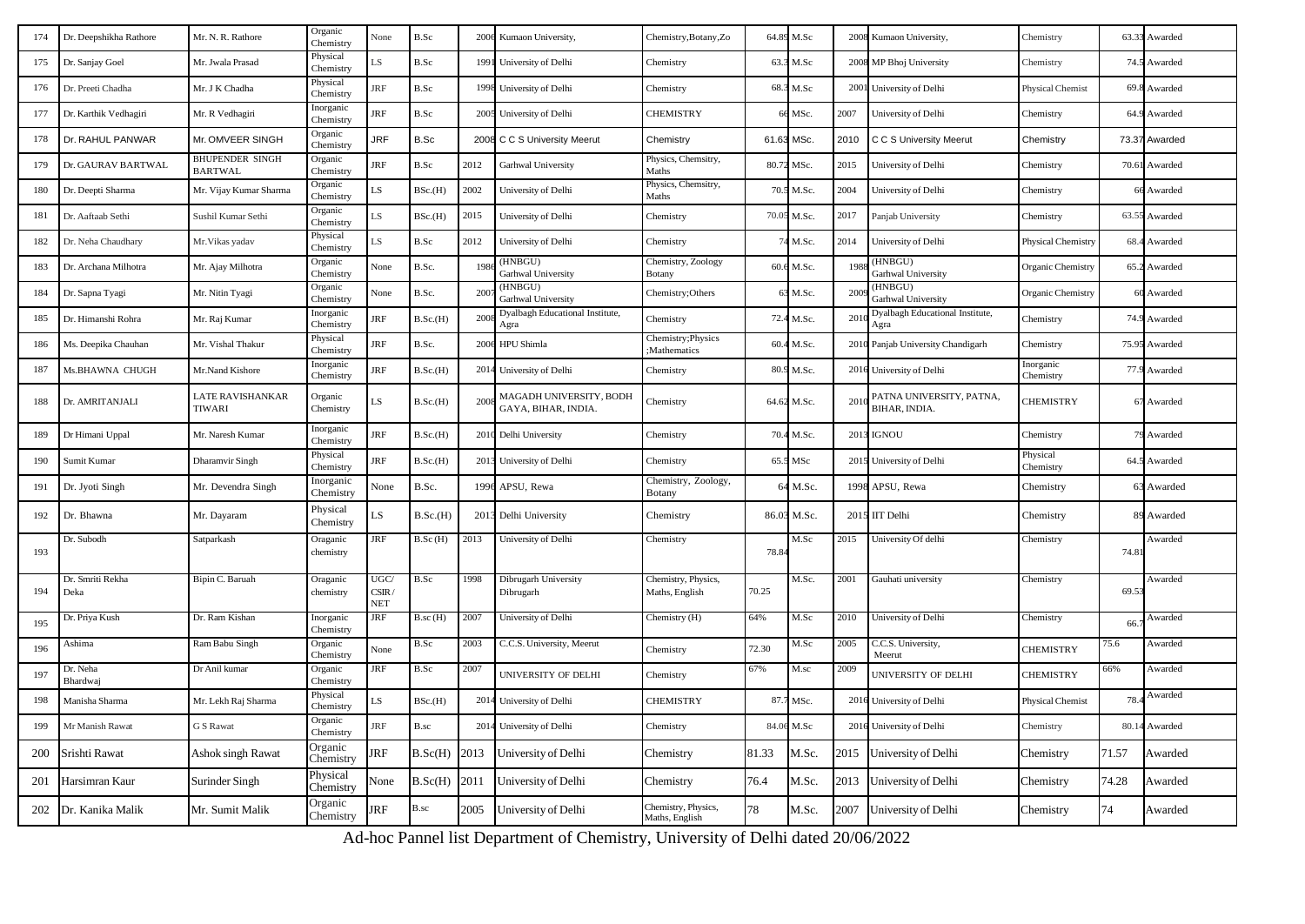| 174 | Dr. Deepshikha Rathore   | Mr. N. R. Rathore                        | Organic<br>Chemistry   | None                 | B.Sc          | 200 <sub>6</sub> | Kumaon University,                             | Chemistry, Botany, Zo                 |       | 64.89 M.Sc  |      | 2008 Kumaon University,                   | Chemistry              |       | 63.33 Awarded |
|-----|--------------------------|------------------------------------------|------------------------|----------------------|---------------|------------------|------------------------------------------------|---------------------------------------|-------|-------------|------|-------------------------------------------|------------------------|-------|---------------|
| 175 | Dr. Sanjay Goel          | Mr. Jwala Prasad                         | Physical<br>Chemistry  | LS                   | B.Sc          | 1991             | University of Delhi                            | Chemistry                             | 63.3  | M.Sc        |      | 2008 MP Bhoj University                   | Chemistry              | 74.5  | Awarded       |
| 176 | Dr. Preeti Chadha        | Mr. J K Chadha                           | Physical<br>Chemistry  | <b>JRF</b>           | B.Sc          | 1998             | University of Delhi                            | Chemistry                             | 68.3  | M.Sc        |      | 2001 University of Delhi                  | Physical Chemist       | 69.8  | Awarded       |
| 177 | Dr. Karthik Vedhagiri    | Mr. R Vedhagiri                          | Inorganic<br>Chemistry | $\rm JRF$            | B.Sc          |                  | 2005 University of Delhi                       | <b>CHEMISTRY</b>                      |       | MSc.        | 2007 | University of Delhi                       | Chemistry              |       | 64.9 Awarded  |
| 178 | Dr. RAHUL PANWAR         | Mr. OMVEER SINGH                         | Organic<br>Chemistry   | <b>JRF</b>           | B.Sc          |                  | 2008 C C S University Meerut                   | Chemistry                             | 61.63 | MSc.        | 2010 | C C S University Meerut                   | Chemistry              |       | 73.37 Awarded |
| 179 | Dr. GAURAV BARTWAL       | <b>BHUPENDER SINGH</b><br><b>BARTWAL</b> | Organic<br>Chemistry   | <b>JRF</b>           | B.Sc          | 2012             | Garhwal University                             | Physics, Chemsitry,<br>Maths          | 80.72 | MSc.        | 2015 | University of Delhi                       | Chemistry              | 70.61 | Awarded       |
| 180 | Dr. Deepti Sharma        | Mr. Vijay Kumar Sharma                   | Organic<br>Chemistry   | LS                   | BSc.(H)       | 2002             | University of Delhi                            | Physics, Chemsitry,<br>Maths          | 70.   | M.Sc.       | 2004 | University of Delhi                       | Chemistry              |       | Awarded       |
| 181 | Dr. Aaftaab Sethi        | Sushil Kumar Sethi                       | Organic<br>Chemistry   | LS                   | BSc.(H)       | 2015             | University of Delhi                            | Chemistry                             | 70.05 | M.Sc.       | 2017 | Panjab University                         | Chemistry              |       | 63.55 Awarded |
| 182 | Dr. Neha Chaudhary       | Mr. Vikas yadav                          | Physical<br>Chemistry  | LS                   | B.Sc          | 2012             | University of Delhi                            | Chemistry                             |       | M.Sc.       | 2014 | University of Delhi                       | Physical Chemistry     |       | 68.4 Awarded  |
| 183 | Dr. Archana Milhotra     | Mr. Ajay Milhotra                        | Organic<br>Chemistry   | None                 | B.Sc.         | 198              | (HNBGU)<br>Garhwal University                  | Chemistry, Zoology<br>Botany          | 60.6  | M.Sc.       | 198  | (HNBGU)<br>Garhwal University             | Organic Chemistry      |       | 65.2 Awarded  |
| 184 | Dr. Sapna Tyagi          | Mr. Nitin Tyagi                          | Organic<br>Chemistry   | None                 | B.Sc.         | 200              | (HNBGU)<br>Garhwal University                  | Chemistry; Others                     |       | M.Sc.       | 2009 | (HNBGU)<br>Garhwal University             | Organic Chemistry      |       | 60 Awarded    |
| 185 | Dr. Himanshi Rohra       | Mr. Raj Kumar                            | Inorganic<br>Chemistry | $\rm JRF$            | B.Sc.(H)      | 200              | Dyalbagh Educational Institute,<br>Agra        | Chemistry                             | 72.4  | M.Sc.       | 2010 | Dyalbagh Educational Institute,<br>Agra   | Chemistry              |       | 74.9 Awarded  |
| 186 | Ms. Deepika Chauhan      | Mr. Vishal Thakur                        | Physical<br>Chemistry  | <b>JRF</b>           | B.Sc.         | 2006             | HPU Shimla                                     | Chemistry; Physics<br>;Mathematics    | 60.4  | M.Sc.       |      | 2010 Panjab University Chandigarh         | Chemistry              |       | 75.95 Awarded |
| 187 | Ms.BHAWNA CHUGH          | Mr.Nand Kishore                          | Inorganic<br>Chemistry | <b>JRF</b>           | B.Sc.(H)      | 2014             | University of Delhi                            | Chemistry                             | 80.9  | M.Sc.       |      | 2016 University of Delhi                  | Inorganic<br>Chemistry |       | 77.9 Awarded  |
| 188 | Dr. AMRITANJALI          | LATE RAVISHANKAR<br><b>TIWARI</b>        | Organic<br>Chemistry   | LS                   | B.Sc.(H)      | 200              | MAGADH UNIVERSITY, BODH<br>GAYA, BIHAR, INDIA. | Chemistry                             |       | 64.62 M.Sc. | 2010 | PATNA UNIVERSITY, PATNA,<br>BIHAR, INDIA. | CHEMISTRY              |       | 67 Awarded    |
| 189 | Dr Himani Uppal          | Mr. Naresh Kumar                         | Inorganic<br>Chemistry | <b>JRF</b>           | B.Sc.(H)      | 2010             | Delhi University                               | Chemistry                             | 70.4  | M.Sc.       |      | 2013 IGNOU                                | Chemistry              |       | 79 Awarded    |
| 190 | Sumit Kumar              | Dharamvir Singh                          | Physical<br>Chemistry  | <b>JRF</b>           | B.Sc.(H)      |                  | 2013 University of Delhi                       | Chemistry                             | 65.5  | MSc         |      | 2015 University of Delhi                  | Physical<br>Chemistry  |       | 64.5 Awarded  |
| 191 | Dr. Jyoti Singh          | Mr. Devendra Singh                       | Inorganic<br>Chemistry | None                 | B.Sc.         | 199              | APSU, Rewa                                     | Chemistry, Zoology,<br>Botany         |       | M.Sc.       | 1998 | APSU, Rewa                                | Chemistry              |       | 63 Awarded    |
| 192 | Dr. Bhawna               | Mr. Dayaram                              | Physical<br>Chemistry  | LS                   | B.Sc.(H)      |                  | 2013 Delhi University                          | Chemistry                             |       | 86.03 M.Sc. |      | 2015 IIT Delhi                            | Chemistry              |       | 89 Awarded    |
| 193 | Dr. Subodh               | Satparkash                               | Oraganic<br>chemistry  | JRF                  | B.Sc(H)       | 2013             | University of Delhi                            | Chemistry                             | 78.8  | M.Sc        | 2015 | University Of delhi                       | Chemistry              | 74.81 | Awarded       |
| 194 | Dr. Smriti Rekha<br>Deka | Bipin C. Baruah                          | Oraganic<br>chemistry  | UGC/<br>CSIR/<br>NET | B.Sc          | 1998             | Dibrugarh University<br>Dibrugarh              | Chemistry, Physics,<br>Maths, English | 70.25 | M.Sc.       | 2001 | Gauhati university                        | Chemistry              | 69.53 | Awarded       |
| 195 | Dr. Priya Kush           | Dr. Ram Kishan                           | Inorganic<br>Chemistry | <b>JRF</b>           | $B$ .sc $(H)$ | 2007             | University of Delhi                            | Chemistry (H)                         | 64%   | M.Sc        | 2010 | University of Delhi                       | Chemistry              | 66.   | Awarded       |
| 196 | Ashima                   | Ram Babu Singh                           | Organic<br>Chemistry   | None                 | B.Sc          | 2003             | C.C.S. University, Meerut                      | Chemistry                             | 72.30 | M.Sc        | 2005 | C.C.S. University,<br>Meerut              | <b>CHEMISTRY</b>       | 75.6  | Awarded       |
| 197 | Dr. Neha<br>Bhardwai     | Dr Anil kumar                            | Organic<br>Chemistry   | <b>JRF</b>           | B.Sc          | 2007             | UNIVERSITY OF DELHI                            | Chemistry                             | 67%   | $M$ .sc     | 2009 | UNIVERSITY OF DELHI                       | <b>CHEMISTRY</b>       | 66%   | Awarded       |
| 198 | Manisha Sharma           | Mr. Lekh Raj Sharma                      | Physical<br>Chemistry  | LS                   | BSc.(H)       | 201              | University of Delhi                            | <b>CHEMISTRY</b>                      | 87.   | MSc.        |      | 2016 University of Delhi                  | Physical Chemist       | 78.   | Awarded       |
| 199 | Mr Manish Rawat          | <b>GS</b> Rawat                          | Organic<br>Chemistry   | $\rm JRF$            | B.sc          | 2014             | University of Delhi                            | Chemistry                             |       | 84.06 M.Sc  |      | 2016 University of Delhi                  | Chemistry              |       | 80.14 Awarded |
| 200 | Srishti Rawat            | Ashok singh Rawat                        | Organic<br>Chemistry   | JRF                  | B.Sc(H)       | 2013             | University of Delhi                            | Chemistry                             | 81.33 | M.Sc.       | 2015 | University of Delhi                       | Chemistry              | 71.57 | Awarded       |
| 201 | Harsimran Kaur           | Surinder Singh                           | Physical<br>Chemistry  | None                 | B.Sc(H)       | 2011             | University of Delhi                            | Chemistry                             | 76.4  | M.Sc.       | 2013 | University of Delhi                       | Chemistry              | 74.28 | Awarded       |
| 202 | Dr. Kanika Malik         | Mr. Sumit Malik                          | Organic<br>Chemistry   | IRF                  | B.sc          | 2005             | University of Delhi                            | Chemistry, Physics,<br>Maths, English | 78    | M.Sc.       | 2007 | University of Delhi                       | Chemistry              | 74    | Awarded       |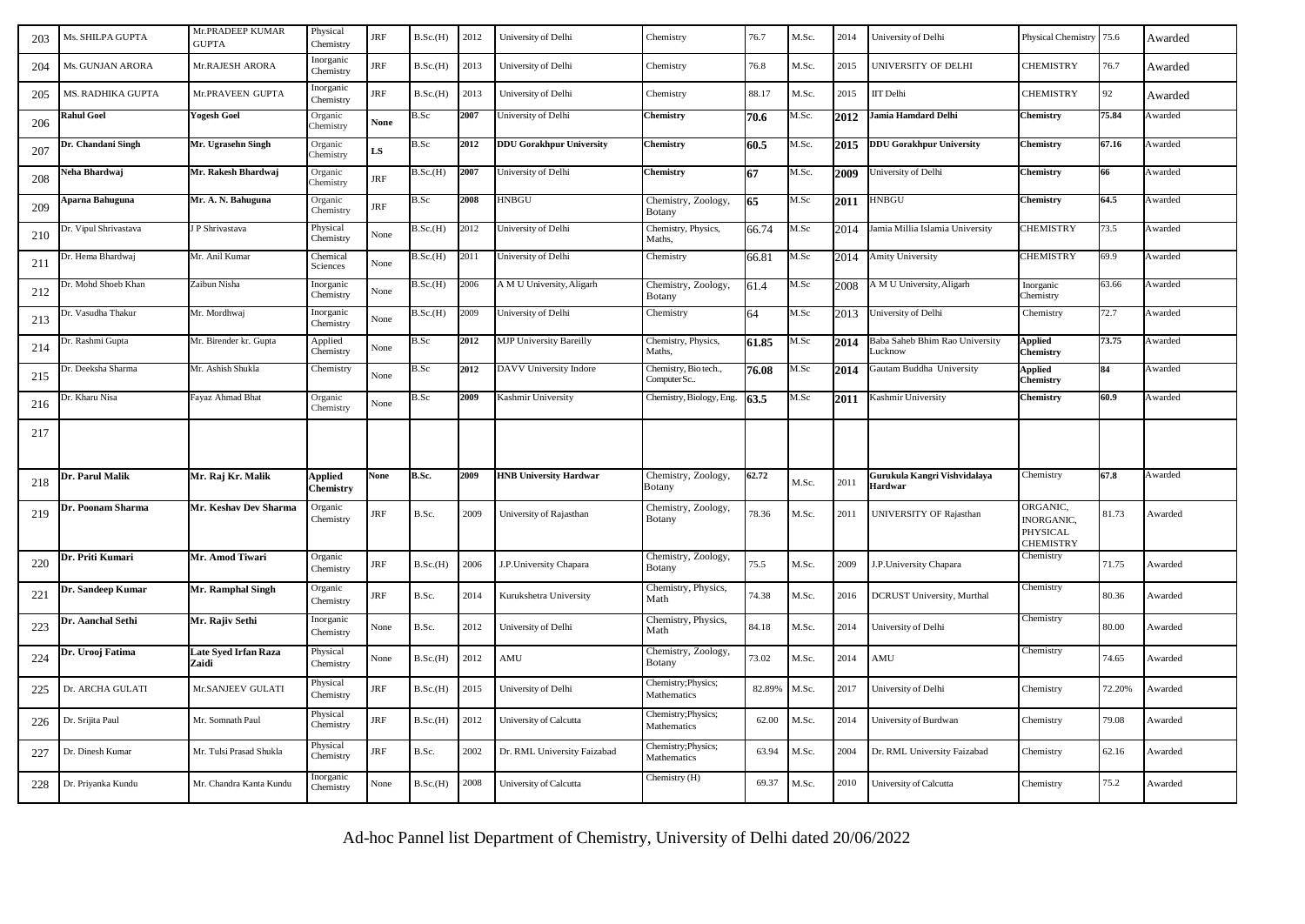| 203 | Ms. SHILPA GUPTA      | Mr.PRADEEP KUMAR<br><b>GUPTA</b> | Physical<br>Chemistry  | <b>JRF</b>  | B.Sc.(H) | 2012 | University of Delhi             | Chemistry                            | 76.7   | M.Sc. | 2014 | University of Delhi                      | Physical Chemistry                                     | 75.6   | Awarded |
|-----|-----------------------|----------------------------------|------------------------|-------------|----------|------|---------------------------------|--------------------------------------|--------|-------|------|------------------------------------------|--------------------------------------------------------|--------|---------|
| 204 | Ms. GUNJAN ARORA      | Mr.RAJESH ARORA                  | Inorganic<br>Chemistry | <b>JRF</b>  | B.Sc.(H) | 2013 | University of Delhi             | Chemistry                            | 76.8   | M.Sc. | 2015 | UNIVERSITY OF DELHI                      | <b>CHEMISTRY</b>                                       | 76.7   | Awarded |
| 205 | MS. RADHIKA GUPTA     | Mr.PRAVEEN GUPTA                 | Inorganic<br>Chemistry | <b>JRF</b>  | B.Sc.(H) | 2013 | University of Delhi             | Chemistry                            | 88.17  | M.Sc. | 2015 | IIT Delhi                                | <b>CHEMISTRY</b>                                       | 92     | Awarded |
| 206 | Rahul Goel            | Yogesh Goel                      | Organic<br>Chemistry   | <b>None</b> | B.Sc     | 2007 | University of Delhi             | Chemistry                            | 70.6   | M.Sc. | 2012 | <b>Jamia Hamdard Delhi</b>               | Chemistry                                              | 75.84  | Awarded |
| 207 | Dr. Chandani Singh    | Mr. Ugrasehn Singh               | Organic<br>Chemistry   | LS          | B.Sc     | 2012 | <b>DDU Gorakhpur University</b> | Chemistry                            | 60.5   | M.Sc. | 2015 | <b>DDU Gorakhpur University</b>          | Chemistry                                              | 67.16  | Awarded |
| 208 | leha Bhardwaj         | Mr. Rakesh Bhardwaj              | Organic<br>Chemistry   | <b>JRF</b>  | B.Sc.(H) | 2007 | University of Delhi             | Chemistry                            | 67     | M.Sc. | 2009 | University of Delhi                      | Chemistry                                              | 66     | Awarded |
| 209 | Aparna Bahuguna       | Mr. A. N. Bahuguna               | Organic<br>Chemistry   | $\rm JRF$   | B.Sc     | 2008 | <b>HNBGU</b>                    | Chemistry, Zoology,<br><b>Botany</b> | 65     | M.Sc  | 2011 | <b>HNBGU</b>                             | Chemistry                                              | 64.5   | Awarded |
| 210 | Dr. Vipul Shrivastava | J P Shrivastava                  | Physical<br>Chemistry  | None        | B.Sc.(H) | 2012 | University of Delhi             | Chemistry, Physics,<br>Maths,        | 66.74  | M.Sc  | 2014 | Jamia Millia Islamia University          | CHEMISTRY                                              | 73.5   | Awarded |
| 211 | Dr. Hema Bhardwaj     | Mr. Anil Kumar                   | Chemical<br>Sciences   | None        | B.Sc.(H) | 2011 | University of Delhi             | Chemistry                            | 66.81  | M.Sc  | 2014 | <b>Amity University</b>                  | <b>CHEMISTRY</b>                                       | 69.9   | Awarded |
| 212 | r. Mohd Shoeb Khan    | Zaibun Nisha                     | Inorganic<br>Chemistry | None        | 3.Sc.(H) | 2006 | A M U University, Aligarh       | Chemistry, Zoology,<br>Botany        | 61.4   | M.Sc  | 2008 | A M U University, Aligarh                | Inorganic<br>Chemistry                                 | 63.66  | Awarded |
| 213 | Ir. Vasudha Thakur    | Mr. Mordhwaj                     | Inorganic<br>Chemistry | None        | B.Sc.(H) | 2009 | University of Delhi             | Chemistry                            | 64     | M.Sc  | 2013 | Jniversity of Delhi                      | Chemistry                                              | 72.7   | Awarded |
| 214 | Dr. Rashmi Gupta      | Mr. Birender kr. Gupta           | Applied<br>Chemistry   | None        | B.Sc     | 2012 | <b>MJP University Bareilly</b>  | Chemistry, Physics,<br>Maths,        | 61.85  | M.Sc  | 2014 | Baba Saheb Bhim Rao University<br>ucknow | Applied<br>Chemistry                                   | 73.75  | Awarded |
| 215 | r. Deeksha Sharma     | Mr. Ashish Shukla                | Chemistry              | None        | B.Sc     | 2012 | DAVV University Indore          | Chemistry, Bio tech.,<br>Computer Sc | 76.08  | M.Sc  | 2014 | Gautam Buddha University                 | Applied<br>Chemistry                                   | 84     | Awarded |
| 216 | r. Kharu Nisa         | Fayaz Ahmad Bhat                 | Organic<br>Chemistry   | None        | B.Sc     | 2009 | Kashmir University              | Chemistry, Biology, Eng              | 63.5   | M.Sc  | 2011 | Kashmir University                       | Chemistry                                              | 60.9   | Awarded |
|     |                       |                                  |                        |             |          |      |                                 |                                      |        |       |      |                                          |                                                        |        |         |
| 217 |                       |                                  |                        |             |          |      |                                 |                                      |        |       |      |                                          |                                                        |        |         |
|     |                       |                                  |                        |             |          |      |                                 |                                      |        |       |      |                                          |                                                        |        |         |
| 218 | Dr. Parul Malik       | Mr. Raj Kr. Malik                | Applied<br>Chemistry   | None        | B.Sc.    | 2009 | <b>HNB University Hardwar</b>   | Chemistry, Zoology,<br>Botany        | 62.72  | M.Sc. | 2011 | Gurukula Kangri Vishvidalaya<br>Hardwar  | Chemistry                                              | 67.8   | Awarded |
| 219 | Dr. Poonam Sharma     | Mr. Keshav Dev Sharma            | Organic<br>Chemistry   | <b>JRF</b>  | B.Sc.    | 2009 | University of Rajasthan         | Chemistry, Zoology,<br>Botany        | 78.36  | M.Sc. | 2011 | <b>UNIVERSITY OF Rajasthan</b>           | ORGANIC,<br>INORGANIC,<br>PHYSICAL<br><b>CHEMISTRY</b> | 81.73  | Awarded |
| 220 | Dr. Priti Kumari      | Mr. Amod Tiwari                  | Organic<br>Chemistry   | <b>JRF</b>  | B.Sc.(H) | 2006 | J.P.University Chapara          | Chemistry, Zoology,<br><b>Botany</b> | 75.5   | M.Sc. | 2009 | J.P.University Chapara                   | Chemistry                                              | 71.75  | Awarded |
| 221 | Dr. Sandeep Kumar     | Mr. Ramphal Singh                | Organic<br>Chemistry   | <b>JRF</b>  | B.Sc.    | 2014 | Kurukshetra University          | Chemistry, Physics,<br>Math          | 74.38  | M.Sc. | 2016 | <b>DCRUST University, Murthal</b>        | Chemistry                                              | 80.36  | Awarded |
| 223 | Dr. Aanchal Sethi     | Mr. Rajiv Sethi                  | Inorganic<br>Chemistry | None        | B.Sc.    | 2012 | University of Delhi             | Chemistry, Physics,<br>Math          | 84.18  | M.Sc. | 2014 | University of Delhi                      | Chemistry                                              | 80.00  | Awarded |
| 224 | Dr. Urooj Fatima      | Late Syed Irfan Raza<br>Zaidi    | Physical<br>Chemistry  | None        | B.Sc.(H) | 2012 | AMU                             | Chemistry, Zoology,<br>Botany        | 73.02  | M.Sc. | 2014 | AMU                                      | Chemistry                                              | 74.65  | Awarded |
| 225 | Dr. ARCHA GULATI      | Mr.SANJEEV GULATI                | Physical<br>Chemistry  | <b>JRF</b>  | B.Sc.(H) | 2015 | University of Delhi             | Chemistry; Physics;<br>Mathematics   | 82.89% | M.Sc. | 2017 | University of Delhi                      | Chemistry                                              | 72.20% | Awarded |
| 226 | Dr. Srijita Paul      | Mr. Somnath Paul                 | Physical<br>Chemistry  | $\rm JRF$   | B.Sc.(H) | 2012 | University of Calcutta          | Chemistry; Physics;<br>Mathematics   | 62.00  | M.Sc. | 2014 | University of Burdwan                    | Chemistry                                              | 79.08  | Awarded |
| 227 | Dr. Dinesh Kumar      | Mr. Tulsi Prasad Shukla          | Physical<br>Chemistry  | JRF         | B.Sc.    | 2002 | Dr. RML University Faizabad     | Chemistry; Physics;<br>Mathematics   | 63.94  | M.Sc. | 2004 | Dr. RML University Faizabad              | Chemistry                                              | 62.16  | Awarded |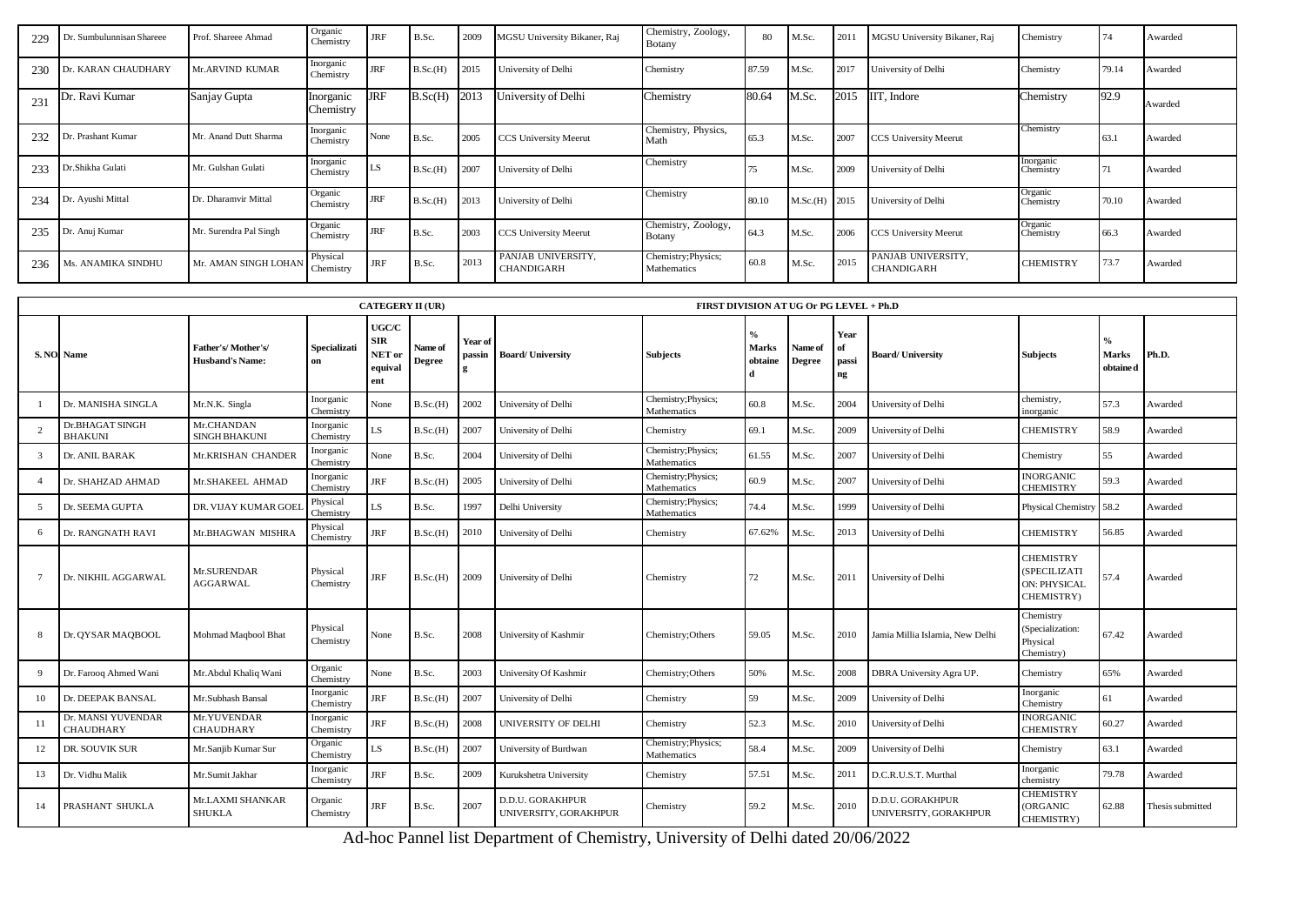| 229 | . Sumbulunnisan Shareee | Prof. Shareee Ahmad    | Organic<br>Chemistry   | <b>JRF</b> | B.Sc.    | 2009 | MGSU University Bikaner, Raj            | Chemistry, Zoology,<br><b>Botany</b> | 80    | M.Sc. | 2011 | MGSU University Bikaner, Raj            | Chemistry              |       | Awarded |
|-----|-------------------------|------------------------|------------------------|------------|----------|------|-----------------------------------------|--------------------------------------|-------|-------|------|-----------------------------------------|------------------------|-------|---------|
| 230 | Dr. KARAN CHAUDHARY     | Mr.ARVIND KUMAR        | Inorganic<br>Chemistry | <b>JRF</b> | B.Sc.(H) | 2015 | University of Delhi                     | Chemistry                            | 87.59 | M.Sc. | 2017 | University of Delhi                     | Chemistry              | 79.14 | Awarded |
| 231 | Dr. Ravi Kumar          | Sanjay Gupta           | Inorganic<br>Chemistry | <b>JRF</b> | B.Sc(H)  | 2013 | University of Delhi                     | Chemistry                            | 80.64 | M.Sc. | 2015 | IIT, Indore                             | Chemistry              | 92.9  | Awarded |
| 232 | Dr. Prashant Kumar      | Mr. Anand Dutt Sharma  | Inorganic<br>Chemistry | None       | B.Sc.    | 2005 | <b>CCS University Meerut</b>            | Chemistry, Physics,<br>Math          | 65.3  | M.Sc. | 2007 | <b>CCS University Meerut</b>            | Chemistry              | -63.  | Awarded |
| 233 | Dr.Shikha Gulati        | Mr. Gulshan Gulati     | Inorganic<br>Chemistry | LS         | B.Sc.(H) | 2007 | University of Delhi                     | Chemistry                            | 75    | M.Sc. | 2009 | University of Delhi                     | Inorganic<br>Chemistry |       | Awarded |
| 234 | Dr. Ayushi Mittal       | Dr. Dharamvir Mittal   | Organic<br>Chemistry   | <b>JRF</b> | B.Sc.(H) | 2013 | University of Delhi                     | Chemistry                            | 80.10 |       |      | M.Sc.(H) 2015 University of Delhi       | Organic<br>Chemistry   | 70.10 | Awarded |
| 235 | Dr. Anuj Kumar          | Mr. Surendra Pal Singh | Organic<br>Chemistry   | <b>JRF</b> | B.Sc.    | 2003 | <b>CCS University Meerut</b>            | Chemistry, Zoology,<br><b>Botany</b> | 64.3  | M.Sc. | 2006 | <b>CCS University Meerut</b>            | Organic<br>Chemistry   | 66.3  | Awarded |
| 236 | Ms. ANAMIKA SINDHU      | Mr. AMAN SINGH LOHAN   | Physical<br>Chemistry  | <b>JRF</b> | B.Sc.    | 2013 | PANJAB UNIVERSITY,<br><b>CHANDIGARH</b> | Chemistry; Physics;<br>Mathematics   | 60.8  | M.Sc. | 2015 | PANJAB UNIVERSITY,<br><b>CHANDIGARH</b> | <b>CHEMISTRY</b>       | 73.7  | Awarded |

|                         |                                        |                                              |                        | <b>CATEGERY II (UR)</b>                                |                          |                   |                                                  | FIRST DIVISION AT UG Or PG LEVEL + Ph.D |                                               |                          |                           |                                           |                                                                       |                    |                  |
|-------------------------|----------------------------------------|----------------------------------------------|------------------------|--------------------------------------------------------|--------------------------|-------------------|--------------------------------------------------|-----------------------------------------|-----------------------------------------------|--------------------------|---------------------------|-------------------------------------------|-----------------------------------------------------------------------|--------------------|------------------|
|                         | S. NO. Name                            | Father's/Mother's/<br><b>Husband's Name:</b> | Specializati<br>on     | <b>UGC/C</b><br><b>SIR</b><br>NET or<br>equival<br>ent | Name of<br><b>Degree</b> | Year of<br>passin | <b>Board/University</b>                          | <b>Subjects</b>                         | $\frac{0}{\alpha}$<br><b>Marks</b><br>obtaine | Name of<br><b>Degree</b> | Year<br>of<br>passi<br>ng | <b>Board/University</b>                   | <b>Subjects</b>                                                       | Marks<br>obtaine d | Ph.D.            |
|                         | Dr. MANISHA SINGLA                     | Mr.N.K. Singla                               | Inorganic<br>Chemistry | None                                                   | B.Sc.(H)                 | 2002              | University of Delhi                              | Chemistry; Physics;<br>Mathematics      | 60.8                                          | M.Sc.                    | 2004                      | University of Delhi                       | chemistry,<br>inorganic                                               | 57.3               | Awarded          |
| $\overline{2}$          | Dr.BHAGAT SINGH<br><b>BHAKUNI</b>      | Mr.CHANDAN<br><b>SINGH BHAKUNI</b>           | Inorganic<br>Chemistry | LS.                                                    | B.Sc.(H)                 | 2007              | University of Delhi                              | Chemistry                               | 69.1                                          | M.Sc.                    | 2009                      | University of Delhi                       | <b>CHEMISTRY</b>                                                      | 58.9               | Awarded          |
| $\overline{\mathbf{3}}$ | Dr. ANIL BARAK                         | Mr.KRISHAN CHANDER                           | Inorganic<br>Chemistry | None                                                   | B.Sc.                    | 2004              | University of Delhi                              | Chemistry; Physics;<br>Mathematics      | 61.55                                         | M.Sc.                    | 2007                      | University of Delhi                       | Chemistry                                                             | 55                 | Awarded          |
| $\overline{A}$          | Dr. SHAHZAD AHMAD                      | Mr.SHAKEEL AHMAD                             | Inorganic<br>Chemistry | <b>JRF</b>                                             | B.Sc.(H)                 | 2005              | University of Delhi                              | Chemistry; Physics;<br>Mathematics      | 60.9                                          | M.Sc.                    | 2007                      | University of Delhi                       | <b>INORGANIC</b><br><b>CHEMISTRY</b>                                  | 59.3               | Awarded          |
| -5                      | Dr. SEEMA GUPTA                        | DR. VIJAY KUMAR GOE                          | Physical<br>Chemistry  | LS.                                                    | B.Sc.                    | 1997              | Delhi University                                 | Chemistry; Physics;<br>Mathematics      | 74.4                                          | M.Sc.                    | 1999                      | University of Delhi                       | <b>Physical Chemistry</b>                                             | 58.2               | Awarded          |
| -6                      | Dr. RANGNATH RAVI                      | Mr.BHAGWAN MISHRA                            | Physical<br>Chemistry  | <b>JRF</b>                                             | B.Sc.(H)                 | 2010              | University of Delhi                              | Chemistry                               | 67.62%                                        | M.Sc.                    | 2013                      | University of Delhi                       | <b>CHEMISTRY</b>                                                      | 56.85              | Awarded          |
| - 7                     | Dr. NIKHIL AGGARWAL                    | Mr.SURENDAR<br><b>AGGARWAL</b>               | Physical<br>Chemistry  | <b>JRF</b>                                             | B.Sc.(H)                 | 2009              | University of Delhi                              | Chemistry                               | 72                                            | M.Sc.                    | 2011                      | University of Delhi                       | <b>CHEMISTRY</b><br>(SPECILIZATI<br><b>ON: PHYSICAL</b><br>CHEMISTRY) | 57.4               | Awarded          |
| -8                      | Dr. QYSAR MAQBOOL                      | Mohmad Maqbool Bhat                          | Physical<br>Chemistry  | None                                                   | B.Sc.                    | 2008              | University of Kashmir                            | Chemistry; Others                       | 59.05                                         | M.Sc.                    | 2010                      | Jamia Millia Islamia, New Delhi           | Chemistry<br>(Specialization:<br>Physical<br>Chemistry)               | 67.42              | Awarded          |
| - 9                     | Dr. Farooq Ahmed Wani                  | Mr. Abdul Khaliq Wani                        | Organic<br>Chemistry   | None                                                   | B.Sc.                    | 2003              | University Of Kashmir                            | Chemistry; Others                       | 50%                                           | M.Sc.                    | 2008                      | DBRA University Agra UP.                  | Chemistry                                                             | 65%                | Awarded          |
| 10                      | Dr. DEEPAK BANSAL                      | Mr.Subhash Bansal                            | Inorganic<br>Chemistry | <b>JRF</b>                                             | B.Sc.(H)                 | 2007              | University of Delhi                              | Chemistry                               | 59                                            | M.Sc.                    | 2009                      | University of Delhi                       | Inorganic<br>Chemistry                                                | 61                 | Awarded          |
| -11                     | Dr. MANSI YUVENDAR<br><b>CHAUDHARY</b> | Mr.YUVENDAR<br><b>CHAUDHARY</b>              | Inorganic<br>Chemistry | <b>JRF</b>                                             | B.Sc.(H)                 | 2008              | UNIVERSITY OF DELHI                              | Chemistry                               | 52.3                                          | M.Sc.                    | 2010                      | University of Delhi                       | <b>INORGANIC</b><br><b>CHEMISTRY</b>                                  | 60.27              | Awarded          |
| 12                      | DR. SOUVIK SUR                         | Mr.Sanjib Kumar Sur                          | Organic<br>Chemistry   | LS -                                                   | B.Sc.(H)                 | 2007              | University of Burdwan                            | Chemistry; Physics;<br>Mathematics      | 58.4                                          | M.Sc.                    | 2009                      | University of Delhi                       | Chemistry                                                             | 63.1               | Awarded          |
| 13                      | Dr. Vidhu Malik                        | Mr.Sumit Jakhar                              | Inorganic<br>Chemistry | <b>JRF</b>                                             | B.Sc.                    | 2009              | Kurukshetra University                           | Chemistry                               | 57.51                                         | M.Sc.                    | 2011                      | D.C.R.U.S.T. Murthal                      | Inorganic<br>chemistry                                                | 79.78              | Awarded          |
| 14                      | PRASHANT SHUKLA                        | Mr.LAXMI SHANKAR<br><b>SHUKLA</b>            | Organic<br>Chemistry   | JRF                                                    | B.Sc.                    | 2007              | <b>D.D.U. GORAKHPUR</b><br>UNIVERSITY, GORAKHPUR | Chemistrv                               | 59.2                                          | M.Sc.                    | 2010                      | D.D.U. GORAKHPUR<br>UNIVERSITY, GORAKHPUR | <b>CHEMISTRY</b><br><b>ORGANIC</b><br>CHEMISTRY)                      | 62.88              | Thesis submitted |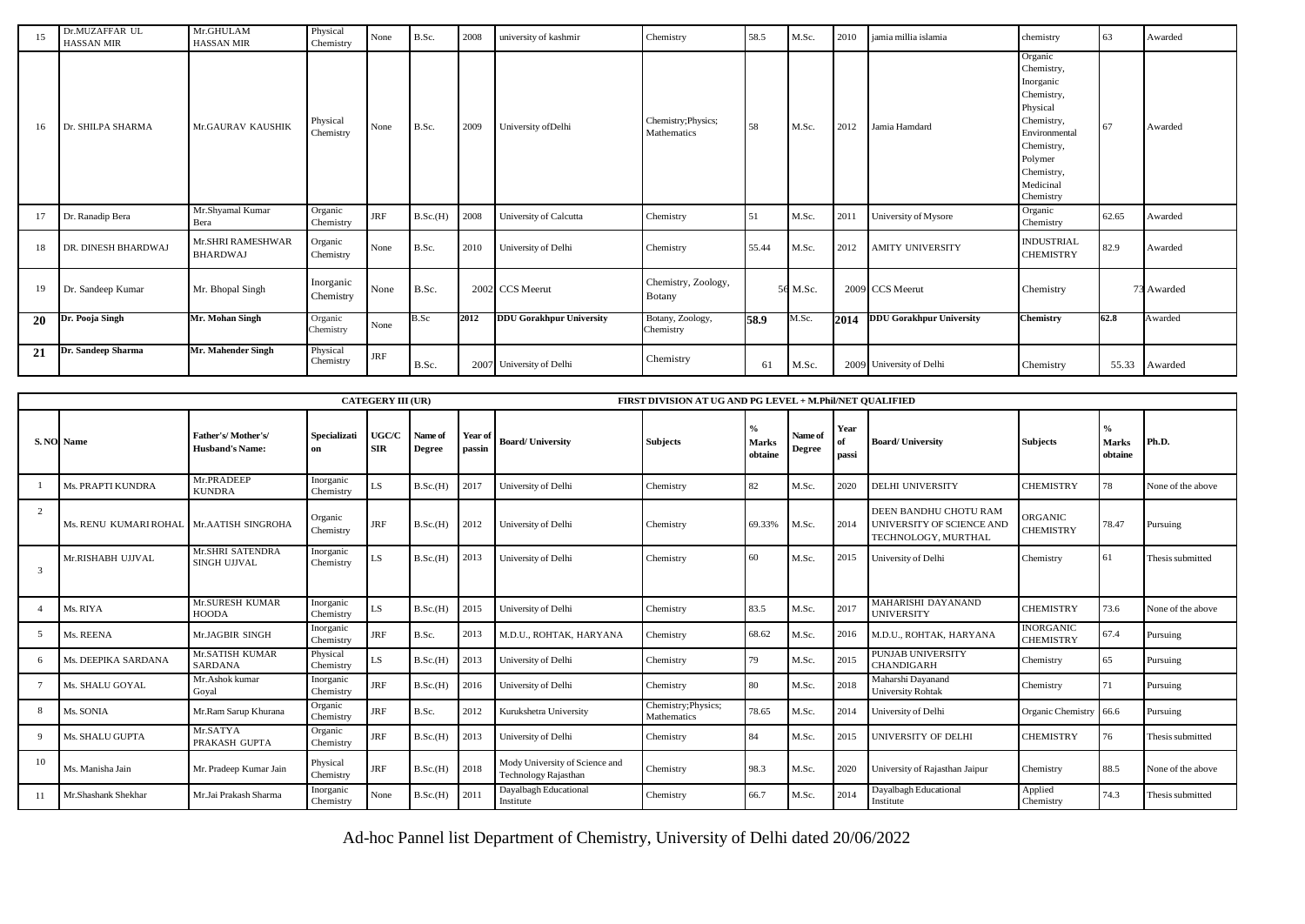| 15 | Dr.MUZAFFAR UL<br><b>HASSAN MIR</b> | Mr.GHULAM<br><b>HASSAN MIR</b>       | Physical<br>Chemistry  | None       | B.Sc.    | 2008 | university of kashmir           | Chemistry                            | 58.5  | M.Sc.    | 2010 | jamia millia islamia            | chemistry                                                                                                                                                    | 63    | Awarded    |
|----|-------------------------------------|--------------------------------------|------------------------|------------|----------|------|---------------------------------|--------------------------------------|-------|----------|------|---------------------------------|--------------------------------------------------------------------------------------------------------------------------------------------------------------|-------|------------|
| 16 | Dr. SHILPA SHARMA                   | Mr.GAURAV KAUSHIK                    | Physical<br>Chemistry  | None       | B.Sc.    | 2009 | University of Delhi             | Chemistry; Physics;<br>Mathematics   | 58    | M.Sc.    | 2012 | Jamia Hamdard                   | Organic<br>Chemistry,<br>Inorganic<br>Chemistry,<br>Physical<br>Chemistry,<br>Environmental<br>Chemistry,<br>Polymer<br>Chemistry,<br>Medicinal<br>Chemistry | 67    | Awarded    |
| 17 | Dr. Ranadip Bera                    | Mr.Shyamal Kumar<br>Bera             | Organic<br>Chemistry   | <b>JRF</b> | B.Sc.(H) | 2008 | University of Calcutta          | Chemistry                            | 51    | M.Sc.    | 2011 | University of Mysore            | Organic<br>Chemistry                                                                                                                                         | 62.65 | Awarded    |
| 18 | DR. DINESH BHARDWAJ                 | Mr.SHRI RAMESHWAR<br><b>BHARDWAJ</b> | Organic<br>Chemistry   | None       | B.Sc.    | 2010 | University of Delhi             | Chemistry                            | 55.44 | M.Sc.    | 2012 | <b>AMITY UNIVERSITY</b>         | <b>INDUSTRIAL</b><br><b>CHEMISTRY</b>                                                                                                                        | 82.9  | Awarded    |
| 19 | Dr. Sandeep Kumar                   | Mr. Bhopal Singh                     | Inorganic<br>Chemistry | None       | B.Sc.    |      | 2002 CCS Meerut                 | Chemistry, Zoology,<br><b>Botany</b> |       | 56 M.Sc. |      | 2009 CCS Meerut                 | Chemistry                                                                                                                                                    |       | 73 Awarded |
| 20 | Dr. Pooja Singh                     | Mr. Mohan Singh                      | Organic<br>Chemistry   | None       | B.Sc     | 2012 | <b>DDU Gorakhpur University</b> | Botany, Zoology,<br>Chemistry        | 58.9  | M.Sc.    | 2014 | <b>DDU Gorakhpur University</b> | Chemistry                                                                                                                                                    | 62.8  | Awarded    |
| 21 | Dr. Sandeep Sharma                  | Mr. Mahender Singh                   | Physical<br>Chemistry  | <b>JRF</b> | B.Sc.    |      | 2007 University of Delhi        | Chemistry                            | 61    | M.Sc.    |      | 2009 University of Delhi        | Chemistry                                                                                                                                                    | 55.33 | Awarded    |

|                |                                           |                                              |                        | <b>CATEGERY III (UR)</b> |                          |                   |                                                        | <b>FIRST DIVISION AT UG AND PG LEVEL + M.Phil/NET OUALIFIED</b> |                         |                          |                       |                                                                           |                                      |                                                |                   |
|----------------|-------------------------------------------|----------------------------------------------|------------------------|--------------------------|--------------------------|-------------------|--------------------------------------------------------|-----------------------------------------------------------------|-------------------------|--------------------------|-----------------------|---------------------------------------------------------------------------|--------------------------------------|------------------------------------------------|-------------------|
|                | S. NO. Name                               | Father's/Mother's/<br><b>Husband's Name:</b> | Specializati<br>on     | UGC/0<br><b>SIR</b>      | Name of<br><b>Degree</b> | Year of<br>passin | <b>Board/University</b>                                | <b>Subjects</b>                                                 | <b>Marks</b><br>obtaine | Name of<br><b>Degree</b> | Year<br>- of<br>passi | <b>Board/University</b>                                                   | <b>Subjects</b>                      | $\mathbf{0}_{\ell}$<br><b>Marks</b><br>obtaine | Ph.D.             |
|                | Ms. PRAPTI KUNDRA                         | Mr.PRADEEP<br><b>KUNDRA</b>                  | Inorganic<br>Chemistry | LS                       | B.Sc.(H)                 | 2017              | University of Delhi                                    | Chemistry                                                       | 82                      | M.Sc.                    | 2020                  | <b>DELHI UNIVERSITY</b>                                                   | <b>CHEMISTRY</b>                     | 78                                             | None of the above |
| 2              | Ms. RENU KUMARI ROHAL Mr. AATISH SINGROHA |                                              | Organic<br>Chemistry   | <b>JRF</b>               | B.Sc.(H)                 | 2012              | University of Delhi                                    | Chemistry                                                       | 69.33%                  | M.Sc.                    | 2014                  | DEEN BANDHU CHOTU RAM<br>UNIVERSITY OF SCIENCE AND<br>TECHNOLOGY, MURTHAL | ORGANIC<br><b>CHEMISTRY</b>          | 78.47                                          | Pursuing          |
| 3              | Mr.RISHABH UJJVAL                         | Mr.SHRI SATENDRA<br><b>SINGH UJJVAL</b>      | Inorganic<br>Chemistry | LS                       | B.Sc.(H)                 | 2013              | University of Delhi                                    | Chemistry                                                       | 60                      | M.Sc.                    | 2015                  | University of Delhi                                                       | Chemistry                            | 61                                             | Thesis submitted  |
|                | Ms. RIYA                                  | <b>Mr.SURESH KUMAR</b><br><b>HOODA</b>       | Inorganic<br>Chemistry | LS                       | B.Sc.(H)                 | 2015              | University of Delhi                                    | Chemistry                                                       | 83.5                    | M.Sc.                    | 2017                  | MAHARISHI DAYANAND<br><b>UNIVERSITY</b>                                   | <b>CHEMISTRY</b>                     | 73.6                                           | None of the above |
| -5             | Ms. REENA                                 | Mr.JAGBIR SINGH                              | Inorganic<br>Chemistry | <b>JRF</b>               | B.Sc.                    | 2013              | M.D.U., ROHTAK, HARYANA                                | Chemistry                                                       | 68.62                   | M.Sc.                    | 2016                  | M.D.U., ROHTAK, HARYANA                                                   | <b>INORGANIC</b><br><b>CHEMISTRY</b> | 67.4                                           | Pursuing          |
| -6             | Ms. DEEPIKA SARDANA                       | Mr.SATISH KUMAR<br><b>SARDANA</b>            | Physical<br>Chemistry  | LS                       | B.Sc.(H)                 | 2013              | University of Delhi                                    | Chemistry                                                       | 79                      | M.Sc.                    | 2015                  | PUNJAB UNIVERSITY<br><b>CHANDIGARH</b>                                    | Chemistry                            | 65                                             | Pursuing          |
| $7\phantom{1}$ | Ms. SHALU GOYAL                           | Mr.Ashok kumar<br>Goyal                      | Inorganic<br>Chemistry | <b>JRF</b>               | B.Sc.(H)                 | 2016              | University of Delhi                                    | Chemistry                                                       | 80                      | M.Sc.                    | 2018                  | Maharshi Dayanand<br><b>University Rohtak</b>                             | Chemistry                            | 71                                             | Pursuing          |
| -8             | Ms. SONIA                                 | Mr.Ram Sarup Khurana                         | Organic<br>Chemistry   | $\rm JRF$                | B.Sc.                    | 2012              | Kurukshetra University                                 | Chemistry; Physics;<br>Mathematics                              | 78.65                   | M.Sc.                    | 2014                  | University of Delhi                                                       | Organic Chemistry                    | 66.6                                           | Pursuing          |
| $\mathbf{Q}$   | Ms. SHALU GUPTA                           | Mr.SATYA<br>PRAKASH GUPTA                    | Organic<br>Chemistry   | <b>JRF</b>               | B.Sc.(H)                 | 2013              | University of Delhi                                    | Chemistry                                                       | 84                      | M.Sc.                    | 2015                  | UNIVERSITY OF DELHI                                                       | <b>CHEMISTRY</b>                     | 76                                             | Thesis submitted  |
| 10             | Ms. Manisha Jain                          | Mr. Pradeep Kumar Jain                       | Physical<br>Chemistry  | <b>JRF</b>               | B.Sc.(H)                 | 2018              | Mody University of Science and<br>Technology Rajasthan | Chemistry                                                       | 98.3                    | M.Sc.                    | 2020                  | University of Rajasthan Jaipur                                            | Chemistry                            | 88.5                                           | None of the above |
| 11             | Mr.Shashank Shekhar                       | Mr.Jai Prakash Sharma                        | Inorganic<br>Chemistry | None                     | B.Sc.(H)                 | 2011              | Davalbagh Educational<br>Institute                     | Chemistry                                                       | 66.7                    | M.Sc.                    | 2014                  | Dayalbagh Educational<br>Institute                                        | Applied<br>Chemistry                 | 74.3                                           | Thesis submitted  |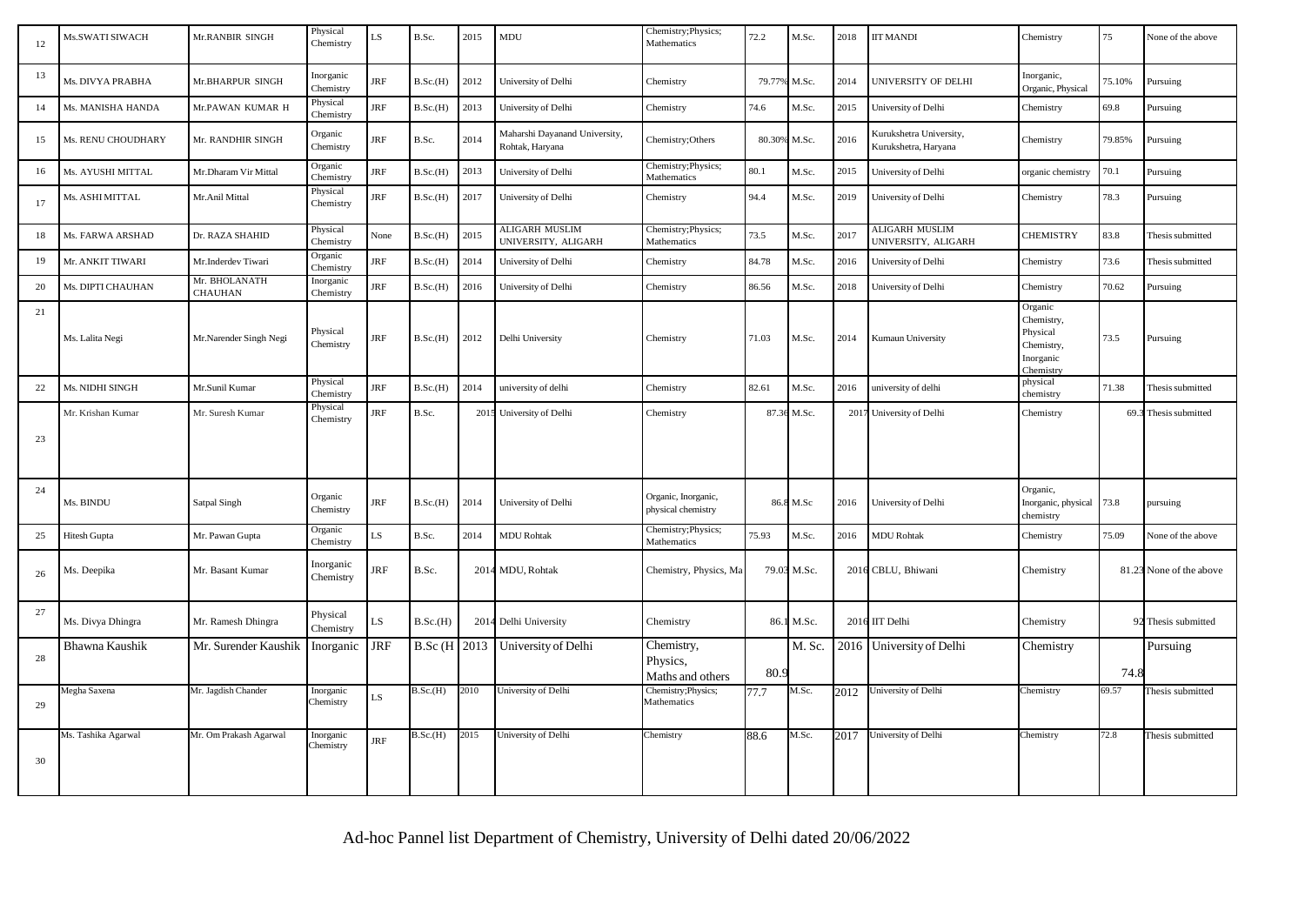| 12 | <b>Ms.SWATI SIWACH</b> | Mr.RANBIR SINGH                 | Physical<br>Chemistry  | LS.        | B.Sc.         | 2015 | MDU                                              | Chemistry; Physics;<br>Mathematics         | 72.2   | M.Sc.       | 2018 | <b>IIT MANDI</b>                                | Chemistry                                                                 | 75     | None of the above       |
|----|------------------------|---------------------------------|------------------------|------------|---------------|------|--------------------------------------------------|--------------------------------------------|--------|-------------|------|-------------------------------------------------|---------------------------------------------------------------------------|--------|-------------------------|
| 13 | Ms. DIVYA PRABHA       | Mr.BHARPUR SINGH                | Inorganic<br>Chemistry | JRF        | B.Sc.(H)      | 2012 | University of Delhi                              | Chemistry                                  | 79.77% | M.Sc.       | 2014 | UNIVERSITY OF DELHI                             | Inorganic,<br>Organic, Physical                                           | 75.10% | Pursuing                |
| 14 | Ms. MANISHA HANDA      | Mr.PAWAN KUMAR H                | Physical<br>Chemistry  | JRF        | B.Sc.(H)      | 2013 | University of Delhi                              | Chemistry                                  | 74.6   | M.Sc.       | 2015 | University of Delhi                             | Chemistry                                                                 | 69.8   | Pursuing                |
| 15 | Ms. RENU CHOUDHARY     | Mr. RANDHIR SINGH               | Organic<br>Chemistry   | JRF        | B.Sc.         | 2014 | Maharshi Dayanand University,<br>Rohtak, Haryana | Chemistry; Others                          | 80.30% | M.Sc.       | 2016 | Kurukshetra University,<br>Kurukshetra, Haryana | Chemistry                                                                 | 79.85% | Pursuing                |
| 16 | Ms. AYUSHI MITTAL      | Mr.Dharam Vir Mittal            | Organic<br>Chemistry   | <b>JRF</b> | B.Sc.(H)      | 2013 | University of Delhi                              | Chemistry; Physics;<br>Mathematics         | 80.1   | M.Sc.       | 2015 | University of Delhi                             | organic chemistry                                                         | 70.1   | Pursuing                |
| 17 | Ms. ASHI MITTAL        | Mr.Anil Mittal                  | Physical<br>Chemistry  | JRF        | B.Sc.(H)      | 2017 | University of Delhi                              | Chemistry                                  | 94.4   | M.Sc.       | 2019 | University of Delhi                             | Chemistry                                                                 | 78.3   | Pursuing                |
| 18 | Ms. FARWA ARSHAD       | Dr. RAZA SHAHID                 | Physical<br>Chemistry  | None       | B.Sc.(H)      | 2015 | ALIGARH MUSLIM<br>UNIVERSITY, ALIGARH            | Chemistry; Physics;<br>Mathematics         | 73.5   | M.Sc.       | 2017 | ALIGARH MUSLIM<br>UNIVERSITY, ALIGARH           | <b>CHEMISTRY</b>                                                          | 83.8   | Thesis submitted        |
| 19 | Mr. ANKIT TIWARI       | Mr.Inderdev Tiwari              | Organic<br>Chemistry   | <b>JRF</b> | B.Sc.(H)      | 2014 | University of Delhi                              | Chemistry                                  | 84.78  | M.Sc.       | 2016 | University of Delhi                             | Chemistry                                                                 | 73.6   | Thesis submitted        |
| 20 | Ms. DIPTI CHAUHAN      | Mr. BHOLANATH<br><b>CHAUHAN</b> | Inorganic<br>Chemistry | <b>JRF</b> | B.Sc.(H)      | 2016 | University of Delhi                              | Chemistry                                  | 86.56  | M.Sc.       | 2018 | University of Delhi                             | Chemistry                                                                 | 70.62  | Pursuing                |
| 21 | Ms. Lalita Negi        | Mr.Narender Singh Negi          | Physical<br>Chemistry  | <b>JRF</b> | B.Sc.(H)      | 2012 | Delhi University                                 | Chemistry                                  | 71.03  | M.Sc.       | 2014 | Kumaun University                               | Organic<br>Chemistry,<br>Physical<br>Chemistry,<br>Inorganic<br>Chemistry | 73.5   | Pursuing                |
| 22 | Ms. NIDHI SINGH        | Mr.Sunil Kumar                  | Physical<br>Chemistry  | <b>JRF</b> | B.Sc.(H)      | 2014 | university of delhi                              | Chemistry                                  | 82.61  | M.Sc.       | 2016 | university of delhi                             | physical<br>chemistry                                                     | 71.38  | Thesis submitted        |
| 23 | Mr. Krishan Kumar      | Mr. Suresh Kumar                | Physical<br>Chemistry  | <b>JRF</b> | B.Sc.         |      | 2015 University of Delhi                         | Chemistry                                  |        | 87.36 M.Sc. |      | 2017 University of Delhi                        | Chemistry                                                                 |        | 69.3 Thesis submitted   |
| 24 | Ms. BINDU              | Satpal Singh                    | Organic<br>Chemistry   | <b>JRF</b> | B.Sc.(H)      | 2014 | University of Delhi                              | Organic, Inorganic,<br>physical chemistry  | 86.8   | M.Sc        | 2016 | University of Delhi                             | Organic,<br>Inorganic, physical<br>chemistry                              | 73.8   | pursuing                |
| 25 | <b>Hitesh Gupta</b>    | Mr. Pawan Gupta                 | Organic<br>Chemistry   | LS         | B.Sc.         | 2014 | <b>MDU</b> Rohtak                                | Chemistry; Physics;<br>Mathematics         | 75.93  | M.Sc.       | 2016 | <b>MDU</b> Rohtak                               | Chemistry                                                                 | 75.09  | None of the above       |
| 26 | Ms. Deepika            | Mr. Basant Kumar                | Inorganic<br>Chemistry | <b>IRF</b> | B.Sc.         |      | 2014 MDU, Rohtak                                 | Chemistry, Physics, Ma                     |        | 79.03 M.Sc. |      | 2016 CBLU, Bhiwani                              | Chemistry                                                                 |        | 81.23 None of the above |
| 27 | Ms. Divya Dhingra      | Mr. Ramesh Dhingra              | Physical<br>Chemistry  | LS         | B.Sc.(H)      |      | 2014 Delhi University                            | Chemistry                                  | 86.1   | M.Sc.       |      | 2016 IIT Delhi                                  | Chemistry                                                                 |        | 92 Thesis submitted     |
| 28 | Bhawna Kaushik         | Mr. Surender Kaushik            | Inorganic              | JRF        | B.Sc(H   2013 |      | University of Delhi                              | Chemistry,<br>Physics,<br>Maths and others | 80.    | M. Sc.      |      | 2016 University of Delhi                        | Chemistry                                                                 | 74.    | Pursuing                |
| 29 | Megha Saxena           | Mr. Jagdish Chander             | Inorganic<br>Chemistry | LS.        | B.Sc.(H)      | 2010 | University of Delhi                              | Chemistry; Physics;<br>Mathematics         | 77.7   | M.Sc.       | 2012 | University of Delhi                             | Chemistry                                                                 | 69.57  | Thesis submitted        |
| 30 | Ms. Tashika Agarwal    | Mr. Om Prakash Agarwal          | Inorganic<br>Chemistry | <b>JRF</b> | 3.Sc.(H)      | 2015 | University of Delhi                              | Chemistry                                  | 88.6   | M.Sc.       | 2017 | University of Delhi                             | Chemistry                                                                 | 72.8   | Thesis submitted        |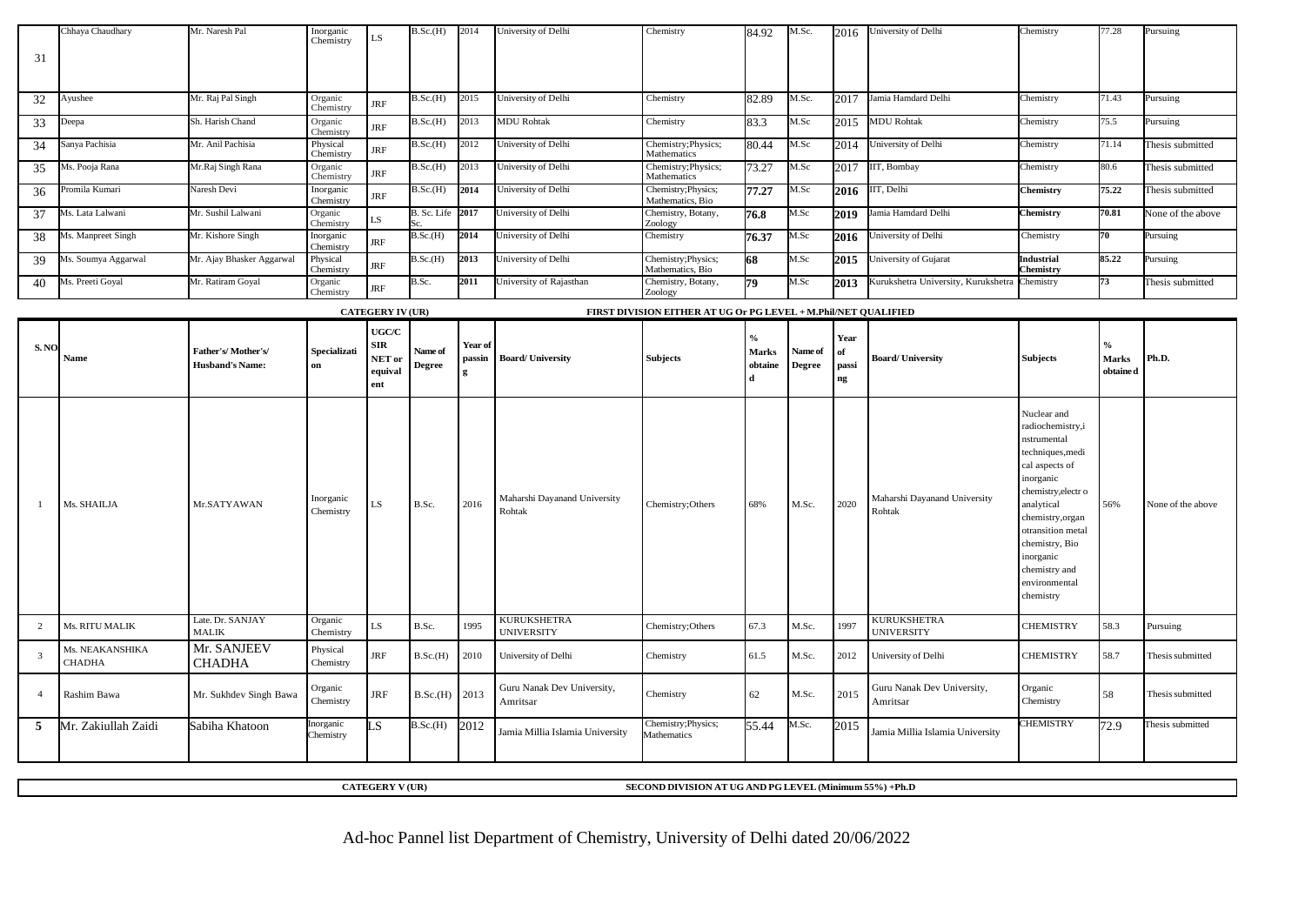|                | Chhaya Chaudhary          | Mr. Naresh Pal                               | Inorganic<br>Chemistry | LS.                                             | B.Sc.(H)                 | 2014              | University of Delhi                     | Chemistry                                                      | 84.92                                         | M.Sc.                    | 2016                      | University of Delhi                     | Chemistry                                                                                                                                                                                                                                                    | 77.28                     | Pursuing          |
|----------------|---------------------------|----------------------------------------------|------------------------|-------------------------------------------------|--------------------------|-------------------|-----------------------------------------|----------------------------------------------------------------|-----------------------------------------------|--------------------------|---------------------------|-----------------------------------------|--------------------------------------------------------------------------------------------------------------------------------------------------------------------------------------------------------------------------------------------------------------|---------------------------|-------------------|
| 31             |                           |                                              |                        |                                                 |                          |                   |                                         |                                                                |                                               |                          |                           |                                         |                                                                                                                                                                                                                                                              |                           |                   |
| 32             | Ayushee                   | Mr. Raj Pal Singh                            | Organic<br>Chemistry   | <b>JRF</b>                                      | B.Sc.(H)                 | 2015              | University of Delhi                     | Chemistry                                                      | 82.89                                         | M.Sc.                    | 2017                      | Jamia Hamdard Delhi                     | Chemistry                                                                                                                                                                                                                                                    | 71.43                     | Pursuing          |
| 33             | Deepa                     | Sh. Harish Chand                             | Organic<br>Chemistry   | <b>JRF</b>                                      | B.Sc.(H)                 | 2013              | <b>MDU</b> Rohtak                       | Chemistry                                                      | 83.3                                          | M.Sc                     | 2015                      | <b>MDU</b> Rohtak                       | Chemistry                                                                                                                                                                                                                                                    | 75.5                      | ursuing           |
| 34             | Sanya Pachisia            | Mr. Anil Pachisia                            | Physical<br>Chemistry  | JRF                                             | B.Sc.(H)                 | 2012              | University of Delhi                     | Chemistry; Physics;<br>Mathematics                             | 80.44                                         | M.Sc                     | 2014                      | University of Delhi                     | Chemistry                                                                                                                                                                                                                                                    | 71.14                     | Thesis submitted  |
| 35             | Ms. Pooja Rana            | Mr.Raj Singh Rana                            | Organic<br>Chemistry   | JRF                                             | B.Sc.(H)                 | 2013              | University of Delhi                     | Chemistry; Physics;<br>Mathematics                             | 73.27                                         | M.Sc                     | 2017                      | IIT, Bombay                             | Chemistry                                                                                                                                                                                                                                                    | 80.6                      | Thesis submitted  |
| 36             | Promila Kumari            | Naresh Devi                                  | Inorganic<br>Chemistry | <b>JRF</b>                                      | B.Sc.(H)                 | 2014              | University of Delhi                     | Chemistry; Physics;<br>Mathematics, Bio                        | 77.27                                         | M.Sc                     | 2016                      | IT, Delhi                               | Chemistry                                                                                                                                                                                                                                                    | 75.22                     | Thesis submitted  |
| 37             | Ms. Lata Lalwani          | Mr. Sushil Lalwani                           | Organic<br>Chemistry   | LS.                                             | B. Sc. Life              | 2017              | University of Delhi                     | Chemistry, Botany,<br>Zoology                                  | 76.8                                          | M.Sc                     | 2019                      | amia Hamdard Delhi                      | Chemistry                                                                                                                                                                                                                                                    | 70.81                     | None of the above |
| 38             | Ms. Manpreet Singh        | Mr. Kishore Singh                            | Inorganic<br>Chemistry | <b>JRF</b>                                      | 3.Sc.(H)                 | 2014              | Jniversity of Delhi                     | Chemistry                                                      | 76.37                                         | M.Sc                     | 2016                      | Jniversity of Delhi                     | Chemistry                                                                                                                                                                                                                                                    | 70                        | Pursuing          |
| 39             | Ms. Soumya Aggarwal       | Mr. Ajay Bhasker Aggarwal                    | Physical<br>Chemistry  | <b>JRF</b>                                      | S.C.(H)                  | 2013              | Jniversity of Delhi                     | Chemistry; Physics;<br>Mathematics, Bio                        | 68                                            | M.Sc                     | 2015                      | Jniversity of Gujarat                   | Industrial<br>Chemistry                                                                                                                                                                                                                                      | 85.22                     | ursuing           |
| 40             | Ms. Preeti Goyal          | Mr. Ratiram Goyal                            | Organic<br>Chemistry   | $\rm JRF$                                       | 3.Sc.                    | 2011              | University of Rajasthan                 | Chemistry, Botany,<br>Zoology                                  | 79                                            | M.Sc                     | 2013                      | Kurukshetra University, Kurukshetra     | Chemistry                                                                                                                                                                                                                                                    | 73                        | Thesis submitted  |
|                |                           |                                              |                        | <b>CATEGERY IV (UR)</b>                         |                          |                   |                                         | FIRST DIVISION EITHER AT UG Or PG LEVEL + M.Phil/NET QUALIFIED |                                               |                          |                           |                                         |                                                                                                                                                                                                                                                              |                           |                   |
| S.NC           | Name                      | Father's/Mother's/<br><b>Husband's Name:</b> | Specializati<br>on     | <b>UGC/C</b><br>SIR<br>NET or<br>equival<br>ent | Name of<br><b>Degree</b> | Year of<br>passin | <b>Board/University</b>                 | <b>Subjects</b>                                                | $\frac{0}{0}$<br><b>Marks</b><br>obtaine<br>d | Name of<br><b>Degree</b> | Year<br>of<br>passi<br>ng | <b>Board/ University</b>                | <b>Subjects</b>                                                                                                                                                                                                                                              | Marks<br>${\bf obtained}$ | Ph.D.             |
| $\overline{1}$ | Ms. SHAILJA               | Mr.SATYAWAN                                  | Inorganic<br>Chemistry | LS                                              | B.Sc.                    | 2016              | Maharshi Dayanand University<br>Rohtak  | Chemistry; Others                                              | 68%                                           | M.Sc.                    | 2020                      | Maharshi Dayanand University<br>Rohtak  | Nuclear and<br>radiochemistry,i<br>nstrumental<br>techniques, medi<br>cal aspects of<br>inorganic<br>chemistry, electro<br>analytical<br>chemistry, organ<br>otransition metal<br>chemistry, Bio<br>inorganic<br>chemistry and<br>environmental<br>chemistry | 56%                       | None of the above |
| 2              | Ms. RITU MALIK            | Late. Dr. SANJAY<br><b>MALIK</b>             | Organic<br>Chemistry   | LS.                                             | B.Sc.                    | 1995              | <b>KURUKSHETRA</b><br><b>UNIVERSITY</b> | Chemistry; Others                                              | 67.3                                          | M.Sc.                    | 1997                      | <b>KURUKSHETRA</b><br><b>UNIVERSITY</b> | <b>CHEMISTRY</b>                                                                                                                                                                                                                                             | 58.3                      | Pursuing          |
| 3              | Ms. NEAKANSHIKA<br>CHADHA | Mr. SANJEEV<br><b>CHADHA</b>                 | Physical<br>Chemistry  | <b>JRF</b>                                      | B.Sc.(H)                 | 2010              | University of Delhi                     | Chemistry                                                      | 61.5                                          | M.Sc.                    | 2012                      | University of Delhi                     | <b>CHEMISTRY</b>                                                                                                                                                                                                                                             | 58.7                      | Thesis submitted  |
| $\overline{4}$ | Rashim Bawa               | Mr. Sukhdev Singh Bawa                       | Organic<br>Chemistry   | JRF                                             | B.Sc.(H)                 | 2013              | Guru Nanak Dev University,<br>Amritsar  | Chemistry                                                      | 62                                            | M.Sc.                    | 2015                      | Guru Nanak Dev University,<br>Amritsar  | Organic<br>Chemistry                                                                                                                                                                                                                                         | 58                        | Thesis submitted  |
| 5              | Mr. Zakiullah Zaidi       | Sabiha Khatoon                               | Inorganic<br>Chemistry | -S                                              | B.Sc.(H)                 | 2012              | Jamia Millia Islamia University         | Chemistry; Physics;<br>Mathematics                             | 55.44                                         | M.Sc.                    | 2015                      | Jamia Millia Islamia University         | <b>HEMISTRY</b>                                                                                                                                                                                                                                              | 72.9                      | Thesis submitted  |

**CATEGERY V (UR) SECOND DIVISION AT UG AND PG LEVEL(Minimum 55%) +Ph.D**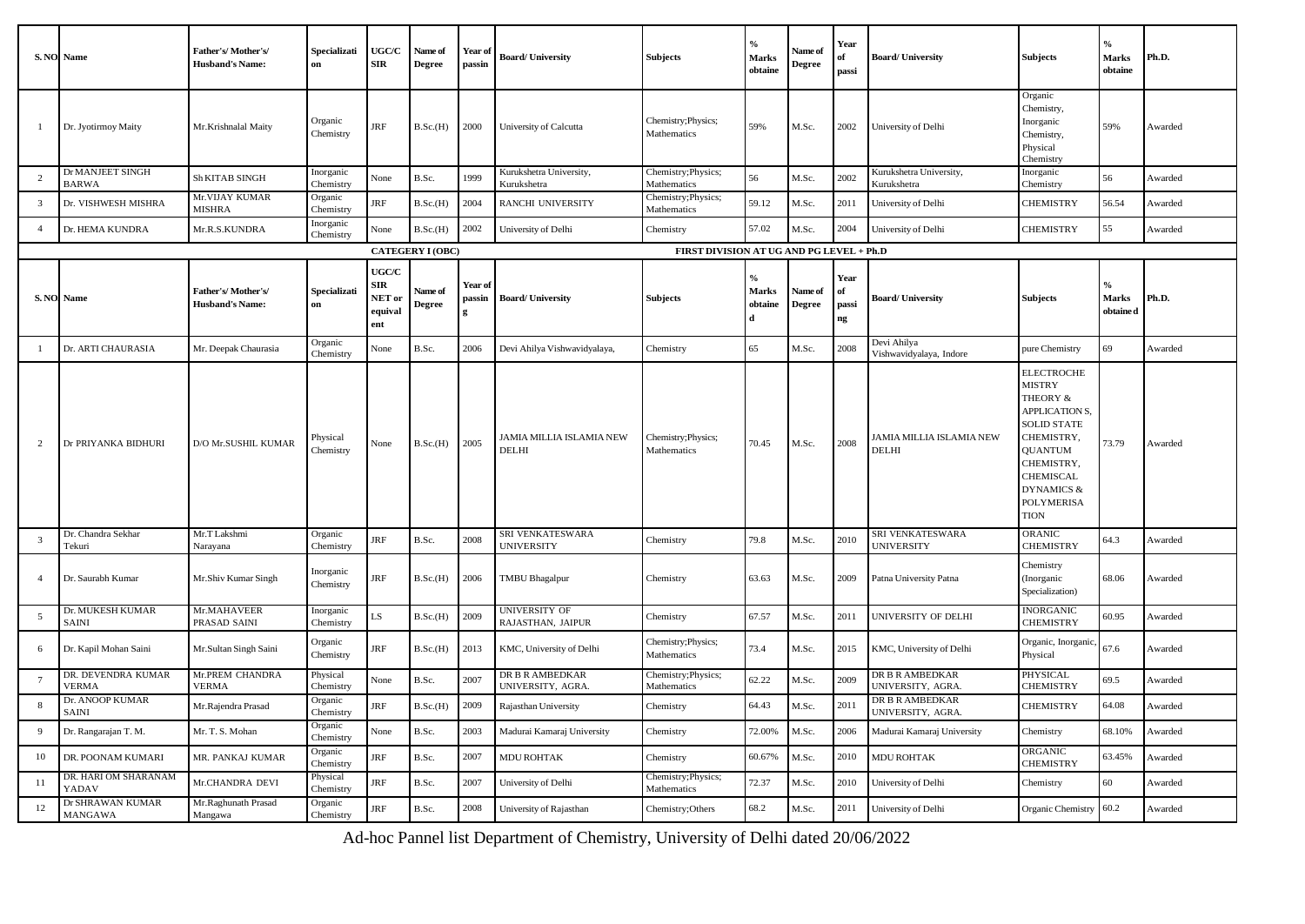| S. NO. Name             |                                    | Father's/Mother's/<br><b>Husband's Name:</b> | Specializati<br>on            | UGC/C<br>SIR                             | Name of<br>Degree       | Year of<br>passin | <b>Board/ University</b>                  | <b>Subjects</b>                          | $\frac{0}{0}$<br>Marks<br>obtaine | Name of<br>Degree        | Year<br>passi                                                  | <b>Board/University</b>                | <b>Subjects</b>                                                                                                                                                                                 | Marks<br>obtaine   | Ph.D.   |
|-------------------------|------------------------------------|----------------------------------------------|-------------------------------|------------------------------------------|-------------------------|-------------------|-------------------------------------------|------------------------------------------|-----------------------------------|--------------------------|----------------------------------------------------------------|----------------------------------------|-------------------------------------------------------------------------------------------------------------------------------------------------------------------------------------------------|--------------------|---------|
| $\mathbf{1}$            | Dr. Jyotirmoy Maity                | Mr.Krishnalal Maity                          | Organic<br>Chemistry          | JRF                                      | B.Sc.(H)                | 2000              | University of Calcutta                    | Chemistry; Physics;<br>Mathematics       | 59%                               | M.Sc.                    | 2002                                                           | University of Delhi                    | Organic<br>Chemistry,<br>Inorganic<br>Chemistry,<br>Physical<br>Chemistry                                                                                                                       | 59%                | Awarded |
| $\overline{2}$          | Dr MANJEET SINGH<br><b>BARWA</b>   | Sh KITAB SINGH                               | Inorganic<br>Chemistry        | None                                     | B.Sc.                   | 1999              | Kurukshetra University,<br>Kurukshetra    | Chemistry; Physics;<br>Mathematics       | 56                                | M.Sc.                    | 2002                                                           | Kurukshetra University,<br>Kurukshetra | Inorganic<br>Chemistry                                                                                                                                                                          | 56                 | Awarded |
| $\overline{\mathbf{3}}$ | Dr. VISHWESH MISHRA                | Mr.VIJAY KUMAR<br><b>MISHRA</b>              | Organic<br>Chemistry          | JRF                                      | B.Sc.(H)                | 2004              | RANCHI UNIVERSITY                         | Chemistry; Physics;<br>Mathematics       | 59.12                             | M.Sc.                    | 2011                                                           | University of Delhi                    | CHEMISTRY                                                                                                                                                                                       | 56.54              | Awarded |
| $\overline{4}$          | Dr. HEMA KUNDRA                    | Mr.R.S.KUNDRA                                | Inorganic<br>Chemistry        | None                                     | B.Sc.(H)                | 2002              | University of Delhi                       | Chemistry                                | 57.02                             | M.Sc.                    | 2004                                                           | University of Delhi                    | CHEMISTRY                                                                                                                                                                                       | 55                 | Awarded |
|                         |                                    |                                              |                               |                                          | <b>CATEGERY I (OBC)</b> |                   |                                           | FIRST DIVISION AT UG AND PG LEVEL + Ph.D |                                   |                          |                                                                |                                        |                                                                                                                                                                                                 |                    |         |
| S. NO. Name             |                                    | Father's/Mother's/<br><b>Husband's Name:</b> | Specializati<br>$\mathbf{on}$ | UGC/C<br>SIR<br>NET 01<br>equival<br>ent | Name of<br>Degree       | Year of<br>passin | <b>Board/University</b>                   | <b>Subjects</b>                          | $\frac{1}{2}$<br>Marks<br>obtaine | Name of<br><b>Degree</b> | Year<br>of<br>passi<br>$\boldsymbol{\mathop{\rm ng}\nolimits}$ | <b>Board/University</b>                | <b>Subjects</b>                                                                                                                                                                                 | Marks<br>obtaine d | Ph.D.   |
| $\mathbf{1}$            | Dr. ARTI CHAURASIA                 | Mr. Deepak Chaurasia                         | Organic<br>Chemistry          | None                                     | B.Sc.                   | 2006              | Devi Ahilya Vishwavidyalaya,              | Chemistry                                | 65                                | M.Sc.                    | 2008                                                           | Devi Ahilya<br>Vishwavidyalaya, Indore | pure Chemistry                                                                                                                                                                                  | 69                 | Awarded |
| 2                       | Dr PRIYANKA BIDHURI                | D/O Mr.SUSHIL KUMAR                          | Physical<br>Chemistry         | None                                     | B.Sc.(H)                | 2005              | IAMIA MILLIA ISLAMIA NEW<br>DELHI         | Chemistry; Physics;<br>Mathematics       | 70.45                             | M.Sc.                    | 2008                                                           | JAMIA MILLIA ISLAMIA NEW<br>DELHI      | <b>ELECTROCHE</b><br>MISTRY<br>THEORY &<br>APPLICATION S,<br><b>SOLID STATE</b><br>CHEMISTRY,<br><b>QUANTUM</b><br>CHEMISTRY,<br><b>CHEMISCAL</b><br>DYNAMICS $\&$<br><b>POLYMERISA</b><br>TION | 73.79              | Awarded |
| $\overline{\mathbf{3}}$ | Dr. Chandra Sekhar<br>Tekuri       | Mr.T Lakshmi<br>Narayana                     | Organic<br>Chemistry          | <b>JRF</b>                               | B.Sc.                   | 2008              | SRI VENKATESWARA<br><b>UNIVERSITY</b>     | Chemistry                                | 79.8                              | M.Sc.                    | 2010                                                           | SRI VENKATESWARA<br><b>UNIVERSITY</b>  | <b>ORANIC</b><br><b>CHEMISTRY</b>                                                                                                                                                               | 64.3               | Awarded |
| $\overline{4}$          | Dr. Saurabh Kumar                  | Mr.Shiv Kumar Singh                          | Inorganic<br>Chemistry        | JRF                                      | B.Sc.(H)                | 2006              | TMBU Bhagalpur                            | Chemistry                                | 63.63                             | M.Sc.                    | 2009                                                           | Patna University Patna                 | Chemistry<br>(Inorganic<br>Specialization)                                                                                                                                                      | 68.06              | Awarded |
| 5                       | Dr. MUKESH KUMAR<br>SAINI          | Mr.MAHAVEER<br>PRASAD SAINI                  | Inorganic<br>Chemistry        | LS                                       | B.Sc.(H)                | 2009              | <b>UNIVERSITY OF</b><br>RAJASTHAN, JAIPUR | Chemistry                                | 67.57                             | M.Sc.                    | 2011                                                           | UNIVERSITY OF DELHI                    | <b>INORGANIC</b><br><b>CHEMISTRY</b>                                                                                                                                                            | 50.95              | Awarded |
| 6                       | Dr. Kapil Mohan Saini              | Mr.Sultan Singh Saini                        | Organic<br>Chemistry          | JRF                                      | B.Sc.(H)                | 2013              | KMC, University of Delhi                  | Chemistry; Physics;<br>Mathematics       | 73.4                              | M.Sc.                    | 2015                                                           | KMC, University of Delhi               | Organic, Inorganic<br>Physical                                                                                                                                                                  | 67.6               | Awarded |
| $7\phantom{.0}$         | DR. DEVENDRA KUMAR<br>VERMA        | Mr.PREM CHANDRA<br><b>VERMA</b>              | Physical<br>Chemistry         | None                                     | B.Sc.                   | 2007              | DR B R AMBEDKAR<br>UNIVERSITY, AGRA.      | Chemistry; Physics;<br>Mathematics       | 62.22                             | M.Sc.                    | 2009                                                           | DR B R AMBEDKAR<br>UNIVERSITY, AGRA    | PHYSICAL<br>CHEMISTRY                                                                                                                                                                           | 59.5               | Awarded |
| $\,8\,$                 | Dr. ANOOP KUMAR<br><b>SAINI</b>    | Mr.Rajendra Prasad                           | Organic<br>Chemistry          | JRF                                      | B.Sc.(H)                | 2009              | Rajasthan University                      | Chemistry                                | 64.43                             | M.Sc.                    | 2011                                                           | DR B R AMBEDKAR<br>UNIVERSITY, AGRA.   | <b>CHEMISTRY</b>                                                                                                                                                                                | 64.08              | Awarded |
| 9                       | Dr. Rangarajan T. M.               | Mr. T. S. Mohan                              | Organic<br>Chemistry          | None                                     | B.Sc.                   | 2003              | Madurai Kamaraj University                | Chemistry                                | 72.00%                            | M.Sc.                    | 2006                                                           | Madurai Kamaraj University             | Chemistry                                                                                                                                                                                       | 68.10%             | Awarded |
| 10                      | DR. POONAM KUMARI                  | MR. PANKAJ KUMAR                             | Organic<br>Chemistry          | JRF                                      | B.Sc.                   | 2007              | <b>MDU ROHTAK</b>                         | Chemistry                                | 60.67%                            | M.Sc.                    | 2010                                                           | <b>MDU ROHTAK</b>                      | ORGANIC<br><b>CHEMISTRY</b>                                                                                                                                                                     | 63.45%             | Awarded |
| 11                      | DR. HARI OM SHARANAM<br>YADAV      | Mr.CHANDRA DEVI                              | Physical<br>Chemistry         | <b>JRF</b>                               | B.Sc.                   | 2007              | University of Delhi                       | Chemistry; Physics;<br>Mathematics       | 72.37                             | M.Sc.                    | 2010                                                           | University of Delhi                    | Chemistry                                                                                                                                                                                       | 60                 | Awarded |
| 12                      | Dr SHRAWAN KUMAR<br><b>MANGAWA</b> | Mr.Raghunath Prasad<br>Mangawa               | Organic<br>Chemistry          | JRF                                      | B.Sc.                   | 2008              | University of Rajasthan                   | Chemistry; Others                        | 68.2                              | M.Sc.                    | 2011                                                           | University of Delhi                    | Organic Chemistry                                                                                                                                                                               | 60.2               | Awarded |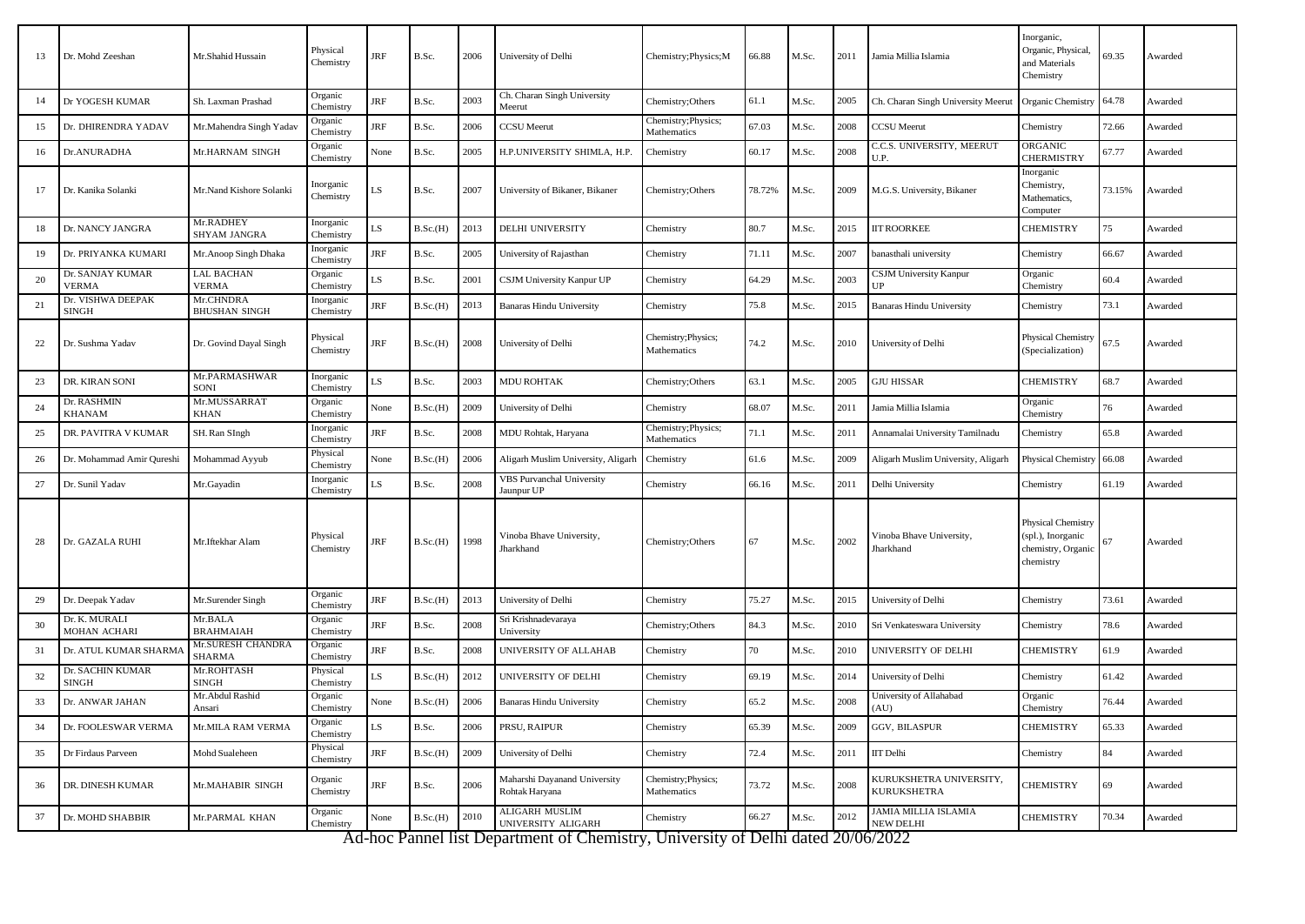| 13 | Dr. Mohd Zeeshan              | Mr.Shahid Hussain                  | Physical<br>Chemistry  | JRF  | B.Sc.    | 2006 | University of Delhi                                    | Chemistry; Physics; M              | 66.88  | M.Sc.          | 2011 | Jamia Millia Islamia                   | Inorganic,<br>Organic, Physical,<br>and Materials<br>Chemistry             | 69.35  | Awarded |
|----|-------------------------------|------------------------------------|------------------------|------|----------|------|--------------------------------------------------------|------------------------------------|--------|----------------|------|----------------------------------------|----------------------------------------------------------------------------|--------|---------|
| 14 | Dr YOGESH KUMAR               | Sh. Laxman Prashad                 | Organic<br>Chemistry   | JRF  | B.Sc.    | 2003 | Ch. Charan Singh University<br>Meerut                  | Chemistry; Others                  | 61.1   | M.Sc.          | 2005 | Ch. Charan Singh University Meerut     | Organic Chemistry                                                          | 64.78  | Awarded |
| 15 | Dr. DHIRENDRA YADAV           | Mr.Mahendra Singh Yadav            | Organic<br>Chemistry   | JRF  | B.Sc.    | 2006 | <b>CCSU</b> Meerut                                     | Chemistry; Physics;<br>Mathematics | 67.03  | M.Sc.          | 2008 | <b>CCSU</b> Meerut                     | Chemistry                                                                  | 72.66  | Awarded |
| 16 | Dr.ANURADHA                   | Mr.HARNAM SINGH                    | Organic<br>Chemistry   | None | B.Sc.    | 2005 | H.P.UNIVERSITY SHIMLA, H.P.                            | Chemistry                          | 60.17  | M.Sc.          | 2008 | C.C.S. UNIVERSITY, MEERUT<br>U.P.      | ORGANIC<br>CHERMISTRY                                                      | 57.77  | Awarded |
| 17 | Dr. Kanika Solanki            | Mr.Nand Kishore Solanki            | Inorganic<br>Chemistry | LS.  | B.Sc.    | 2007 | University of Bikaner, Bikaner                         | Chemistry; Others                  | 78.72% | M.Sc.          | 2009 | M.G.S. University, Bikaner             | Inorganic<br>Chemistry,<br>Mathematics,<br>Computer                        | 73.15% | Awarded |
| 18 | Dr. NANCY JANGRA              | Mr.RADHEY<br>SHYAM JANGRA          | Inorganic<br>Chemistry | LS   | B.Sc.(H) | 2013 | DELHI UNIVERSITY                                       | Chemistry                          | 80.7   | M.Sc.          | 2015 | <b>IIT ROORKEE</b>                     | <b>CHEMISTRY</b>                                                           | 75     | Awarded |
| 19 | Dr. PRIYANKA KUMARI           | Mr. Anoop Singh Dhaka              | Inorganic<br>Chemistry | JRF  | B.Sc.    | 2005 | University of Rajasthan                                | Chemistry                          | 71.11  | M.Sc.          | 2007 | banasthali university                  | Chemistry                                                                  | 66.67  | Awarded |
| 20 | Dr. SANJAY KUMAR<br>VERMA     | <b>LAL BACHAN</b><br><b>VERMA</b>  | Organic<br>Chemistry   | LS.  | B.Sc.    | 2001 | CSJM University Kanpur UP                              | Chemistry                          | 64.29  | M.Sc.          | 2003 | <b>CSJM University Kanpur</b><br>ПP    | Organic<br>Chemistry                                                       | 60.4   | Awarded |
| 21 | Dr. VISHWA DEEPAK<br>SINGH    | Mr.CHNDRA<br><b>BHUSHAN SINGH</b>  | Inorganic<br>Chemistry | JRF  | B.Sc.(H) | 2013 | <b>Banaras Hindu University</b>                        | Chemistry                          | 75.8   | M.Sc.          | 2015 | <b>Banaras Hindu University</b>        | Chemistry                                                                  | 73.1   | Awarded |
| 22 | Dr. Sushma Yadav              | Dr. Govind Dayal Singh             | Physical<br>Chemistry  | JRF  | B.Sc.(H) | 2008 | University of Delhi                                    | Chemistry; Physics;<br>Mathematics | 74.2   | M.Sc.          | 2010 | University of Delhi                    | Physical Chemistry<br>(Specialization)                                     | 67.5   | Awarded |
| 23 | DR. KIRAN SONI                | Mr.PARMASHWAR<br>SONI              | Inorganic<br>Chemistry | LS   | B.Sc.    | 2003 | <b>MDU ROHTAK</b>                                      | Chemistry; Others                  | 63.1   | M.Sc.          | 2005 | <b>GJU HISSAR</b>                      | <b>CHEMISTRY</b>                                                           | 68.7   | Awarded |
| 24 | Dr. RASHMIN<br>KHANAM         | Mr.MUSSARRAT<br><b>KHAN</b>        | Organic<br>Chemistry   | None | B.Sc.(H) | 2009 | University of Delhi                                    | Chemistry                          | 68.07  | M.Sc.          | 2011 | Jamia Millia Islamia                   | Organic<br>Chemistry                                                       | 76     | Awarded |
| 25 | DR. PAVITRA V KUMAR           | SH. Ran SIngh                      | Inorganic<br>Chemistry | JRF  | B.Sc.    | 2008 | MDU Rohtak, Haryana                                    | Chemistry; Physics;<br>Mathematics | 71.1   | M.Sc.          | 2011 | Annamalai University Tamilnadu         | Chemistry                                                                  | 65.8   | Awarded |
| 26 | Dr. Mohammad Amir Qureshi     | Mohammad Ayyub                     | Physical<br>Chemistry  | Vone | B.Sc.(H) | 2006 | Aligarh Muslim University, Aligarh                     | Chemistry                          | 61.6   | M.Sc.          | 2009 | Aligarh Muslim University, Aligarh     | Physical Chemistry                                                         | 66.08  | Awarded |
| 27 | Dr. Sunil Yadav               | Mr.Gayadin                         | Inorganic<br>Chemistry | LS   | B.Sc.    | 2008 | <b>VBS Purvanchal University</b><br>Jaunpur UP         | Chemistry                          | 66.16  | M.Sc.          | 2011 | Delhi University                       | Chemistry                                                                  | 61.19  | Awarded |
| 28 | Dr. GAZALA RUHI               | Mr.Iftekhar Alam                   | Physical<br>Chemistry  | JRF  | B.Sc.(H) | 1998 | Vinoba Bhave University,<br>Jharkhand                  | Chemistry; Others                  | 67     | M.Sc.          | 2002 | Vinoba Bhave University,<br>Jharkhand  | Physical Chemistry<br>(spl.), Inorganic<br>chemistry, Organic<br>chemistry | 67     | Awarded |
| 29 | Dr. Deepak Yadav              | Mr.Surender Singh                  | Organic<br>Chemistry   | JRF  | B.Sc.(H) | 2013 | University of Delhi                                    | Chemistry                          | 75.27  | M.Sc.          | 2015 | University of Delhi                    | Chemistry                                                                  | 73.61  | Awarded |
| 30 | Dr. K. MURALI<br>MOHAN ACHARI | Mr.BALA<br><b>BRAHMAIAH</b>        | Organic<br>Chemistry   | JRF  | B.Sc.    | 2008 | Sri Krishnadevaraya<br>University                      | Chemistry; Others                  | 84.3   | M.Sc.          | 2010 | Sri Venkateswara University            | Chemistry                                                                  | 78.6   | Awarded |
| 31 | Dr. ATUL KUMAR SHARMA         | Mr.SURESH CHANDRA<br><b>SHARMA</b> | Organic<br>Chemistry   | JRF  | B.Sc.    | 2008 | UNIVERSITY OF ALLAHAB                                  | Chemistry                          | 70     | M.Sc.          | 2010 | UNIVERSITY OF DELHI                    | CHEMISTRY                                                                  | 61.9   | Awarded |
| 32 | Dr. SACHIN KUMAR<br>SINGH     | Mr.ROHTASH<br><b>SINGH</b>         | Physical<br>Chemistry  | LS   | B.Sc.(H) | 2012 | UNIVERSITY OF DELHI                                    | Chemistry                          | 69.19  | M.Sc.          | 2014 | University of Delhi                    | Chemistry                                                                  | 61.42  | Awarded |
| 33 | Dr. ANWAR JAHAN               | Mr. Abdul Rashid<br>Ansari         | Organic<br>Chemistry   | None | B.Sc.(H) | 2006 | <b>Banaras Hindu University</b>                        | Chemistry                          | 65.2   | M.Sc.          | 2008 | University of Allahabad<br>(AU)        | Organic<br>Chemistry                                                       | 76.44  | Awarded |
| 34 | Dr. FOOLESWAR VERMA           | Mr.MILA RAM VERMA                  | Organic<br>Chemistry   | LS   | B.Sc.    | 2006 | PRSU, RAIPUR                                           | Chemistry                          | 65.39  | M.Sc.          | 2009 | GGV, BILASPUR                          | <b>CHEMISTRY</b>                                                           | 65.33  | Awarded |
| 35 | Dr Firdaus Parveen            | Mohd Sualeheen                     | Physical<br>Chemistry  | JRF  | B.Sc.(H) | 2009 | University of Delhi                                    | Chemistry                          | 72.4   | M.Sc.          | 2011 | IIT Delhi                              | Chemistry                                                                  | 84     | Awarded |
| 36 | DR. DINESH KUMAR              | Mr.MAHABIR SINGH                   | Organic<br>Chemistry   | JRF  | B.Sc.    | 2006 | Maharshi Dayanand University<br>Rohtak Haryana         | Chemistry; Physics;<br>Mathematics | 73.72  | M.Sc.          | 2008 | KURUKSHETRA UNIVERSITY,<br>KURUKSHETRA | CHEMISTRY                                                                  | 69     | Awarded |
| 37 | Dr. MOHD SHABBIR              | Mr.PARMAL KHAN                     | Organic<br>Chemistry   | None | B.Sc.(H) | 2010 | ALIGARH MUSLIM<br>UNIVERSITY ALIGARH<br>$\overline{1}$ | Chemistry<br>L La luna maldun      | 66.27  | M.Sc.<br>مدملة | 2012 | JAMIA MILLIA ISLAMIA<br>NEW DELHI      | <b>CHEMISTRY</b>                                                           | 70.34  | Awarded |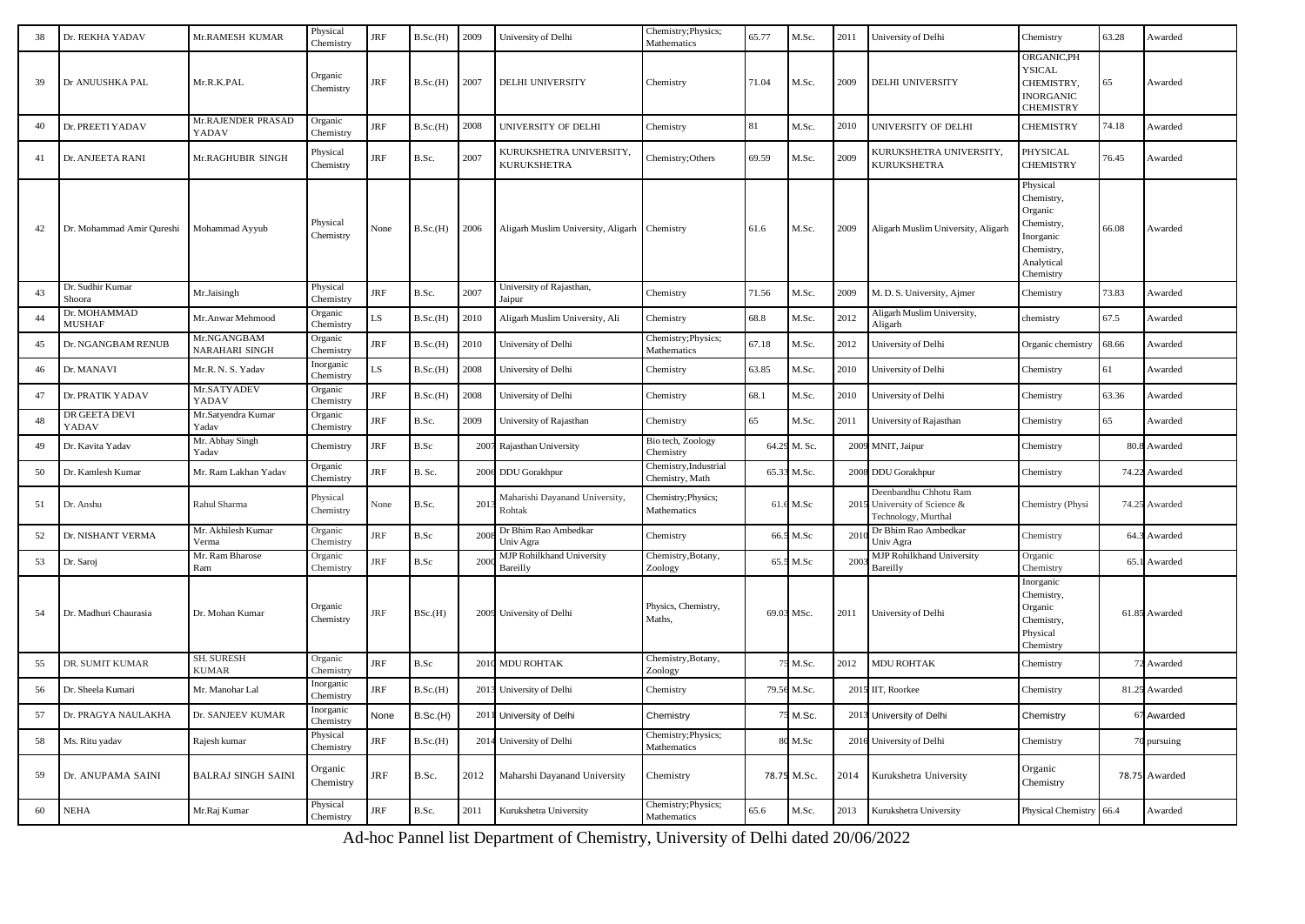| 38 | Dr. REKHA YADAV            | Mr.RAMESH KUMAR                   | Physical<br>Chemistry  | <b>JRF</b> | B.Sc.(H) | 2009 | University of Delhi                          | Chemistry; Physics;<br>Mathematics       | 65.77                   | M.Sc.       | 2011 | University of Delhi                                                          | Chemistry                                                                                             | 63.28 | Awarded       |
|----|----------------------------|-----------------------------------|------------------------|------------|----------|------|----------------------------------------------|------------------------------------------|-------------------------|-------------|------|------------------------------------------------------------------------------|-------------------------------------------------------------------------------------------------------|-------|---------------|
| 39 | Dr ANUUSHKA PAL            | Mr.R.K.PAL                        | Organic<br>Chemistry   | JRF        | B.Sc.(H) | 2007 | <b>DELHI UNIVERSITY</b>                      | Chemistry                                | 71.04                   | M.Sc.       | 2009 | <b>DELHI UNIVERSITY</b>                                                      | ORGANIC, PH<br>YSICAL<br>CHEMISTRY,<br><b>INORGANIC</b><br><b>CHEMISTRY</b>                           | 65    | Awarded       |
| 40 | Dr. PREETI YADAV           | Mr.RAJENDER PRASAD<br>YADAV       | Organic<br>Chemistry   | <b>JRF</b> | B.Sc.(H) | 2008 | UNIVERSITY OF DELHI                          | Chemistry                                | 81                      | M.Sc.       | 2010 | UNIVERSITY OF DELHI                                                          | <b>CHEMISTRY</b>                                                                                      | 74.18 | Awarded       |
| 41 | Dr. ANJEETA RANI           | Mr.RAGHUBIR SINGH                 | Physical<br>Chemistry  | <b>JRF</b> | B.Sc.    | 2007 | KURUKSHETRA UNIVERSITY,<br>KURUKSHETRA       | Chemistry; Others                        | 69.59                   | M.Sc.       | 2009 | KURUKSHETRA UNIVERSITY,<br><b>KURUKSHETRA</b>                                | PHYSICAL<br><b>CHEMISTRY</b>                                                                          | 76.45 | Awarded       |
| 42 | Dr. Mohammad Amir Qureshi  | Mohammad Ayyub                    | Physical<br>Chemistry  | None       | B.Sc.(H) | 2006 | Aligarh Muslim University, Aligarh Chemistry |                                          | 61.6                    | M.Sc.       | 2009 | Aligarh Muslim University, Aligarh                                           | Physical<br>Chemistry,<br>Organic<br>Chemistry,<br>Inorganic<br>Chemistry,<br>Analytical<br>Chemistry | 66.08 | Awarded       |
| 43 | Dr. Sudhir Kumar<br>Shoora | Mr.Jaisingh                       | Physical<br>Chemistry  | JRF        | B.Sc.    | 2007 | University of Rajasthan,<br>Jaipur           | Chemistry                                | 71.56                   | M.Sc.       | 2009 | M. D. S. University, Ajmer                                                   | Chemistry                                                                                             | 73.83 | Awarded       |
| 44 | Dr. MOHAMMAD<br>MUSHAF     | Mr. Anwar Mehmood                 | Organic<br>Chemistry   | LS.        | B.Sc.(H) | 2010 | Aligarh Muslim University, Ali               | Chemistry                                | 68.8                    | M.Sc.       | 2012 | Aligarh Muslim University,<br>Aligarh                                        | chemistry                                                                                             | 67.5  | Awarded       |
| 45 | Dr. NGANGBAM RENUB         | Mr.NGANGBAM<br>NARAHARI SINGH     | Organic<br>Chemistry   | JRF        | B.Sc.(H) | 2010 | University of Delhi                          | Chemistry; Physics;<br>Mathematics       | 67.18                   | M.Sc.       | 2012 | University of Delhi                                                          | Organic chemistry                                                                                     | 68.66 | Awarded       |
| 46 | Dr. MANAVI                 | Mr.R. N. S. Yadav                 | Inorganic<br>Chemistry | LS.        | B.Sc.(H) | 2008 | University of Delhi                          | Chemistry                                | 63.85                   | M.Sc.       | 2010 | University of Delhi                                                          | Chemistry                                                                                             | 61    | Awarded       |
| 47 | Dr. PRATIK YADAV           | Mr.SATYADEV<br>YADAV              | Organic<br>Chemistry   | JRF        | B.Sc.(H) | 2008 | University of Delhi                          | Chemistry                                | 68.1                    | M.Sc.       | 2010 | University of Delhi                                                          | Chemistry                                                                                             | 63.36 | Awarded       |
| 48 | DR GEETA DEVI<br>YADAV     | Mr.Satyendra Kumar<br>Yadav       | Organic<br>Chemistry   | JRF        | B.Sc.    | 2009 | University of Rajasthan                      | Chemistry                                | 65                      | M.Sc.       | 2011 | University of Rajasthan                                                      | Chemistry                                                                                             | 65    | Awarded       |
| 49 | Dr. Kavita Yadav           | Mr. Abhay Singh<br>Yadav          | Chemistry              | $\rm JRF$  | B.Sc     | 2007 | Rajasthan University                         | Bio tech, Zoology<br>Chemistry           | 64.29                   | M. Sc.      |      | 2009 MNIT, Jaipur                                                            | Chemistry                                                                                             | 80.8  | Awarded       |
| 50 | Dr. Kamlesh Kumar          | Mr. Ram Lakhan Yadav              | Organic<br>Chemistry   | JRF        | B. Sc.   |      | 2006 DDU Gorakhpur                           | Chemistry, Industrial<br>Chemistry, Math | 65.33                   | M.Sc.       |      | 2008 DDU Gorakhpur                                                           | Chemistry                                                                                             | 74.22 | Awarded       |
| 51 | Dr. Anshu                  | Rahul Sharma                      | Physical<br>Chemistry  | None       | B.Sc.    | 201  | Maharishi Dayanand University,<br>Rohtak     | Chemistry; Physics;<br>Mathematics       |                         | 61.6 M.Sc   |      | Deenbandhu Chhotu Ram<br>2015 University of Science &<br>Technology, Murthal | Chemistry (Physi                                                                                      |       | 74.25 Awarded |
| 52 | Dr. NISHANT VERMA          | Mr. Akhilesh Kumar<br>Verma       | Organic<br>Chemistry   | JRF        | B.Sc     | 200  | Dr Bhim Rao Ambedkar<br>Univ Agra            | Chemistry                                | 66.5                    | M.Sc        | 201  | Dr Bhim Rao Ambedkar<br>Univ Agra                                            | Chemistry                                                                                             |       | 64.3 Awarded  |
| 53 | Dr. Saroj                  | Mr. Ram Bharose<br>Ram            | Organic<br>Chemistry   | <b>JRF</b> | B.Sc     | 200  | <b>MJP</b> Rohilkhand University<br>Bareilly | Chemistry, Botany,<br>Zoology            | 65.                     | M.Sc        | 200  | <b>MJP</b> Rohilkhand University<br>Bareilly                                 | Organic<br>Chemistry                                                                                  | 65.1  | Awarded       |
| 54 | Dr. Madhuri Chaurasia      | Dr. Mohan Kumar                   | Organic<br>Chemistry   | JRF        | BSc.(H)  |      | 2009 University of Delhi                     | Physics, Chemistry,<br>Maths.            |                         | 69.03 MSc.  | 2011 | University of Delhi                                                          | Inorganic<br>Chemistry,<br>Organic<br>Chemistry,<br>Physical<br>Chemistry                             |       | 61.85 Awarded |
| 55 | DR. SUMIT KUMAR            | <b>SH. SURESH</b><br><b>KUMAR</b> | Organic<br>Chemistry   | <b>JRF</b> | B.Sc     |      | 2010 MDU ROHTAK                              | Chemistry, Botany,<br>Zoology            |                         | M.Sc.       | 2012 | <b>MDU ROHTAK</b>                                                            | Chemistry                                                                                             | 72    | Awarded       |
| 56 | Dr. Sheela Kumari          | Mr. Manohar Lal                   | Inorganic<br>Chemistry | JRF        | B.Sc.(H) | 2013 | University of Delhi                          | Chemistry                                | 79.5                    | M.Sc.       |      | 2015 IIT, Roorkee                                                            | Chemistry                                                                                             | 81.25 | Awarded       |
| 57 | Dr. PRAGYA NAULAKHA        | Dr. SANJEEV KUMAR                 | Inorganic<br>Chemistry | None       | B.Sc.(H) | 201  | University of Delhi                          | Chemistry                                |                         | M.Sc.       | 2013 | University of Delhi                                                          | Chemistry                                                                                             |       | Awarded       |
| 58 | Ms. Ritu yadav             | Rajesh kumar                      | Physical<br>Chemistry  | JRF        | B.Sc.(H) | 2014 | University of Delhi                          | Chemistry; Physics;<br>Mathematics       | $\overline{\mathbf{R}}$ | M.Sc        |      | 2016 University of Delhi                                                     | Chemistry                                                                                             | 70    | pursuing      |
| 59 | Dr. ANUPAMA SAINI          | <b>BALRAJ SINGH SAINI</b>         | Organic<br>Chemistry   | JRF        | B.Sc.    | 2012 | Maharshi Dayanand University                 | Chemistry                                |                         | 78.75 M.Sc. | 2014 | Kurukshetra University                                                       | Organic<br>Chemistry                                                                                  |       | 78.75 Awarded |
| 60 | <b>NEHA</b>                | Mr.Raj Kumar                      | Physical<br>Chemistry  | <b>JRF</b> | B.Sc.    | 2011 | Kurukshetra University                       | Chemistry; Physics;<br>Mathematics       | 65.6                    | M.Sc.       | 2013 | Kurukshetra University                                                       | Physical Chemistry                                                                                    | 66.4  | Awarded       |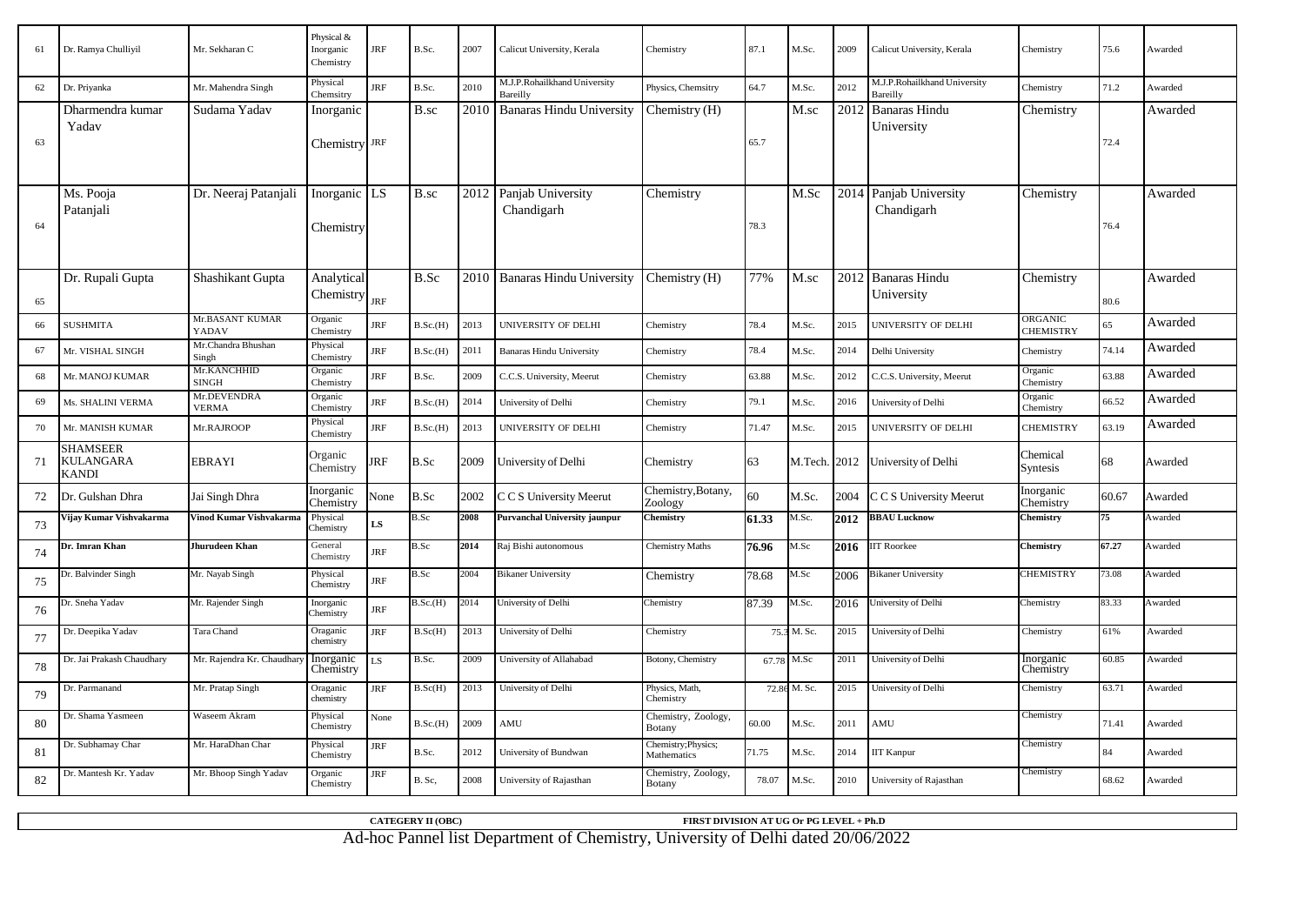| 61 | Dr. Ramya Chulliyil                   | Mr. Sekharan C              | Physical &<br>Inorganic<br>Chemistry | <b>JRF</b> | B.Sc.    | 2007 | Calicut University, Kerala               | Chemistry                          | 87.1  | M.Sc.        | 2009 | Calicut University, Kerala               | Chemistry                   | 75.6  | Awarded |
|----|---------------------------------------|-----------------------------|--------------------------------------|------------|----------|------|------------------------------------------|------------------------------------|-------|--------------|------|------------------------------------------|-----------------------------|-------|---------|
| 62 | Dr. Priyanka                          | Mr. Mahendra Singh          | Physical<br>Chemsitry                | JRF        | B.Sc.    | 2010 | M.J.P.Rohailkhand University<br>Bareilly | Physics, Chemsitry                 | 64.7  | M.Sc.        | 2012 | M.J.P.Rohailkhand University<br>Bareilly | Chemistry                   | 71.2  | Awarded |
| 63 | Dharmendra kumar<br>Yadav             | Sudama Yadav                | Inorganic<br>Chemistry JRF           |            | B.sc     | 2010 | <b>Banaras Hindu University</b>          | Chemistry (H)                      | 65.7  | M.sc         | 2012 | <b>Banaras Hindu</b><br>University       | Chemistry                   | 72.4  | Awarded |
| 64 | Ms. Pooja<br>Patanjali                | Dr. Neeraj Patanjali        | Inorganic LS<br>Chemistry            |            | B.sc     | 2012 | Panjab University<br>Chandigarh          | Chemistry                          | 78.3  | M.Sc         |      | 2014 Panjab University<br>Chandigarh     | Chemistry                   | 76.4  | Awarded |
| 65 | Dr. Rupali Gupta                      | Shashikant Gupta            | Analytical<br>Chemistry              | <b>JRF</b> | B.Sc     | 2010 | <b>Banaras Hindu University</b>          | Chemistry (H)                      | 77%   | M.sc         | 2012 | <b>Banaras Hindu</b><br>University       | Chemistry                   | 80.6  | Awarded |
| 66 | <b>SUSHMITA</b>                       | Mr.BASANT KUMAR<br>YADAV    | Organic<br>Chemistry                 | JRF        | B.Sc.(H) | 2013 | UNIVERSITY OF DELHI                      | Chemistry                          | 78.4  | M.Sc.        | 2015 | UNIVERSITY OF DELHI                      | ORGANIC<br><b>CHEMISTRY</b> | 65    | Awarded |
| 67 | Mr. VISHAL SINGH                      | Mr.Chandra Bhushan<br>Singh | Physical<br>Chemistry                | <b>JRF</b> | B.Sc.(H) | 2011 | <b>Banaras Hindu University</b>          | Chemistry                          | 78.4  | M.Sc.        | 2014 | Delhi University                         | Chemistry                   | 74.14 | Awarded |
| 68 | Mr. MANOJ KUMAR                       | Mr.KANCHHID<br><b>SINGH</b> | Organic<br>Chemistry                 | JRF        | B.Sc.    | 2009 | C.C.S. University, Meerut                | Chemistry                          | 63.88 | M.Sc.        | 2012 | C.C.S. University, Meerut                | Organic<br>Chemistry        | 63.88 | Awarded |
| 69 | Ms. SHALINI VERMA                     | Mr.DEVENDRA<br><b>VERMA</b> | Organic<br>Chemistry                 | <b>JRF</b> | B.Sc.(H) | 2014 | University of Delhi                      | Chemistry                          | 79.1  | M.Sc.        | 2016 | University of Delhi                      | Organic<br>Chemistry        | 56.52 | Awarded |
| 70 | Mr. MANISH KUMAR                      | Mr.RAJROOP                  | Physical<br>Chemistry                | JRF        | B.Sc.(H) | 2013 | UNIVERSITY OF DELHI                      | Chemistry                          | 71.47 | M.Sc.        | 2015 | UNIVERSITY OF DELHI                      | <b>CHEMISTRY</b>            | 63.19 | Awarded |
| 71 | SHAMSEER<br>KULANGARA<br><b>KANDI</b> | <b>EBRAYI</b>               | Organic<br>Chemistry                 | JRF        | B.Sc     | 2009 | University of Delhi                      | Chemistry                          | 63    | M.Tech. 2012 |      | University of Delhi                      | Chemical<br><b>Syntesis</b> | 68    | Awarded |
| 72 | Dr. Gulshan Dhra                      | Jai Singh Dhra              | Inorganic<br>Chemistry               | None       | B.Sc     | 2002 | C C S University Meerut                  | Chemistry, Botany,<br>Zoology      | 60    | M.Sc.        | 2004 | C C S University Meerut                  | Inorganic<br>Chemistry      | 60.67 | Awarded |
| 73 | 'ijay Kumar Vishvakarma               | Vinod Kumar Vishvakarma     | Physical<br>Chemistry                | LS         | B.Sc     | 2008 | Purvanchal University jaunpur            | Chemistry                          | 61.33 | M.Sc.        | 2012 | <b>BBAU Lucknow</b>                      | Chemistry                   | 75    | Awarded |
| 74 | Dr. Imran Khan                        | Jhurudeen Khan              | General<br>Chemistry                 | JRF        | 3.Sc     | 2014 | Raj Bishi autonomous                     | <b>Chemistry Maths</b>             | 76.96 | M.Sc         | 2016 | <b>IIT Roorkee</b>                       | Chemistry                   | 67.27 | Awarded |
| 75 | Dr. Balvinder Singh                   | Mr. Nayab Singh             | Physical<br>Chemistry                | JRF        | 3.Sc     | 2004 | <b>Bikaner University</b>                | Chemistry                          | 78.68 | M.Sc         | 2006 | <b>Bikaner University</b>                | <b>CHEMISTRY</b>            | 73.08 | Awarded |
| 76 | Or. Sneha Yadav                       | Mr. Rajender Singh          | Inorganic<br>Chemistry               | <b>JRF</b> | Sc.(H)   | 2014 | Jniversity of Delhi                      | Chemistry                          | 87.39 | M.Sc.        | 2016 | niversity of Delhi                       | Chemistry                   | 83.33 | Awarded |
| 77 | Dr. Deepika Yadav                     | Tara Chand                  | Oraganic<br>chemistry                | <b>JRF</b> | B.Sc(H)  | 2013 | University of Delhi                      | Chemistry                          | 75.3  | M. Sc.       | 2015 | University of Delhi                      | Chemistry                   | 61%   | Awarded |
| 78 | Dr. Jai Prakash Chaudhary             | Mr. Rajendra Kr. Chaudhar   | Inorganic<br>Chemistry               | LS.        | B.Sc.    | 2009 | University of Allahabad                  | Botony, Chemistry                  | 67.78 | M.Sc         | 2011 | University of Delhi                      | Inorganic<br>Chemistry      | 60.85 | Awarded |
| 79 | Dr. Parmanand                         | Mr. Pratap Singh            | Oraganic<br>chemistry                | <b>JRF</b> | B.Sc(H)  | 2013 | University of Delhi                      | Physics, Math,<br>Chemistry        | 72.86 | M. Sc.       | 2015 | University of Delhi                      | Chemistry                   | 63.71 | Awarded |
| 80 | Dr. Shama Yasmeen                     | Waseem Akram                | Physical<br>Chemistry                | None       | B.Sc.(H) | 2009 | AMU                                      | Chemistry, Zoology,<br>Botany      | 60.00 | M.Sc.        | 2011 | AMU                                      | Chemistry                   | 71.41 | Awarded |
| 81 | Dr. Subhamay Char                     | Mr. HaraDhan Char           | Physical<br>Chemistry                | <b>JRF</b> | B.Sc.    | 2012 | University of Bundwan                    | Chemistry; Physics;<br>Mathematics | 1.75  | M.Sc.        | 2014 | <b>IIT Kanpur</b>                        | Chemistry                   | 84    | Awarded |
| 82 | Dr. Mantesh Kr. Yadav                 | Mr. Bhoop Singh Yadav       | Organic<br>Chemistry                 | <b>JRF</b> | B. Sc.   | 2008 | University of Rajasthan                  | Chemistry, Zoology,<br>Botany      | 78.07 | M.Sc.        | 2010 | University of Rajasthan                  | Chemistry                   | 68.62 | Awarded |

Ad-hoc Pannel list Department of Chemistry, University of Delhi dated 20/06/2022 **CATEGERY II (OBC) FIRST DIVISION AT UG Or PG LEVEL + Ph.D**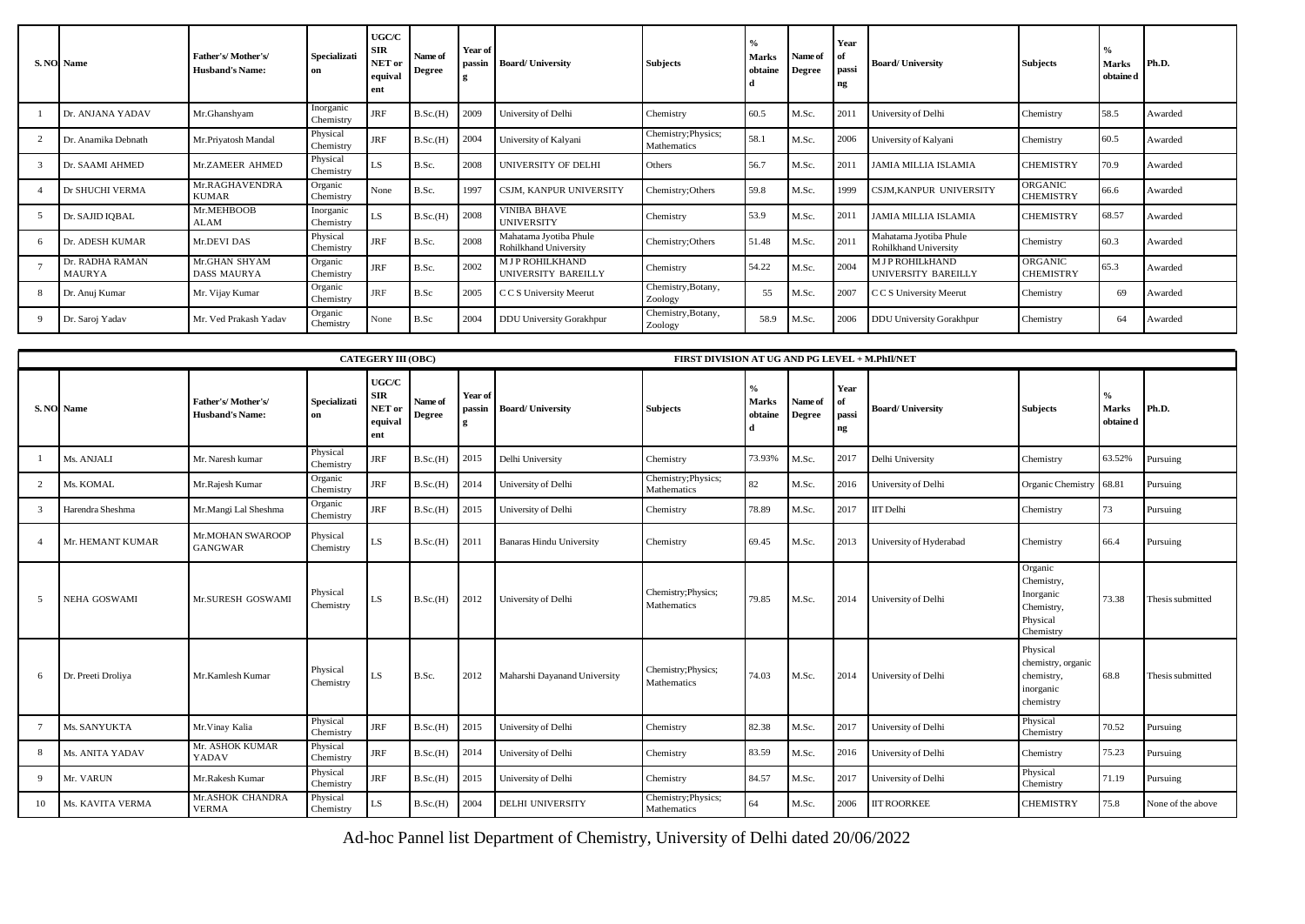|   | S. NO. Name                      | Father's/Mother's/<br>Husband's Name: | Specializati<br><b>on</b> | UGC/C<br><b>SIR</b><br>NET or<br>equival<br>ent | Name of<br><b>Degree</b> | Year of<br>passin | <b>Board/University</b>                                | <b>Subjects</b>                    | <b>Marks</b><br>obtaine | Name of<br><b>Degree</b> | Year<br>passi<br>ng | <b>Board/University</b>                         | <b>Subjects</b>                    | <b>Marks</b><br>obtaine d | Ph.D.   |
|---|----------------------------------|---------------------------------------|---------------------------|-------------------------------------------------|--------------------------|-------------------|--------------------------------------------------------|------------------------------------|-------------------------|--------------------------|---------------------|-------------------------------------------------|------------------------------------|---------------------------|---------|
|   | Dr. ANJANA YADAV                 | Mr.Ghanshyam                          | Inorganic<br>Chemistry    | $\rm JRF$                                       | B.Sc.(H)                 | 2009              | University of Delhi                                    | Chemistry                          | 60.5                    | M.Sc.                    | 2011                | University of Delhi                             | Chemistry                          | 58.5                      | Awarded |
|   | Dr. Anamika Debnath              | Mr.Priyatosh Mandal                   | Physical<br>Chemistry     | <b>JRF</b>                                      | B.Sc.(H)                 | 2004              | University of Kalyani                                  | Chemistry; Physics;<br>Mathematics | 58.1                    | M.Sc.                    | 2006                | University of Kalyani                           | Chemistry                          | 60.5                      | Awarded |
|   | Dr. SAAMI AHMED                  | Mr.ZAMEER AHMED                       | Physical<br>Chemistry     | LS.                                             | B.Sc.                    | 2008              | <b>UNIVERSITY OF DELHI</b>                             | Others                             | 56.7                    | M.Sc.                    | 201                 | <b>JAMIA MILLIA ISLAMIA</b>                     | <b>CHEMISTRY</b>                   | 70.9                      | Awarded |
|   | Dr SHUCHI VERMA                  | Mr.RAGHAVENDRA<br><b>KUMAR</b>        | Organic<br>Chemistry      | None                                            | B.Sc.                    | 1997              | CSJM, KANPUR UNIVERSITY                                | Chemistry; Others                  | 59.8                    | M.Sc.                    | 1999                | CSJM.KANPUR UNIVERSITY                          | <b>ORGANIC</b><br><b>CHEMISTRY</b> | 56.6                      | Awarded |
|   | Dr. SAJID IQBAL                  | Mr.MEHBOOB<br><b>ALAM</b>             | Inorganic<br>Chemistry    | LS                                              | B.Sc.(H)                 | 2008              | <b>VINIBA BHAVE</b><br><b>UNIVERSITY</b>               | Chemistry                          | 53.9                    | M.Sc.                    | 201                 | <b>JAMIA MILLIA ISLAMIA</b>                     | <b>CHEMISTRY</b>                   | 68.57                     | Awarded |
|   | Dr. ADESH KUMAR                  | Mr.DEVI DAS                           | Physical<br>Chemistry     | <b>JRF</b>                                      | B.Sc.                    | 2008              | Mahatama Jyotiba Phule<br><b>Rohilkhand University</b> | Chemistry; Others                  | 51.48                   | M.Sc.                    | 2011                | Mahatama Jyotiba Phule<br>Rohilkhand University | Chemistry                          | 50.3                      | Awarded |
|   | Dr. RADHA RAMAN<br><b>MAURYA</b> | Mr.GHAN SHYAM<br><b>DASS MAURYA</b>   | Organic<br>Chemistry      | $\rm JRF$                                       | B.Sc.                    | 2002              | <b>M J P ROHILKHAND</b><br>UNIVERSITY BAREILLY         | Chemistry                          | 54.22                   | M.Sc.                    | 2004                | <b>MJPROHILKHAND</b><br>UNIVERSITY BAREILLY     | <b>ORGANIC</b><br><b>CHEMISTRY</b> | 55.3                      | Awarded |
| 8 | Dr. Anuj Kumar                   | Mr. Vijay Kumar                       | Organic<br>Chemistry      | <b>JRF</b>                                      | B.Sc                     | 2005              | C C S University Meerut                                | Chemistry, Botany,<br>Zoology      | 55                      | M.Sc.                    | 2007                | C C S University Meerut                         | Chemistry                          | 69                        | Awarded |
|   | Dr. Saroj Yadav                  | Mr. Ved Prakash Yadav                 | Organic<br>Chemistry      | None                                            | B.Sc                     | 2004              | <b>DDU University Gorakhpur</b>                        | Chemistry, Botany,<br>Zoology      | 58.9                    | M.Sc.                    | 2006                | <b>DDU University Gorakhpur</b>                 | Chemistry                          | 64                        | Awarded |

|                |                     |                                              |                       | <b>CATEGERY III (OBC)</b>                       |                          |                        |                                 | FIRST DIVISION AT UG AND PG LEVEL + M.PhII/NET |                                          |                          |                           |                         |                                                                           |                           |                   |
|----------------|---------------------|----------------------------------------------|-----------------------|-------------------------------------------------|--------------------------|------------------------|---------------------------------|------------------------------------------------|------------------------------------------|--------------------------|---------------------------|-------------------------|---------------------------------------------------------------------------|---------------------------|-------------------|
|                | S. NO. Name         | Father's/Mother's/<br><b>Husband's Name:</b> | Specializati<br>on    | UGC/C<br><b>SIR</b><br>NET or<br>equival<br>ent | Name of<br><b>Degree</b> | Year of<br>passin<br>g | <b>Board/University</b>         | <b>Subjects</b>                                | $\frac{0}{0}$<br><b>Marks</b><br>obtaine | Name of<br><b>Degree</b> | Year<br>of<br>passi<br>ng | <b>Board/University</b> | <b>Subjects</b>                                                           | <b>Marks</b><br>obtaine d | Ph.D.             |
|                | Ms. ANJALI          | Mr. Naresh kumar                             | Physical<br>Chemistry | <b>JRF</b>                                      | B.Sc.(H)                 | 2015                   | Delhi University                | Chemistry                                      | 73.93%                                   | M.Sc.                    | 2017                      | Delhi University        | Chemistry                                                                 | 63.52%                    | Pursuing          |
| $\overline{2}$ | Ms. KOMAL           | Mr.Rajesh Kumar                              | Organic<br>Chemistry  | <b>JRF</b>                                      | B.Sc.(H)                 | 2014                   | University of Delhi             | Chemistry; Physics;<br>Mathematics             | 82                                       | M.Sc.                    | 2016                      | University of Delhi     | Organic Chemistry                                                         | 68.81                     | Pursuing          |
| 3              | Harendra Sheshma    | Mr.Mangi Lal Sheshma                         | Organic<br>Chemistry  | <b>JRF</b>                                      | B.Sc.(H)                 | 2015                   | University of Delhi             | Chemistry                                      | 78.89                                    | M.Sc.                    | 2017                      | IIT Delhi               | Chemistry                                                                 | 73                        | Pursuing          |
| $\overline{4}$ | Mr. HEMANT KUMAR    | Mr.MOHAN SWAROOP<br><b>GANGWAR</b>           | Physical<br>Chemistry | LS.                                             | B.Sc.(H)                 | 2011                   | <b>Banaras Hindu University</b> | Chemistry                                      | 69.45                                    | M.Sc.                    | 2013                      | University of Hyderabad | Chemistry                                                                 | 66.4                      | Pursuing          |
| .5             | <b>NEHA GOSWAMI</b> | Mr.SURESH GOSWAMI                            | Physical<br>Chemistry | LS.                                             | B.Sc.(H)                 | 2012                   | University of Delhi             | Chemistry; Physics;<br>Mathematics             | 79.85                                    | M.Sc.                    | 2014                      | University of Delhi     | Organic<br>Chemistry,<br>Inorganic<br>Chemistry,<br>Physical<br>Chemistry | 73.38                     | Thesis submitted  |
| 6              | Dr. Preeti Droliya  | Mr.Kamlesh Kumar                             | Physical<br>Chemistry | LS                                              | B.Sc.                    | 2012                   | Maharshi Dayanand University    | Chemistry; Physics;<br>Mathematics             | 74.03                                    | M.Sc.                    | 2014                      | University of Delhi     | Physical<br>chemistry, organic<br>chemistry,<br>inorganic<br>chemistry    | 68.8                      | Thesis submitted  |
| -7             | Ms. SANYUKTA        | Mr.Vinay Kalia                               | Physical<br>Chemistry | <b>JRF</b>                                      | B.Sc.(H)                 | 2015                   | University of Delhi             | Chemistry                                      | 82.38                                    | M.Sc.                    | 2017                      | University of Delhi     | Physical<br>Chemistry                                                     | 70.52                     | Pursuing          |
| 8              | Ms. ANITA YADAV     | Mr. ASHOK KUMAR<br>YADAV                     | Physical<br>Chemistry | $\rm JRF$                                       | B.Sc.(H)                 | 2014                   | University of Delhi             | Chemistry                                      | 83.59                                    | M.Sc.                    | 2016                      | University of Delhi     | Chemistry                                                                 | 75.23                     | Pursuing          |
| $\mathbf Q$    | Mr. VARUN           | Mr.Rakesh Kumar                              | Physical<br>Chemistry | $\rm JRF$                                       | B.Sc.(H)                 | 2015                   | University of Delhi             | Chemistry                                      | 84.57                                    | M.Sc.                    | 2017                      | University of Delhi     | Physical<br>Chemistry                                                     | 71.19                     | Pursuing          |
| 10             | Ms. KAVITA VERMA    | Mr.ASHOK CHANDRA<br><b>VERMA</b>             | Physical<br>Chemistry | LS.                                             | B.Sc.(H)                 | 2004                   | <b>DELHI UNIVERSITY</b>         | Chemistry; Physics;<br>Mathematics             | 64                                       | M.Sc.                    | 2006                      | <b>IIT ROORKEE</b>      | <b>CHEMISTRY</b>                                                          | 75.8                      | None of the above |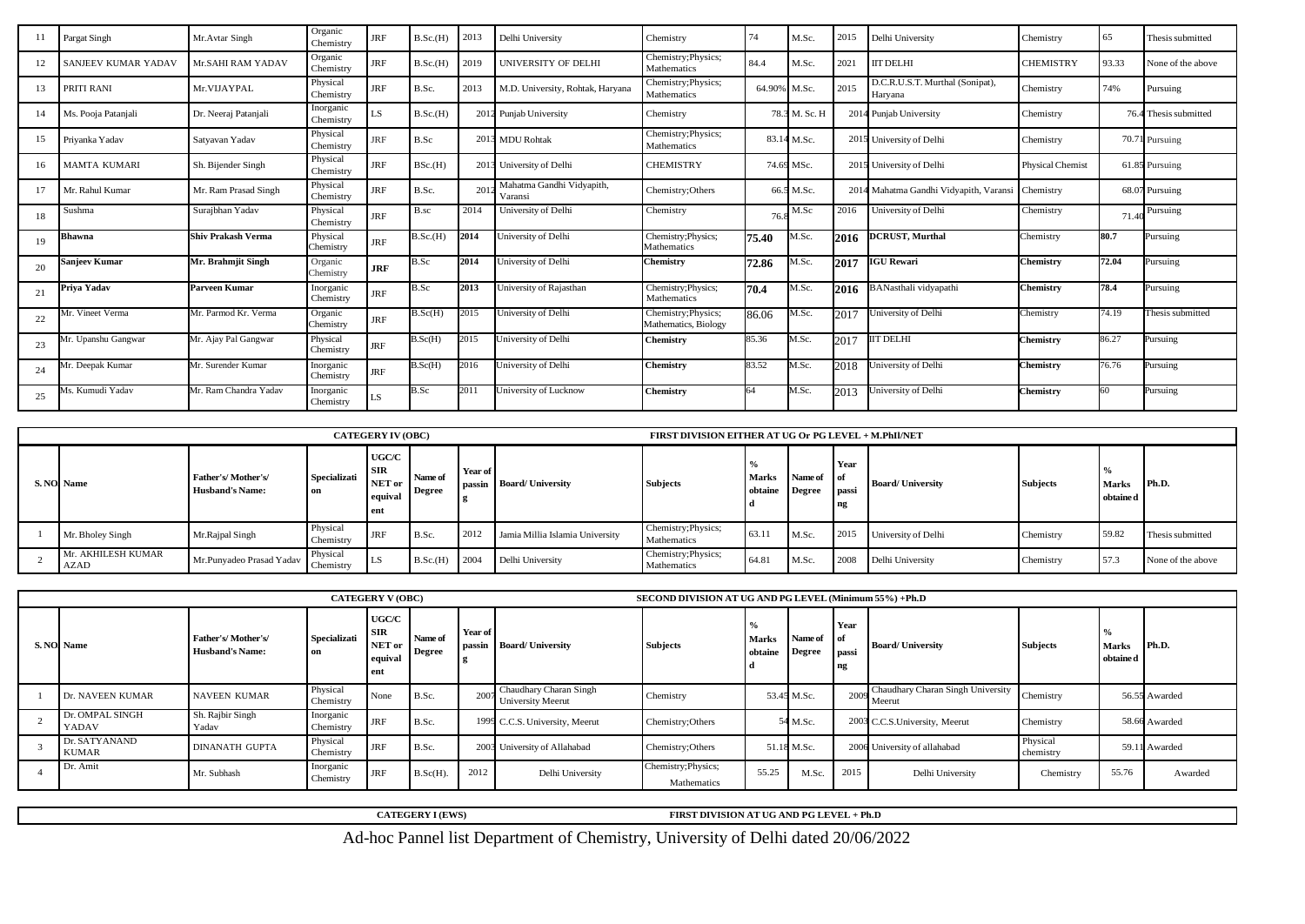|    | Pargat Singh               | Mr.Avtar Singh            | Organic<br>Chemistry   | <b>JRF</b>   | B.Sc.(H) | 2013 | Delhi University                     | Chemistry                                   | 74           | M.Sc.         | 2015 | Delhi University                           | Chemistry               | 65    | Thesis submitted      |
|----|----------------------------|---------------------------|------------------------|--------------|----------|------|--------------------------------------|---------------------------------------------|--------------|---------------|------|--------------------------------------------|-------------------------|-------|-----------------------|
|    | <b>SANJEEV KUMAR YADAV</b> | Mr.SAHI RAM YADAV         | Organic<br>Chemistry   | <b>JRF</b>   | B.Sc.(H) | 2019 | UNIVERSITY OF DELHI                  | Chemistry; Physics;<br>Mathematics          | 84.4         | M.Sc.         | 2021 | <b>IIT DELHI</b>                           | <b>CHEMISTRY</b>        | 93.33 | None of the above     |
| 13 | PRITI RANI                 | Mr.VIJAYPAL               | Physical<br>Chemistry  | JRF          | B.Sc.    | 2013 | M.D. University, Rohtak, Haryana     | Chemistry; Physics;<br>Mathematics          | 64.90% M.Sc. |               | 2015 | D.C.R.U.S.T. Murthal (Sonipat),<br>Haryana | Chemistry               | 74%   | Pursuing              |
| 14 | Ms. Pooja Patanjali        | Dr. Neeraj Patanjali      | Inorganic<br>Chemistry | LS           | B.Sc.(H) |      | 2012 Punjab University               | Chemistry                                   |              | 78.3 M. Sc. H |      | 2014 Punjab University                     | Chemistry               |       | 76.4 Thesis submitted |
| 15 | Priyanka Yadav             | Satyavan Yadav            | Physical<br>Chemistry  | JRF          | B.Sc     |      | 2013 MDU Rohtak                      | Chemistry; Physics;<br>Mathematics          |              | 83.14 M.Sc.   |      | 2015 University of Delhi                   | Chemistry               |       | 70.71 Pursuing        |
| 16 | <b>MAMTA KUMARI</b>        | Sh. Bijender Singh        | Physical<br>Chemistry  | JRF          | BSc.(H)  |      | 2013 University of Delhi             | <b>CHEMISTRY</b>                            |              | 74.69 MSc.    |      | 2015 University of Delhi                   | <b>Physical Chemist</b> |       | 61.85 Pursuing        |
|    | Mr. Rahul Kumar            | Mr. Ram Prasad Singh      | Physical<br>Chemistry  | JRF          | B.Sc.    | 201  | Mahatma Gandhi Vidyapith,<br>Varansi | Chemistry; Others                           |              | 66.5 M.Sc.    |      | 2014 Mahatma Gandhi Vidyapith, Varansi     | Chemistry               |       | 68.07 Pursuing        |
| 18 | Sushma                     | Surajbhan Yadav           | Physical<br>Chemistry  | <b>JRF</b>   | B.sc     | 2014 | University of Delhi                  | Chemistry                                   | 76.          | M.Sc          | 2016 | University of Delhi                        | Chemistry               | 71.40 | Pursuing              |
| 19 | Bhawna                     | <b>Shiv Prakash Verma</b> | Physical<br>Chemistry  | <b>JRF</b>   | B.Sc.(H) | 2014 | University of Delhi                  | Chemistry; Physics;<br>Mathematics          | 75.40        | M.Sc.         | 2016 | <b>DCRUST, Murthal</b>                     | Chemistry               | 80.7  | Pursuing              |
| 20 | Sanjeev Kumar              | Mr. Brahmjit Singh        | Organic<br>Chemistry   | <b>JRF</b>   | B.Sc     | 2014 | University of Delhi                  | <b>Chemistry</b>                            | 72.86        | M.Sc.         | 2017 | <b>IGU Rewari</b>                          | <b>Chemistry</b>        | 72.04 | Pursuing              |
| 21 | Priya Yadav                | <b>Parveen Kumar</b>      | Inorganic<br>Chemistry | <b>JRF</b>   | B.Sc     | 2013 | University of Rajasthan              | Chemistry; Physics;<br>Mathematics          | 70.4         | M.Sc.         | 2016 | BANasthali vidyapathi                      | Chemistry               | 78.4  | Pursuing              |
|    | Mr. Vineet Verma           | Mr. Parmod Kr. Verma      | Organic<br>Chemistry   | <b>JRF</b>   | B.Sc(H)  | 2015 | University of Delhi                  | Chemistry; Physics;<br>Mathematics, Biology | 86.06        | M.Sc.         | 2017 | University of Delhi                        | Chemistry               | 74.19 | Thesis submitted      |
| 23 | Mr. Upanshu Gangwar        | Mr. Ajay Pal Gangwar      | Physical<br>Chemistry  | $_{\rm JRF}$ | B.Sc(H)  | 2015 | University of Delhi                  | <b>Chemistry</b>                            | 85.36        | M.Sc.         | 2017 | <b>IIT DELHI</b>                           | <b>Chemistry</b>        | 86.27 | Pursuing              |
| 24 | Mr. Deepak Kumar           | Mr. Surender Kumar        | Inorganic<br>Chemistry | $\rm JRF$    | B.Sc(H)  | 2016 | University of Delhi                  | Chemistry                                   | 83.52        | M.Sc.         | 2018 | Jniversity of Delhi                        | <b>Chemistry</b>        | 76.76 | Pursuing              |
| 25 | Ms. Kumudi Yadav           | Mr. Ram Chandra Yadav     | Inorganic<br>Chemistry | LS           | B.Sc     | 2011 | University of Lucknow                | Chemistry                                   | 64           | M.Sc.         | 2013 | Jniversity of Delhi                        | <b>Chemistry</b>        | 60    | Pursuing              |

|                            |                                              |                              | <b>CATEGERY IV (OBC)</b>                               |                          |                   |                                 | FIRST DIVISION EITHER AT UG Or PG LEVEL + M.PhII/NET |                         |                          |                                      |                         |                 |                    |                   |
|----------------------------|----------------------------------------------|------------------------------|--------------------------------------------------------|--------------------------|-------------------|---------------------------------|------------------------------------------------------|-------------------------|--------------------------|--------------------------------------|-------------------------|-----------------|--------------------|-------------------|
| S. NO. Name                | Father's/Mother's/<br><b>Husband's Name:</b> | Specializati<br>l on         | <b>UGC/C</b><br><b>SIR</b><br>NET or<br>equival<br>ent | Name of<br><b>Degree</b> | Year of<br>passin | <b>Board/University</b>         | <b>Subjects</b>                                      | <b>Marks</b><br>obtaine | Name of<br><b>Degree</b> | <b>Year</b><br>- I of<br>passi<br>ng | <b>Board/University</b> | <b>Subjects</b> | Marks<br>obtaine d | Ph.D.             |
| Mr. Bholey Singh           | Mr.Rajpal Singh                              | <b>Physical</b><br>Chemistry | <b>JRF</b>                                             | B.Sc.                    | 2012              | Jamia Millia Islamia University | Chemistry; Physics;<br>Mathematics                   | 63.11                   | M.Sc.                    | 2015                                 | University of Delhi     | Chemistry       | 59.82              | Thesis submitted  |
| Mr. AKHILESH KUMAR<br>AZAD | Mr.Punyadeo Prasad Yadav                     | Physical<br><b>Chemistry</b> | LS                                                     | $B.Sc.(H)$ 2004          |                   | Delhi University                | Chemistry; Physics;<br>Mathematics                   | 64.8                    | M.Sc.                    | 2008                                 | Delhi University        | Chemistry       | 57.3               | None of the above |

|                                 |                                              |                        | <b>CATEGERY V (OBC)</b>                                |                          |                   |                                                    | SECOND DIVISION AT UG AND PG LEVEL (Minimum 55%) +Ph.D |                                 |                   |                                                |                                             |                       |                    |               |
|---------------------------------|----------------------------------------------|------------------------|--------------------------------------------------------|--------------------------|-------------------|----------------------------------------------------|--------------------------------------------------------|---------------------------------|-------------------|------------------------------------------------|---------------------------------------------|-----------------------|--------------------|---------------|
| S. NO. Name                     | Father's/Mother's/<br><b>Husband's Name:</b> | Specializati<br>on     | <b>UGC/C</b><br><b>SIR</b><br>NET or<br>equival<br>ent | Name of<br><b>Degree</b> | Year of<br>passin | <b>Board/University</b>                            | <b>Subjects</b>                                        | <b>Marks</b><br>obtaine<br>l Gl | Name of<br>Degree | <b>Year</b><br>l of<br>passi<br>n <sub>2</sub> | <b>Board/University</b>                     | <b>Subjects</b>       | Marks<br>obtaine d | Ph.D.         |
| Dr. NAVEEN KUMAR                | <b>NAVEEN KUMAR</b>                          | Physical<br>Chemistry  | None                                                   | B.Sc.                    | 200'              | Chaudhary Charan Singh<br><b>University Meerut</b> | Chemistry                                              |                                 | 53.45 M.Sc.       | 2009                                           | Chaudhary Charan Singh University<br>Meerut | Chemistry             |                    | 56.55 Awarded |
| Dr. OMPAL SINGH<br><b>YADAV</b> | Sh. Rajbir Singh<br>Yadav                    | Inorganic<br>Chemistry | <b>JRF</b>                                             | B.Sc.                    |                   | 1999 C.C.S. University, Meerut                     | Chemistry; Others                                      |                                 | 54 M.Sc.          |                                                | 2003 C.C.S.University, Meerut               | Chemistry             |                    | 58.66 Awarded |
| Dr. SATYANAND<br><b>KUMAR</b>   | <b>DINANATH GUPTA</b>                        | Physical<br>Chemistry  | <b>JRF</b>                                             | B.Sc.                    |                   | 2003 University of Allahabad                       | Chemistry; Others                                      |                                 | 51.18 M.Sc.       |                                                | 2006 University of allahabad                | Physical<br>chemistry |                    | 59.11 Awarded |
| Dr. Amit                        | Mr. Subhash                                  | Inorganic<br>Chemistry | <b>JRF</b>                                             | $B.Sc(H)$ .              | 2012              | Delhi University                                   | Chemistry; Physics;<br>Mathematics                     | 55.25                           | M.Sc.             | 2015                                           | Delhi University                            | Chemistry             | 55.76              | Awarded       |

**CATEGERY I (EWS) FIRST DIVISION AT UG AND PG LEVEL + Ph.D**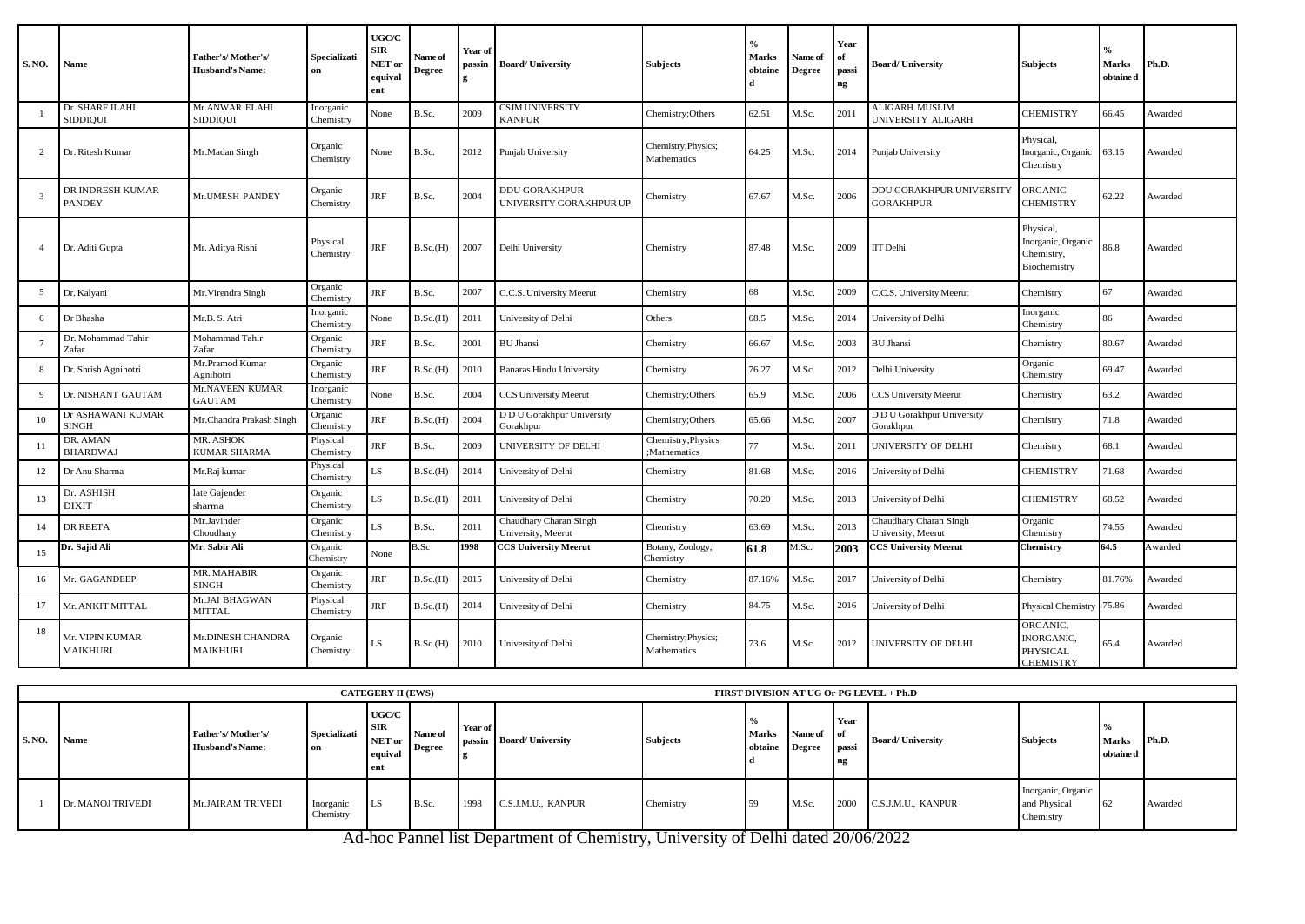| S. NO.         | <b>Name</b>                        | Father's/Mother's/<br><b>Husband's Name:</b> | Specializati<br>on     | UGC/C<br>SIR<br>NET or<br>equival<br>ent | Name of<br>Degree | Year of<br>passin<br>5 | <b>Board/University</b>                         | <b>Subjects</b>                    | $\frac{6}{9}$<br><b>Marks</b><br>obtaine<br>d | Name of<br><b>Degree</b> | Year<br>of<br>passi<br>ng | <b>Board/University</b>                             | <b>Subjects</b>                                               | <b>Marks</b><br>obtaine d | Ph.D.   |
|----------------|------------------------------------|----------------------------------------------|------------------------|------------------------------------------|-------------------|------------------------|-------------------------------------------------|------------------------------------|-----------------------------------------------|--------------------------|---------------------------|-----------------------------------------------------|---------------------------------------------------------------|---------------------------|---------|
|                | Dr. SHARF ILAHI<br>SIDDIQUI        | Mr.ANWAR ELAHI<br>SIDDIQUI                   | Inorganic<br>Chemistry | None                                     | B.Sc.             | 2009                   | <b>CSJM UNIVERSITY</b><br><b>KANPUR</b>         | Chemistry; Others                  | 62.51                                         | M.Sc.                    | 2011                      | <b>ALIGARH MUSLIM</b><br>UNIVERSITY ALIGARH         | <b>CHEMISTRY</b>                                              | 66.45                     | Awarded |
| 2              | Dr. Ritesh Kumar                   | Mr.Madan Singh                               | Organic<br>Chemistry   | None                                     | B.Sc.             | 2012                   | Punjab University                               | Chemistry; Physics;<br>Mathematics | 64.25                                         | M.Sc.                    | 2014                      | Punjab University                                   | Physical,<br>Inorganic, Organic<br>Chemistry                  | 63.15                     | Awarded |
| $\overline{3}$ | DR INDRESH KUMAR<br><b>PANDEY</b>  | Mr.UMESH PANDEY                              | Organic<br>Chemistry   | <b>JRF</b>                               | B.Sc.             | 2004                   | <b>DDU GORAKHPUR</b><br>UNIVERSITY GORAKHPUR UP | Chemistry                          | 67.67                                         | M.Sc.                    | 2006                      | <b>DDU GORAKHPUR UNIVERSITY</b><br><b>GORAKHPUR</b> | ORGANIC<br><b>CHEMISTRY</b>                                   | 52.22                     | Awarded |
| $\overline{4}$ | Dr. Aditi Gupta                    | Mr. Aditya Rishi                             | Physical<br>Chemistry  | <b>JRF</b>                               | B.Sc.(H)          | 2007                   | Delhi University                                | Chemistry                          | 87.48                                         | M.Sc.                    | 2009                      | IIT Delhi                                           | Physical,<br>Inorganic, Organic<br>Chemistry,<br>Biochemistry | 86.8                      | Awarded |
| 5              | Dr. Kalyani                        | Mr. Virendra Singh                           | Organic<br>Chemistry   | <b>JRF</b>                               | B.Sc.             | 2007                   | C.C.S. University Meerut                        | Chemistry                          | 68                                            | M.Sc.                    | 2009                      | C.C.S. University Meerut                            | Chemistry                                                     | 67                        | Awarded |
| 6              | Dr Bhasha                          | Mr.B. S. Atri                                | Inorganic<br>Chemistry | None                                     | B.Sc.(H)          | 2011                   | University of Delhi                             | Others                             | 68.5                                          | M.Sc.                    | 2014                      | University of Delhi                                 | Inorganic<br>Chemistry                                        | 86                        | Awarded |
|                | Dr. Mohammad Tahir<br>Zafar        | Mohammad Tahir<br>Zafar                      | Organic<br>Chemistry   | $\rm JRF$                                | B.Sc.             | 2001                   | <b>BU</b> Jhansi                                | Chemistry                          | 66.67                                         | M.Sc.                    | 2003                      | <b>BU Jhansi</b>                                    | Chemistry                                                     | 80.67                     | Awarded |
| 8              | Dr. Shrish Agnihotri               | Mr.Pramod Kumar<br>Agnihotri                 | Organic<br>Chemistry   | $\rm JRF$                                | B.Sc.(H)          | 2010                   | <b>Banaras Hindu University</b>                 | Chemistry                          | 76.27                                         | M.Sc.                    | 2012                      | Delhi University                                    | Organic<br>Chemistry                                          | 69.47                     | Awarded |
| 9              | Dr. NISHANT GAUTAM                 | Mr.NAVEEN KUMAR<br><b>GAUTAM</b>             | Inorganic<br>Chemistry | None                                     | B.Sc.             | 2004                   | <b>CCS University Meerut</b>                    | Chemistry; Others                  | 65.9                                          | M.Sc.                    | 2006                      | <b>CCS University Meerut</b>                        | Chemistry                                                     | 63.2                      | Awarded |
| 10             | Dr ASHAWANI KUMAR<br><b>SINGH</b>  | Mr.Chandra Prakash Singh                     | Organic<br>Chemistry   | $\rm JRF$                                | B.Sc.(H)          | 2004                   | D D U Gorakhpur University<br>Gorakhpur         | Chemistry; Others                  | 65.66                                         | M.Sc.                    | 2007                      | DDU Gorakhpur University<br>Gorakhpur               | Chemistry                                                     | 71.8                      | Awarded |
| 11             | DR. AMAN<br><b>BHARDWAJ</b>        | MR. ASHOK<br><b>KUMAR SHARMA</b>             | Physical<br>Chemistry  | $\rm JRF$                                | B.Sc.             | 2009                   | UNIVERSITY OF DELHI                             | Chemistry; Physics<br>;Mathematics | 77                                            | M.Sc.                    | 2011                      | UNIVERSITY OF DELHI                                 | Chemistry                                                     | 68.1                      | Awarded |
| 12             | Dr Anu Sharma                      | Mr.Raj kumar                                 | Physical<br>Chemistry  | LS                                       | B.Sc.(H)          | 2014                   | University of Delhi                             | Chemistry                          | 81.68                                         | M.Sc.                    | 2016                      | University of Delhi                                 | <b>CHEMISTRY</b>                                              | 71.68                     | Awarded |
| 13             | Dr. ASHISH<br><b>DIXIT</b>         | late Gajender<br>sharma                      | Organic<br>Chemistry   | LS                                       | B.Sc.(H)          | 2011                   | University of Delhi                             | Chemistry                          | 70.20                                         | M.Sc.                    | 2013                      | University of Delhi                                 | <b>CHEMISTRY</b>                                              | 68.52                     | Awarded |
| 14             | <b>DR REETA</b>                    | Mr.Javinder<br>Choudhary                     | Organic<br>Chemistry   | LS                                       | B.Sc.             | 2011                   | Chaudhary Charan Singh<br>University, Meerut    | Chemistry                          | 63.69                                         | M.Sc.                    | 2013                      | Chaudhary Charan Singh<br>University, Meerut        | Organic<br>Chemistry                                          | 74.55                     | Awarded |
| 15             | Dr. Sajid Ali                      | Mr. Sabir Ali                                | Organic<br>Chemistry   | None                                     | B.Sc              | 1998                   | <b>CCS University Meerut</b>                    | Botany, Zoology,<br>Chemistry      | 61.8                                          | M.Sc.                    | 2003                      | <b>CCS University Meerut</b>                        | Chemistry                                                     | 64.5                      | Awarded |
| 16             | Mr. GAGANDEEP                      | MR. MAHABIR<br><b>SINGH</b>                  | Organic<br>Chemistry   | $\rm JRF$                                | B.Sc.(H)          | 2015                   | University of Delhi                             | Chemistry                          | 87.16%                                        | M.Sc.                    | 2017                      | University of Delhi                                 | Chemistry                                                     | 81.76%                    | Awarded |
| 17             | Mr. ANKIT MITTAL                   | Mr.JAI BHAGWAN<br><b>MITTAL</b>              | Physical<br>Chemistry  | <b>JRF</b>                               | B.Sc.(H)          | 2014                   | University of Delhi                             | Chemistry                          | 84.75                                         | M.Sc.                    | 2016                      | University of Delhi                                 | Physical Chemistry                                            | 75.86                     | Awarded |
| 18             | Mr. VIPIN KUMAR<br><b>MAIKHURI</b> | Mr.DINESH CHANDRA<br><b>MAIKHURI</b>         | Organic<br>Chemistry   | LS                                       | B.Sc.(H)          | 2010                   | University of Delhi                             | Chemistry; Physics;<br>Mathematics | 73.6                                          | M.Sc.                    | 2012                      | <b>JNIVERSITY OF DELHI</b>                          | ORGANIC,<br><b>INORGANIC,</b><br>PHYSICAL<br><b>CHEMISTRY</b> | 65.4                      | Awarded |

|               |                   |                                              |                        | <b>CATEGERY II (EWS)</b>                    |                           |         |                         |                 |                                 |                          |                                        | FIRST DIVISION AT UG Or PG LEVEL + Ph.D |                                                 |                           |         |
|---------------|-------------------|----------------------------------------------|------------------------|---------------------------------------------|---------------------------|---------|-------------------------|-----------------|---------------------------------|--------------------------|----------------------------------------|-----------------------------------------|-------------------------------------------------|---------------------------|---------|
| <b>S. NO.</b> | <b>Name</b>       | Father's/Mother's/<br><b>Husband's Name:</b> | Specializati<br>l on   | <b>UGC/C</b><br><b>SIR</b><br>NET or<br>ent | Name of<br>equival Degree | Year of | passin Board/University | <b>Subjects</b> | <b>Marks</b><br>obtaine<br>l Gl | Name of<br><b>Degree</b> | <b>Year</b><br>- Lof<br>  passi<br>Ing | <b>Board/University</b>                 | <b>Subjects</b>                                 | <b>Marks</b><br>obtaine d | Ph.D.   |
|               | Dr. MANOJ TRIVEDI | Mr.JAIRAM TRIVEDI                            | Inorganic<br>Chemistry | $\overline{\mathsf{L}}$                     | B.Sc.                     | 1998    | C.S.J.M.U., KANPUR      | Chemistry       | 59                              | M.Sc.                    | 2000                                   | C.S.J.M.U., KANPUR                      | Inorganic, Organic<br>and Physical<br>Chemistry | l 62                      | Awarded |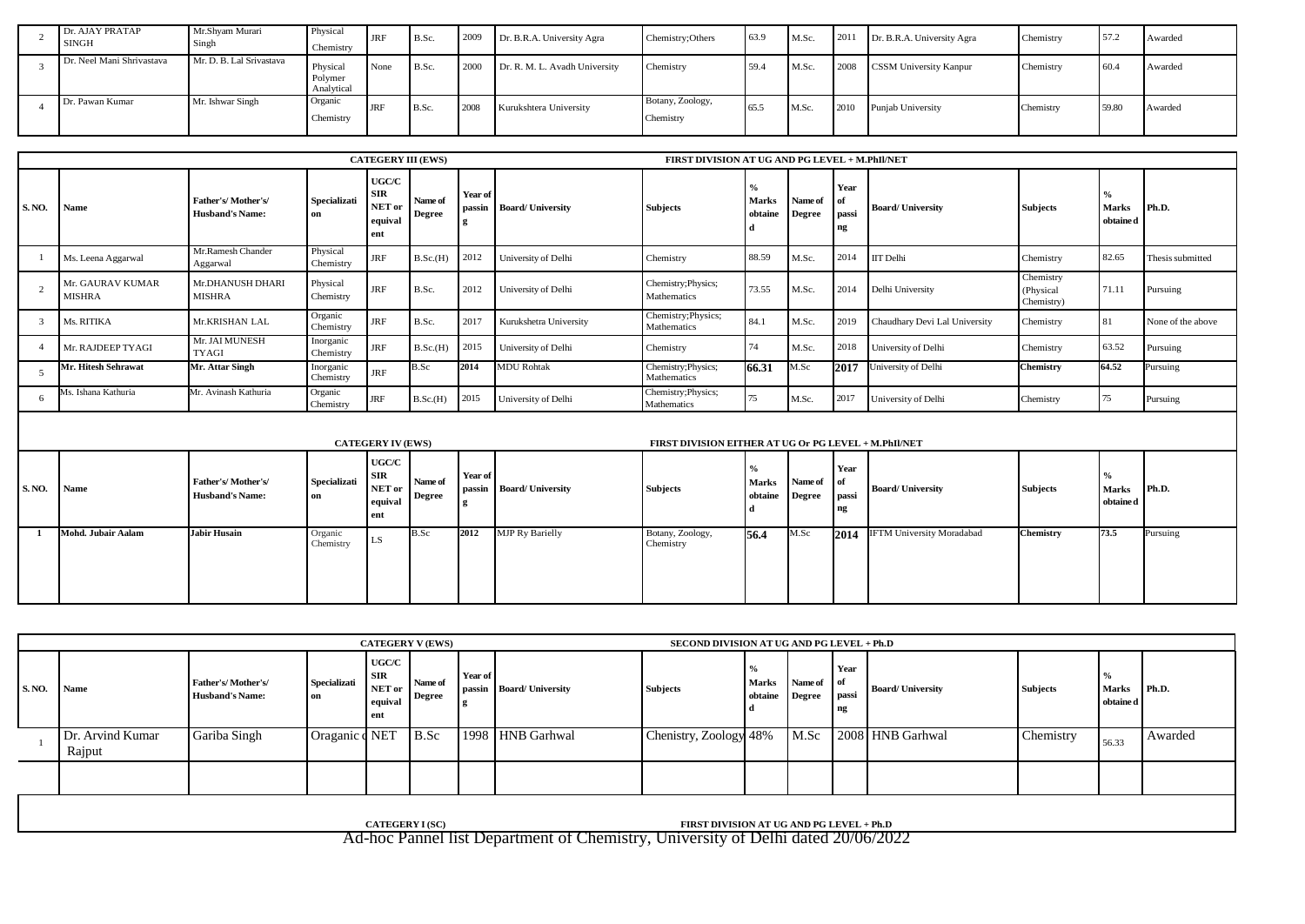| Dr. AJAY PRATAP<br><b>SINGH</b> | Mr.Shyam Murari<br>Singh | Physical<br>Chemistry             | <b>JRF</b> | B.Sc. | 2009 | Dr. B.R.A. University Agra    | Chemistry; Others             | 63.9 | M.Sc. | 2011              | Dr. B.R.A. University Agra    | Chemistry | 57.2  | Awarded |
|---------------------------------|--------------------------|-----------------------------------|------------|-------|------|-------------------------------|-------------------------------|------|-------|-------------------|-------------------------------|-----------|-------|---------|
| Dr. Neel Mani Shrivastava       | Mr. D. B. Lal Srivastava | Physical<br>Polymer<br>Analytical | None       | B.Sc. | 2000 | Dr. R. M. L. Avadh University | Chemistry                     | 59.4 | M.Sc. | 1200 <sub>b</sub> | <b>CSSM University Kanpur</b> | Chemistry | 60.4  | Awarded |
| Dr. Pawan Kumar                 | Mr. Ishwar Singh         | Organic<br>Chemistry              | JRF        | B.Sc. | 2008 | Kurukshtera University        | Botany, Zoology,<br>Chemistry | 65.5 | M.Sc. | 2010              | Punjab University             | Chemistry | 59.80 | Awarded |

|                |                            |                                              |                        | <b>CATEGERY III (EWS)</b>                              |                          |                          |                         | FIRST DIVISION AT UG AND PG LEVEL + M.PhII/NET       |                                          |                          |                             |                                  |                                      |                                            |                   |
|----------------|----------------------------|----------------------------------------------|------------------------|--------------------------------------------------------|--------------------------|--------------------------|-------------------------|------------------------------------------------------|------------------------------------------|--------------------------|-----------------------------|----------------------------------|--------------------------------------|--------------------------------------------|-------------------|
| <b>S. NO.</b>  | <b>Name</b>                | Father's/Mother's/<br><b>Husband's Name:</b> | Specializati<br>on     | UGC/C<br><b>SIR</b><br>NET or<br>equival<br>ent        | Name of<br><b>Degree</b> | Year of<br>g             | passin Board/University | <b>Subjects</b>                                      | $^{0/2}$<br><b>Marks</b><br>obtaine<br>d | Name of<br><b>Degree</b> | Year<br>l of<br>passi<br>ng | <b>Board/University</b>          | <b>Subjects</b>                      | $\frac{0}{0}$<br><b>Marks</b><br>obtaine d | Ph.D.             |
|                | Ms. Leena Aggarwal         | Mr.Ramesh Chander<br>Aggarwal                | Physical<br>Chemistry  | <b>JRF</b>                                             | B.Sc.(H)                 | 2012                     | University of Delhi     | Chemistry                                            | 88.59                                    | M.Sc.                    | 2014                        | IIT Delhi                        | Chemistry                            | 82.65                                      | Thesis submitted  |
| $\overline{2}$ | Mr. GAURAV KUMAR<br>MISHRA | Mr.DHANUSH DHARI<br><b>MISHRA</b>            | Physical<br>Chemistry  | <b>JRF</b>                                             | B.Sc.                    | 2012                     | University of Delhi     | Chemistry; Physics;<br>Mathematics                   | 73.55                                    | M.Sc.                    | 2014                        | Delhi University                 | Chemistry<br>(Physical<br>Chemistry) | 71.11                                      | Pursuing          |
| -3             | Ms. RITIKA                 | Mr.KRISHAN LAL                               | Organic<br>Chemistry   | <b>JRF</b>                                             | B.Sc.                    | 2017                     | Kurukshetra University  | Chemistry; Physics;<br>Mathematics                   | 84.1                                     | M.Sc.                    | 2019                        | Chaudhary Devi Lal University    | Chemistry                            | 81                                         | None of the above |
| $\overline{A}$ | Mr. RAJDEEP TYAGI          | Mr. JAI MUNESH<br><b>TYAGI</b>               | Inorganic<br>Chemistry | <b>JRF</b>                                             | B.Sc.(H)                 | 2015                     | University of Delhi     | Chemistry                                            | 74                                       | M.Sc.                    | 2018                        | University of Delhi              | Chemistry                            | 63.52                                      | Pursuing          |
|                | Mr. Hitesh Sehrawat        | Mr. Attar Singh                              | Inorganic<br>Chemistry | <b>JRF</b>                                             | B.Sc                     | 2014                     | <b>MDU</b> Rohtak       | Chemistry; Physics;<br>Mathematics                   | 66.31                                    | M.Sc                     | 2017                        | Jniversity of Delhi              | Chemistry                            | 64.52                                      | Pursuing          |
| -6             | Ms. Ishana Kathuria        | Mr. Avinash Kathuria                         | Organic<br>Chemistry   | $\rm JRF$                                              | B.Sc.(H)                 | 2015                     | University of Delhi     | Chemistry; Physics;<br><b>Mathematics</b>            | 75                                       | M.Sc.                    | 2017                        | University of Delhi              | Chemistry                            | 75                                         | Pursuing          |
|                |                            |                                              |                        | <b>CATEGERY IV (EWS)</b>                               |                          |                          |                         | FIRST DIVISION EITHER AT UG Or PG LEVEL + M.PhII/NET |                                          |                          |                             |                                  |                                      |                                            |                   |
| <b>S. NO.</b>  | Name                       | Father's/Mother's/<br><b>Husband's Name:</b> | Specializati<br>on     | <b>UGC/C</b><br><b>SIR</b><br>NET or<br>equival<br>ent | Name of<br><b>Degree</b> | Year of<br>passin<br>l g | <b>Board/University</b> | <b>Subjects</b>                                      | $\frac{0}{0}$<br>Marks<br>obtaine<br>d   | Name of<br><b>Degree</b> | Year<br>l of<br>passi<br>ng | <b>Board/University</b>          | <b>Subjects</b>                      | $\frac{0}{0}$<br><b>Marks</b><br>obtaine d | Ph.D.             |
|                | Mohd. Jubair Aalam         | <b>Jabir Husain</b>                          | Organic<br>Chemistry   | LS.                                                    | B.Sc                     | 2012                     | <b>MJP Ry Barielly</b>  | Botany, Zoology,<br>Chemistry                        | 56.4                                     | M.Sc                     | 2014                        | <b>IFTM University Moradabad</b> | Chemistry                            | 73.5                                       | Pursuing          |

|               |                            |                                              |                    |                                                        | <b>CATEGERY V (EWS)</b>  |         |                         | SECOND DIVISION AT UG AND PG LEVEL + Ph.D        |                         |                             |                            |                          |                 |                                  |         |
|---------------|----------------------------|----------------------------------------------|--------------------|--------------------------------------------------------|--------------------------|---------|-------------------------|--------------------------------------------------|-------------------------|-----------------------------|----------------------------|--------------------------|-----------------|----------------------------------|---------|
| <b>S. NO.</b> | Name                       | Father's/Mother's/<br><b>Husband's Name:</b> | Specializati<br>on | <b>UGC/C</b><br><b>SIR</b><br>NET or<br>equival<br>ent | Name of<br><b>Degree</b> | Year of | passin Board/University | <b>Subjects</b>                                  | <b>Marks</b><br>obtaine | Name of of<br><b>Degree</b> | <b>Year</b><br>passi<br>ng | <b>Board/ University</b> | <b>Subjects</b> | $\gamma_0$<br>Marks<br>obtaine d | Ph.D.   |
|               | Dr. Arvind Kumar<br>Rajput | Gariba Singh                                 | Oraganic c NET     |                                                        | B.Sc                     |         | 1998 HNB Garhwal        | Chenistry, Zoology 48%                           |                         | M.Sc                        |                            | 2008 HNB Garhwal         | Chemistry       | 56.33                            | Awarded |
|               |                            |                                              |                    |                                                        |                          |         |                         |                                                  |                         |                             |                            |                          |                 |                                  |         |
|               |                            |                                              |                    | CATEGERY L(SC)                                         |                          |         |                         | <b>FIRST DIVISION AT LIC AND PC LEVEL + Pb D</b> |                         |                             |                            |                          |                 |                                  |         |

Ad-hoc Pannel list Department of Chemistry, University of Delhi dated 20/06/2022 **CATEGERY I (SC) FIRST DIVISION AT UG AND PG LEVEL + Ph.D**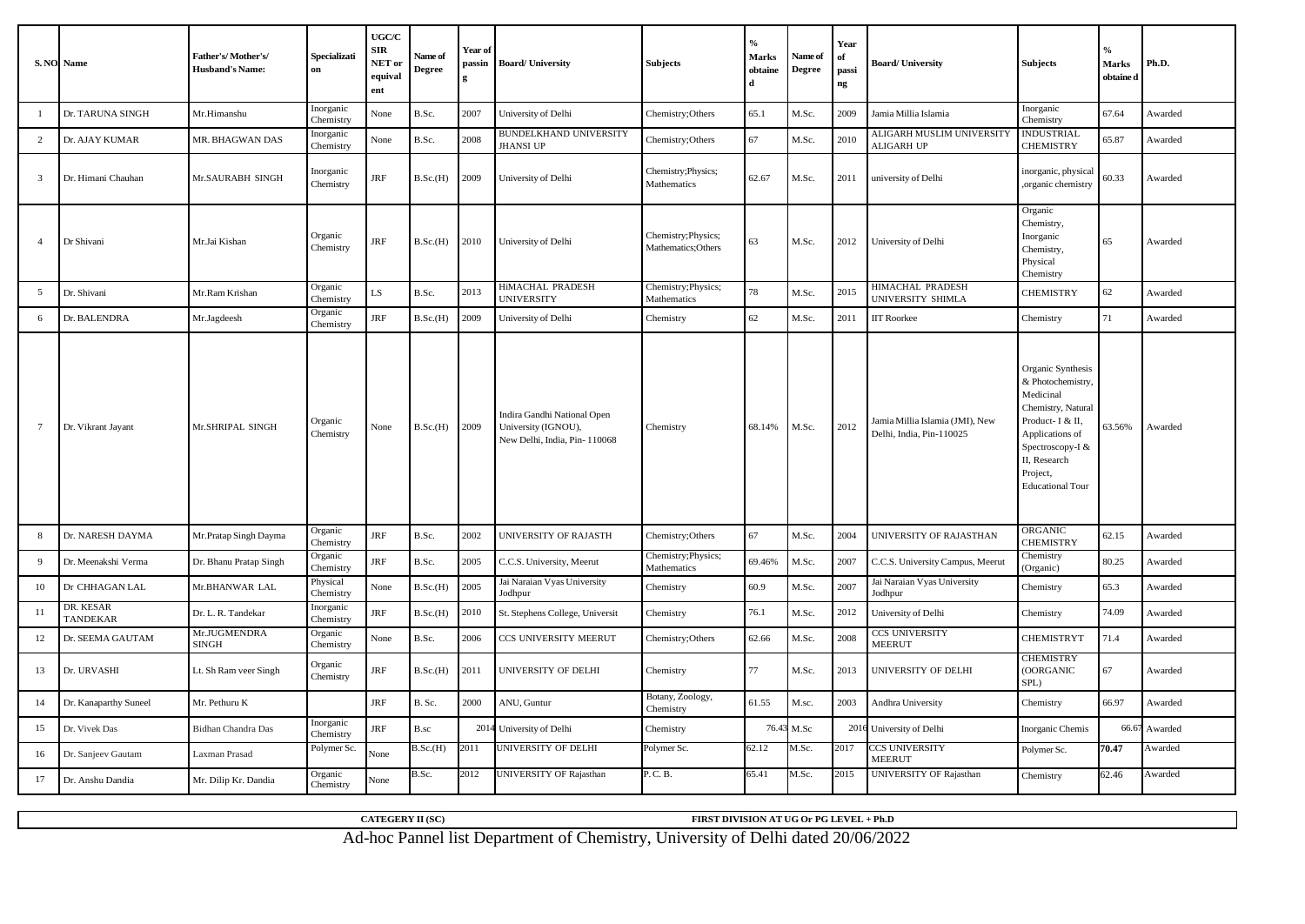|                 | S. NO. Name                  | Father's/Mother's/<br><b>Husband's Name:</b> | Specializati<br>on     | <b>UGC/C</b><br>SIR<br>NET or<br>equival<br>ent | Name of<br><b>Degree</b> | Year of<br>passin | <b>Board/University</b>                                                            | <b>Subjects</b>                            | $\frac{1}{2}$<br><b>Marks</b><br>obtaine | Name of<br><b>Degree</b> | Year<br>of<br>passi<br>ng | <b>Board/University</b>                                     | <b>Subjects</b>                                                                                                                                                                             | <b>Marks</b><br>obtaine d | Ph.D.   |
|-----------------|------------------------------|----------------------------------------------|------------------------|-------------------------------------------------|--------------------------|-------------------|------------------------------------------------------------------------------------|--------------------------------------------|------------------------------------------|--------------------------|---------------------------|-------------------------------------------------------------|---------------------------------------------------------------------------------------------------------------------------------------------------------------------------------------------|---------------------------|---------|
|                 | Dr. TARUNA SINGH             | Mr.Himanshu                                  | Inorganic<br>Chemistry | None                                            | B.Sc.                    | 2007              | University of Delhi                                                                | Chemistry; Others                          | 65.1                                     | M.Sc.                    | 2009                      | Jamia Millia Islamia                                        | Inorganic<br>Chemistry                                                                                                                                                                      | 67.64                     | Awarded |
| 2               | Dr. AJAY KUMAR               | MR. BHAGWAN DAS                              | Inorganic<br>Chemistry | None                                            | B.Sc.                    | 2008              | <b>BUNDELKHAND UNIVERSITY</b><br><b>JHANSI UP</b>                                  | Chemistry; Others                          | 67                                       | M.Sc.                    | 2010                      | ALIGARH MUSLIM UNIVERSITY<br>ALIGARH UP                     | <b>INDUSTRIAL</b><br><b>CHEMISTRY</b>                                                                                                                                                       | 65.87                     | Awarded |
| 3               | Dr. Himani Chauhan           | Mr.SAURABH SINGH                             | Inorganic<br>Chemistry | JRF                                             | B.Sc.(H)                 | 2009              | University of Delhi                                                                | Chemistry; Physics;<br>Mathematics         | 62.67                                    | M.Sc.                    | 2011                      | university of Delhi                                         | inorganic, physical<br>organic chemistry                                                                                                                                                    | 60.33                     | Awarded |
| $\overline{A}$  | Dr Shivani                   | Mr.Jai Kishan                                | Organic<br>Chemistry   | <b>JRF</b>                                      | B.Sc.(H)                 | 2010              | University of Delhi                                                                | Chemistry; Physics;<br>Mathematics; Others | 63                                       | M.Sc.                    | 2012                      | University of Delhi                                         | Organic<br>Chemistry,<br>Inorganic<br>Chemistry.<br>Physical<br>Chemistry                                                                                                                   | 65                        | Awarded |
| 5               | Dr. Shivani                  | Mr.Ram Krishan                               | Organic<br>Chemistry   | LS                                              | B.Sc.                    | 2013              | HiMACHAL PRADESH<br>UNIVERSITY                                                     | Chemistry; Physics;<br>Mathematics         | 78                                       | M.Sc.                    | 2015                      | HIMACHAL PRADESH<br>UNIVERSITY SHIMLA                       | <b>CHEMISTRY</b>                                                                                                                                                                            | 62                        | Awarded |
| 6               | Dr. BALENDRA                 | Mr.Jagdeesh                                  | Organic<br>Chemistry   | $\rm JRF$                                       | B.Sc.(H)                 | 2009              | University of Delhi                                                                | Chemistry                                  | 62                                       | M.Sc.                    | 2011                      | <b>IIT Roorkee</b>                                          | Chemistry                                                                                                                                                                                   | 71                        | Awarded |
| $7\phantom{.0}$ | Dr. Vikrant Jayant           | Mr.SHRIPAL SINGH                             | Organic<br>Chemistry   | None                                            | B.Sc.(H)                 | 2009              | Indira Gandhi National Open<br>University (IGNOU),<br>New Delhi, India, Pin-110068 | Chemistry                                  | 68.14%                                   | M.Sc.                    | 2012                      | Jamia Millia Islamia (JMI), New<br>Delhi, India, Pin-110025 | Organic Synthesis<br>& Photochemistry,<br>Medicinal<br>Chemistry, Natural<br>Product- I & II,<br>Applications of<br>Spectroscopy-I &<br>II, Research<br>Project,<br><b>Educational Tour</b> | 63.56%                    | Awarded |
| 8               | Dr. NARESH DAYMA             | Mr.Pratap Singh Dayma                        | Organic<br>Chemistry   | <b>JRF</b>                                      | B.Sc.                    | 2002              | UNIVERSITY OF RAJASTH                                                              | Chemistry; Others                          | 67                                       | M.Sc.                    | 2004                      | UNIVERSITY OF RAJASTHAN                                     | ORGANIC<br><b>CHEMISTRY</b>                                                                                                                                                                 | 62.15                     | Awarded |
| 9               | Dr. Meenakshi Verma          | Dr. Bhanu Pratap Singh                       | Organic<br>Chemistry   | <b>JRF</b>                                      | B.Sc.                    | 2005              | C.C.S. University, Meerut                                                          | Chemistry; Physics;<br>Mathematics         | 69.46%                                   | M.Sc.                    | 2007                      | C.C.S. University Campus, Meerut                            | Chemistry<br>(Organic)                                                                                                                                                                      | 80.25                     | Awarded |
| 10              | Dr CHHAGAN LAL               | Mr.BHANWAR LAL                               | Physical<br>Chemistry  | None                                            | B.Sc.(H                  | 2005              | Jai Naraian Vyas University<br>Jodhpur                                             | Chemistry                                  | 60.9                                     | M.Sc.                    | 2007                      | Jai Naraian Vyas University<br>Jodhpur                      | Chemistry                                                                                                                                                                                   | 65.3                      | Awarded |
| 11              | DR. KESAR<br><b>TANDEKAR</b> | Dr. L. R. Tandekar                           | Inorganic<br>Chemistry | JRF                                             | B.Sc.(H)                 | 2010              | St. Stephens College, Universit                                                    | Chemistry                                  | 76.1                                     | M.Sc.                    | 2012                      | University of Delhi                                         | Chemistry                                                                                                                                                                                   | 74.09                     | Awarded |
| 12              | Dr. SEEMA GAUTAM             | Mr.JUGMENDRA<br><b>SINGH</b>                 | Organic<br>Chemistry   | None                                            | B.Sc.                    | 2006              | CCS UNIVERSITY MEERUT                                                              | Chemistry; Others                          | 62.66                                    | M.Sc.                    | 2008                      | <b>CCS UNIVERSITY</b><br><b>MEERUT</b>                      | <b>CHEMISTRYT</b>                                                                                                                                                                           | 71.4                      | Awarded |
| 13              | Dr. URVASHI                  | Lt. Sh Ram veer Singh                        | Organic<br>Chemistry   | JRF                                             | B.Sc.(H)                 | 2011              | UNIVERSITY OF DELHI                                                                | Chemistry                                  | 77                                       | M.Sc.                    | 2013                      | UNIVERSITY OF DELHI                                         | <b>CHEMISTRY</b><br>(OORGANIC<br>SPL)                                                                                                                                                       | 67                        | Awarded |
| 14              | Dr. Kanaparthy Suneel        | Mr. Pethuru K                                |                        | JRF                                             | B. Sc.                   | 2000              | ANU, Guntur                                                                        | Botany, Zoology,<br>Chemistry              | 61.55                                    | M.sc.                    | 2003                      | Andhra University                                           | Chemistry                                                                                                                                                                                   | 66.97                     | Awarded |
| 15              | Dr. Vivek Das                | <b>Bidhan Chandra Das</b>                    | Inorganic<br>Chemistry | JRF                                             | B.sc                     | 201               | University of Delhi                                                                | Chemistry                                  | 76.4                                     | M.Sc                     | 2016                      | University of Delhi                                         | Inorganic Chemis                                                                                                                                                                            | 66.67                     | Awarded |
| 16              | Dr. Sanjeev Gautam           | Laxman Prasad                                | Polymer Sc.            | None                                            | 3.Sc.(H)                 | 2011              | UNIVERSITY OF DELHI                                                                | Polymer Sc.                                | 52.12                                    | M.Sc.                    | 2017                      | CCS UNIVERSITY<br>MEERUT                                    | Polymer Sc.                                                                                                                                                                                 | 70.47                     | Awarded |
| 17              | Dr. Anshu Dandia             | Mr. Dilip Kr. Dandia                         | Organic<br>Chemistry   | None                                            | 3.Sc.                    | 2012              | UNIVERSITY OF Rajasthan                                                            | P. C. B.                                   | 55.41                                    | M.Sc.                    | 2015                      | <b>UNIVERSITY OF Rajasthan</b>                              | Chemistry                                                                                                                                                                                   | 52.46                     | Awarded |

Ad-hoc Pannel list Department of Chemistry, University of Delhi dated 20/06/2022 **CATEGERY II (SC) FIRST DIVISION AT UG Or PG LEVEL + Ph.D**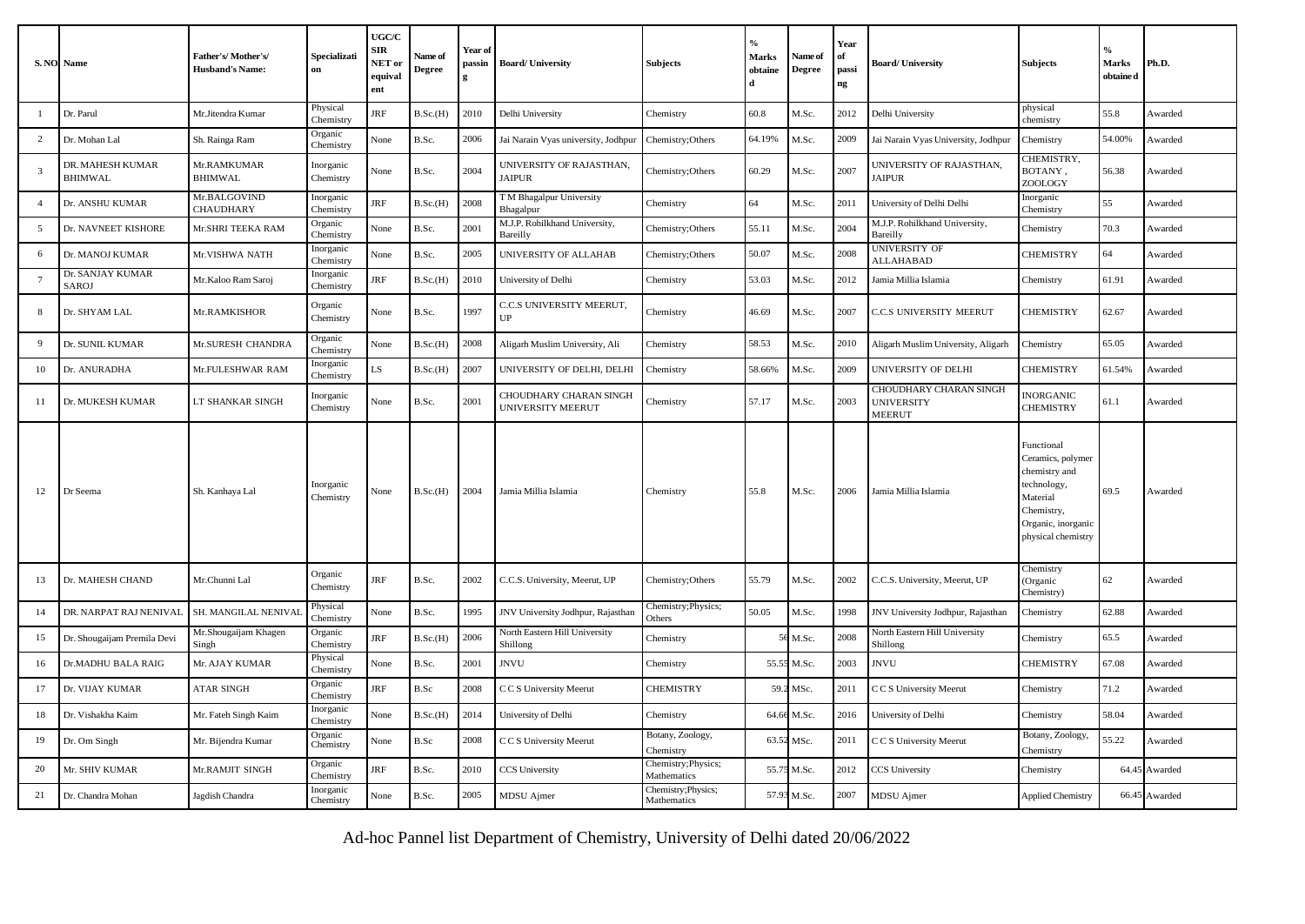|                 | S. NO. Name                        | Father's/Mother's/<br><b>Husband's Name:</b> | Specializati<br>on     | UGC/C<br>SIR<br>NET 01<br>equival<br>ent | Name of<br><b>Degree</b> | Year of<br>passin | <b>Board/University</b>                     | <b>Subjects</b>                    | Marks<br>obtaine<br>d | Name of<br><b>Degree</b> | Year<br>of<br>passi<br>ng | <b>Board/University</b>                               | <b>Subjects</b>                                                                                                                       | $\frac{1}{2}$<br>Marks<br>obtaine d | Ph.D.   |
|-----------------|------------------------------------|----------------------------------------------|------------------------|------------------------------------------|--------------------------|-------------------|---------------------------------------------|------------------------------------|-----------------------|--------------------------|---------------------------|-------------------------------------------------------|---------------------------------------------------------------------------------------------------------------------------------------|-------------------------------------|---------|
|                 | Dr. Parul                          | Mr.Jitendra Kumar                            | Physical<br>Chemistry  | <b>JRF</b>                               | B.Sc.(H)                 | 2010              | Delhi University                            | Chemistry                          | 60.8                  | M.Sc.                    | 2012                      | Delhi University                                      | physical<br>chemistry                                                                                                                 | 55.8                                | Awarded |
| $\overline{c}$  | Dr. Mohan Lal                      | Sh. Rainga Ram                               | Organic<br>Chemistry   | None                                     | B.Sc.                    | 2006              | Jai Narain Vyas university, Jodhpur         | Chemistry; Others                  | 64.19%                | M.Sc.                    | 2009                      | Jai Narain Vyas University, Jodhpur                   | Chemistry                                                                                                                             | 54.00%                              | Awarded |
| $\overline{3}$  | DR. MAHESH KUMAR<br><b>BHIMWAL</b> | Mr.RAMKUMAR<br><b>BHIMWAL</b>                | Inorganic<br>Chemistry | None                                     | B.Sc.                    | 2004              | UNIVERSITY OF RAJASTHAN,<br>JAIPUR          | Chemistry; Others                  | 60.29                 | M.Sc.                    | 2007                      | UNIVERSITY OF RAJASTHAN,<br>JAIPUR                    | CHEMISTRY,<br>BOTANY,<br>ZOOLOGY                                                                                                      | 56.38                               | Awarded |
| $\overline{4}$  | Dr. ANSHU KUMAR                    | Mr.BALGOVIND<br><b>CHAUDHARY</b>             | Inorganic<br>Chemistry | <b>JRF</b>                               | B.Sc.(H)                 | 2008              | T M Bhagalpur University<br>Bhagalpur       | Chemistry                          | 64                    | M.Sc.                    | 2011                      | University of Delhi Delhi                             | Inorganic<br>Chemistry                                                                                                                | 55                                  | Awarded |
| 5               | Dr. NAVNEET KISHORE                | Mr.SHRI TEEKA RAM                            | Organic<br>Chemistry   | None                                     | B.Sc.                    | 2001              | M.J.P. Rohilkhand University,<br>Bareilly   | Chemistry; Others                  | 55.11                 | M.Sc.                    | 2004                      | M.J.P. Rohilkhand University,<br>Bareilly             | Chemistry                                                                                                                             | 70.3                                | Awarded |
| 6               | Dr. MANOJ KUMAR                    | Mr.VISHWA NATH                               | Inorganic<br>Chemistry | None                                     | B.Sc.                    | 2005              | UNIVERSITY OF ALLAHAB                       | Chemistry; Others                  | 50.07                 | M.Sc.                    | 2008                      | <b>UNIVERSITY OF</b><br><b>ALLAHABAD</b>              | <b>CHEMISTRY</b>                                                                                                                      | 64                                  | Awarded |
| $7\overline{ }$ | Dr. SANJAY KUMAR<br><b>SAROJ</b>   | Mr.Kaloo Ram Saroj                           | Inorganic<br>Chemistry | <b>JRF</b>                               | B.Sc.(H)                 | 2010              | University of Delhi                         | Chemistry                          | 53.03                 | M.Sc.                    | 2012                      | Jamia Millia Islamia                                  | Chemistry                                                                                                                             | 61.91                               | Awarded |
| 8               | Dr. SHYAM LAL                      | Mr.RAMKISHOR                                 | Organic<br>Chemistry   | None                                     | B.Sc.                    | 1997              | <b>C.C.S UNIVERSITY MEERUT.</b><br>UP       | Chemistry                          | 46.69                 | M.Sc.                    | 2007                      | <b>C.C.S UNIVERSITY MEERUT</b>                        | CHEMISTRY                                                                                                                             | 62.67                               | Awarded |
| 9               | Dr. SUNIL KUMAR                    | Mr.SURESH CHANDRA                            | Organic<br>Chemistry   | None                                     | B.Sc.(H)                 | 2008              | Aligarh Muslim University, Ali              | Chemistry                          | 58.53                 | M.Sc.                    | 2010                      | Aligarh Muslim University, Aligarh                    | Chemistry                                                                                                                             | 65.05                               | Awarded |
| 10              | Dr. ANURADHA                       | Mr.FULESHWAR RAM                             | Inorganic<br>Chemistry | LS                                       | B.Sc.(H)                 | 2007              | UNIVERSITY OF DELHI, DELHI                  | Chemistry                          | 58.66%                | M.Sc.                    | 2009                      | UNIVERSITY OF DELHI                                   | <b>CHEMISTRY</b>                                                                                                                      | 61.54%                              | Awarded |
| 11              | Dr. MUKESH KUMAR                   | LT SHANKAR SINGH                             | Inorganic<br>Chemistry | None                                     | B.Sc.                    | 2001              | CHOUDHARY CHARAN SINGH<br>UNIVERSITY MEERUT | Chemistry                          | 57.17                 | M.Sc.                    | 2003                      | CHOUDHARY CHARAN SINGH<br><b>UNIVERSITY</b><br>MEERUT | <b>INORGANIC</b><br><b>CHEMISTRY</b>                                                                                                  | 51.1                                | Awarded |
| 12              | Dr Seema                           | Sh. Kanhaya Lal                              | Inorganic<br>Chemistry | None                                     | B.Sc.(H)                 | 2004              | Jamia Millia Islamia                        | Chemistry                          | 55.8                  | M.Sc.                    | 2006                      | Jamia Millia Islamia                                  | Functional<br>Ceramics, polymer<br>chemistry and<br>technology,<br>Material<br>Chemistry,<br>Organic, inorganic<br>physical chemistry | 69.5                                | Awarded |
| 13              | Dr. MAHESH CHAND                   | Mr.Chunni Lal                                | Organic<br>Chemistry   | <b>JRF</b>                               | B.Sc.                    | 2002              | C.C.S. University, Meerut, UP               | Chemistry; Others                  | 55.79                 | M.Sc.                    | 2002                      | C.C.S. University, Meerut, UP                         | Chemistry<br>Organic<br>Chemistry)                                                                                                    | 62                                  | Awarded |
| 14              | DR. NARPAT RAJ NENIVAL             | SH. MANGILAL NENIVAL                         | Physical<br>Chemistry  | None                                     | B.Sc.                    | 1995              | JNV University Jodhpur, Rajasthan           | Chemistry; Physics;<br>Others      | 50.05                 | M.Sc.                    | 1998                      | JNV University Jodhpur, Rajasthan                     | Chemistry                                                                                                                             | 62.88                               | Awarded |
| 15              | Dr. Shougaijam Premila Devi        | Mr.Shougaijam Khagen<br>Singh                | Organic<br>Chemistry   | JRF                                      | B.Sc.(H)                 | 2006              | North Eastern Hill University<br>Shillong   | Chemistry                          |                       | M.Sc.                    | 2008                      | North Eastern Hill University<br>Shillong             | Chemistry                                                                                                                             | 65.5                                | Awarded |
| 16              | Dr.MADHU BALA RAIG                 | Mr. AJAY KUMAR                               | Physical<br>Chemistry  | None                                     | B.Sc.                    | 2001              | <b>JNVU</b>                                 | Chemistry                          | 55.55                 | M.Sc.                    | 2003                      | <b>JNVU</b>                                           | <b>CHEMISTRY</b>                                                                                                                      | 67.08                               | Awarded |
| 17              | Dr. VIJAY KUMAR                    | ATAR SINGH                                   | Organic<br>Chemistry   | <b>JRF</b>                               | B.Sc                     | 2008              | C C S University Meerut                     | <b>CHEMISTRY</b>                   | 59.2                  | MSc.                     | 2011                      | CCS University Meerut                                 | Chemistry                                                                                                                             | 71.2                                | Awarded |
| 18              | Dr. Vishakha Kaim                  | Mr. Fateh Singh Kaim                         | Inorganic<br>Chemistry | None                                     | B.Sc.(H)                 | 2014              | University of Delhi                         | Chemistry                          | 64.66                 | M.Sc.                    | 2016                      | University of Delhi                                   | Chemistry                                                                                                                             | 58.04                               | Awarded |
| 19              | Dr. Om Singh                       | Mr. Bijendra Kumar                           | Organic<br>Chemistry   | None                                     | B.Sc                     | 2008              | C C S University Meerut                     | Botany, Zoology,<br>Chemistry      |                       | 63.52 MSc.               | 2011                      | C C S University Meerut                               | Botany, Zoology,<br>Chemistry                                                                                                         | 55.22                               | Awarded |
| 20              | Mr. SHIV KUMAR                     | Mr.RAMJIT SINGH                              | Organic<br>Chemistry   | JRF                                      | B.Sc.                    | 2010              | <b>CCS University</b>                       | Chemistry; Physics;<br>Mathematics | 55.75                 | M.Sc.                    | 2012                      | <b>CCS University</b>                                 | Chemistry                                                                                                                             | 64.45                               | Awarded |
| 21              | Dr. Chandra Mohan                  | Jagdish Chandra                              | Inorganic<br>Chemistry | None                                     | B.Sc.                    | 2005              | <b>MDSU</b> Ajmer                           | Chemistry; Physics;<br>Mathematics | 57.93                 | M.Sc.                    | 2007                      | <b>MDSU</b> Ajmer                                     | <b>Applied Chemistry</b>                                                                                                              | 66.45                               | Awarded |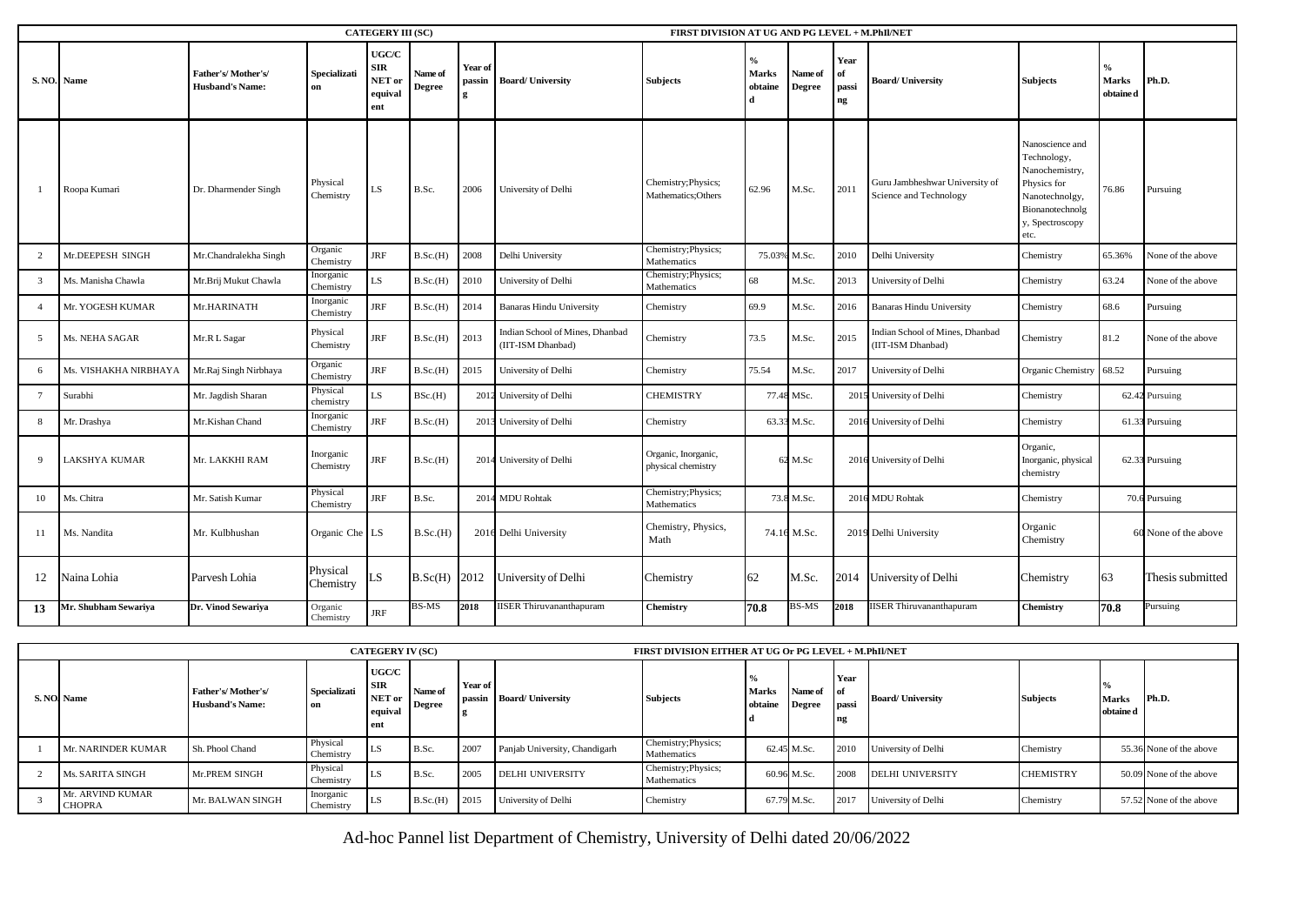|                 |                       |                                              |                        | <b>CATEGERY III (SC)</b>                        |                   |                   |                                                      | FIRST DIVISION AT UG AND PG LEVEL + M.PhII/NET |                                               |                   |                           |                                                          |                                                                                                                                 |                    |                      |
|-----------------|-----------------------|----------------------------------------------|------------------------|-------------------------------------------------|-------------------|-------------------|------------------------------------------------------|------------------------------------------------|-----------------------------------------------|-------------------|---------------------------|----------------------------------------------------------|---------------------------------------------------------------------------------------------------------------------------------|--------------------|----------------------|
|                 | S. NO. Name           | Father's/Mother's/<br><b>Husband's Name:</b> | Specializati<br>on     | <b>UGC/C</b><br>SIR<br>NET or<br>equival<br>ent | Name of<br>Degree | Year of<br>passin | <b>Board/University</b>                              | <b>Subjects</b>                                | $\frac{0}{\alpha}$<br><b>Marks</b><br>obtaine | Name of<br>Degree | Year<br>of<br>passi<br>ng | <b>Board/ University</b>                                 | <b>Subjects</b>                                                                                                                 | Marks<br>obtaine d | Ph.D.                |
|                 | Roopa Kumari          | Dr. Dharmender Singh                         | Physical<br>Chemistry  | LS.                                             | B.Sc.             | 2006              | University of Delhi                                  | Chemistry; Physics;<br>Mathematics;Others      | 62.96                                         | M.Sc.             | 2011                      | Guru Jambheshwar University of<br>Science and Technology | Nanoscience and<br>Technology,<br>Nanochemistry,<br>Physics for<br>Nanotechnolgy,<br>Bionanotechnolg<br>y, Spectroscopy<br>etc. | 76.86              | Pursuing             |
| 2               | Mr.DEEPESH SINGH      | Mr.Chandralekha Singh                        | Organic<br>Chemistry   | $\rm JRF$                                       | B.Sc.(H)          | 2008              | Delhi University                                     | Chemistry; Physics;<br>Mathematics             | 75.03%                                        | M.Sc.             | 2010                      | Delhi University                                         | Chemistry                                                                                                                       | 65.36%             | None of the above    |
| 3               | Ms. Manisha Chawla    | Mr.Brij Mukut Chawla                         | Inorganic<br>Chemistry | LS.                                             | B.Sc.(H)          | 2010              | University of Delhi                                  | Chemistry; Physics;<br>Mathematics             | 68                                            | M.Sc.             | 2013                      | University of Delhi                                      | Chemistry                                                                                                                       | 63.24              | None of the above    |
| $\overline{4}$  | Mr. YOGESH KUMAR      | Mr.HARINATH                                  | Inorganic<br>Chemistry | JRF                                             | B.Sc.(H)          | 2014              | <b>Banaras Hindu University</b>                      | Chemistry                                      | 69.9                                          | M.Sc.             | 2016                      | <b>Banaras Hindu University</b>                          | Chemistry                                                                                                                       | 68.6               | Pursuing             |
| 5               | Ms. NEHA SAGAR        | Mr.R L Sagar                                 | Physical<br>Chemistry  | JRF                                             | B.Sc.(H)          | 2013              | Indian School of Mines, Dhanbad<br>(IIT-ISM Dhanbad) | Chemistry                                      | 73.5                                          | M.Sc.             | 2015                      | Indian School of Mines, Dhanbad<br>(IIT-ISM Dhanbad)     | Chemistry                                                                                                                       | 81.2               | None of the above    |
| 6               | Ms. VISHAKHA NIRBHAYA | Mr.Raj Singh Nirbhaya                        | Organic<br>Chemistry   | <b>JRF</b>                                      | B.Sc.(H)          | 2015              | University of Delhi                                  | Chemistry                                      | 75.54                                         | M.Sc.             | 2017                      | University of Delhi                                      | Organic Chemistry                                                                                                               | 68.52              | Pursuing             |
| $7\phantom{.0}$ | Surabhi               | Mr. Jagdish Sharan                           | Physical<br>chemistry  | LS.                                             | BSc.(H)           |                   | 2012 University of Delhi                             | <b>CHEMISTRY</b>                               |                                               | 77.48 MSc.        |                           | 2015 University of Delhi                                 | Chemistry                                                                                                                       |                    | 62.42 Pursuing       |
| 8               | Mr. Drashya           | Mr.Kishan Chand                              | Inorganic<br>Chemistry | $\rm JRF$                                       | B.Sc.(H)          |                   | 2013 University of Delhi                             | Chemistry                                      |                                               | 63.33 M.Sc.       |                           | 2016 University of Delhi                                 | Chemistry                                                                                                                       |                    | 61.33 Pursuing       |
| 9               | LAKSHYA KUMAR         | Mr. LAKKHI RAM                               | Inorganic<br>Chemistry | <b>JRF</b>                                      | B.Sc.(H)          |                   | 2014 University of Delhi                             | Organic, Inorganic,<br>physical chemistry      |                                               | 62 M.Sc           |                           | 2016 University of Delhi                                 | Organic,<br>Inorganic, physical<br>chemistry                                                                                    |                    | 62.33 Pursuing       |
| 10              | Ms. Chitra            | Mr. Satish Kumar                             | Physical<br>Chemistry  | $\rm JRF$                                       | B.Sc.             |                   | 2014 MDU Rohtak                                      | Chemistry; Physics;<br>Mathematics             |                                               | 73.8 M.Sc.        |                           | 2016 MDU Rohtak                                          | Chemistry                                                                                                                       |                    | 70.6 Pursuing        |
| 11              | Ms. Nandita           | Mr. Kulbhushan                               | Organic Che LS         |                                                 | B.Sc.(H)          |                   | 2016 Delhi University                                | Chemistry, Physics,<br>Math                    |                                               | 74.16 M.Sc.       |                           | 2019 Delhi University                                    | Organic<br>Chemistry                                                                                                            |                    | 60 None of the above |
| 12              | Naina Lohia           | Parvesh Lohia                                | Physical<br>Chemistry  | LS.                                             | B.Sc(H)           | 2012              | University of Delhi                                  | Chemistry                                      | 62                                            | M.Sc.             | 2014                      | University of Delhi                                      | Chemistry                                                                                                                       | 63                 | Thesis submitted     |
| 13              | Mr. Shubham Sewariya  | Dr. Vinod Sewariya                           | Organic<br>Chemistry   | $\rm JRF$                                       | <b>BS-MS</b>      | 2018              | <b>ISER</b> Thiruvananthapuram                       | Chemistry                                      | 70.8                                          | BS-MS             | 2018                      | <b>IISER</b> Thiruvananthapuram                          | Chemistry                                                                                                                       | 70.8               | Pursuing             |

|                                   |                                       |                        | <b>CATEGERY IV (SC)</b>                                |                          |                     |                               | FIRST DIVISION EITHER AT UG Or PG LEVEL + M.PhII/NET |                         |                   |                                     |                         |                  |                           |                         |
|-----------------------------------|---------------------------------------|------------------------|--------------------------------------------------------|--------------------------|---------------------|-------------------------------|------------------------------------------------------|-------------------------|-------------------|-------------------------------------|-------------------------|------------------|---------------------------|-------------------------|
| S. NO. Name                       | Father's/Mother's/<br>Husband's Name: | Specializati<br>l on   | <b>UGC/C</b><br><b>SIR</b><br>NET or<br>equival<br>ent | Name of<br><b>Degree</b> | Year of<br><b>P</b> | passin Board/University       | <b>Subjects</b>                                      | <b>Marks</b><br>obtaine | Name of<br>Degree | <b>Year</b><br>-l of<br>passi<br>ng | <b>Board/University</b> | <b>Subjects</b>  | <b>Marks</b><br>obtaine d | Ph.D.                   |
| Mr. NARINDER KUMAR                | Sh. Phool Chand                       | Physical<br>Chemistry  | LS                                                     | B.Sc.                    | 2007                | Panjab University, Chandigarh | Chemistry; Physics;<br>Mathematics                   |                         | 62.45 M.Sc.       | 2010                                | University of Delhi     | Chemistry        |                           | 55.36 None of the above |
| <b>Ms. SARITA SINGH</b>           | Mr.PREM SINGH                         | Physical<br>Chemistry  | LS                                                     | B.Sc.                    | 200:                | <b>DELHI UNIVERSITY</b>       | Chemistry; Physics;<br>Mathematics                   |                         | 60.96 M.Sc.       | 2008                                | <b>DELHI UNIVERSITY</b> | <b>CHEMISTRY</b> |                           | 50.09 None of the above |
| Mr. ARVIND KUMAR<br><b>CHOPRA</b> | Mr. BALWAN SINGH                      | Inorganic<br>Chemistry | <b>LS</b>                                              | B.Sc.(H)                 | 2015                | University of Delhi           | Chemistry                                            |                         | 67.79 M.Sc.       | 2017                                | University of Delhi     | Chemistry        |                           | 57.52 None of the above |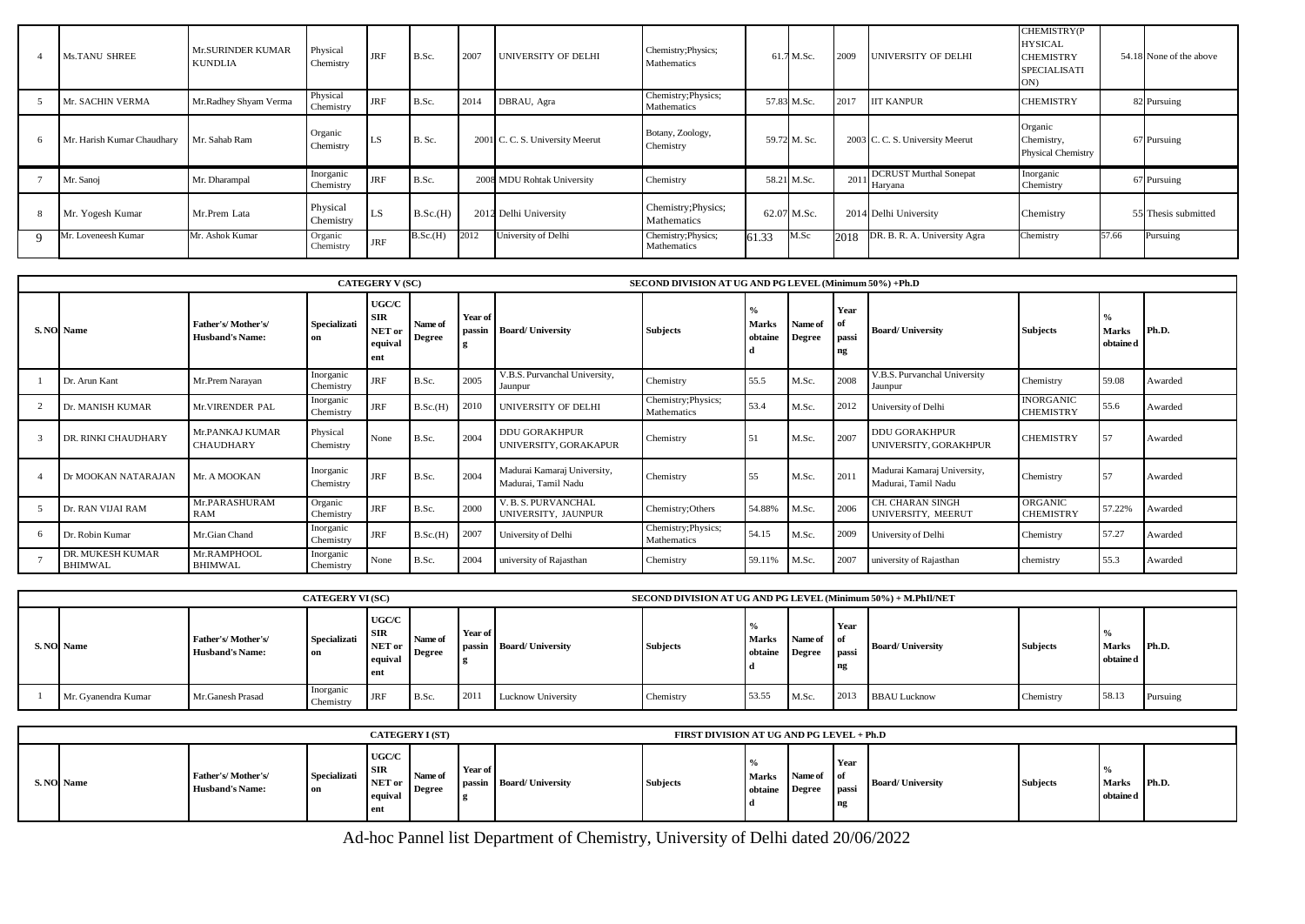| $\overline{4}$ | <b>Ms.TANU SHREE</b>       | <b>Mr.SURINDER KUMAR</b><br><b>KUNDLIA</b> | Physical<br>Chemistry  | <b>JRF</b> | B.Sc.         | 2007 | <b>UNIVERSITY OF DELHI</b>    | Chemistry; Physics;<br>Mathematics |       | 61.7 M.Sc.   | 2009 | <b>UNIVERSITY OF DELHI</b>        | CHEMISTRY(P<br><b>HYSICAL</b><br><b>CHEMISTRY</b><br><b>SPECIALISATI</b><br>ON) |       | 54.18 None of the above |
|----------------|----------------------------|--------------------------------------------|------------------------|------------|---------------|------|-------------------------------|------------------------------------|-------|--------------|------|-----------------------------------|---------------------------------------------------------------------------------|-------|-------------------------|
|                | Mr. SACHIN VERMA           | Mr.Radhey Shyam Verma                      | Physical<br>Chemistry  | <b>JRF</b> | B.Sc.         | 2014 | DBRAU, Agra                   | Chemistry; Physics;<br>Mathematics |       | 57.83 M.Sc.  | 2017 | <b>IIT KANPUR</b>                 | CHEMISTRY                                                                       |       | 82 Pursuing             |
| 6              | Mr. Harish Kumar Chaudhary | Mr. Sahab Ram                              | Organic<br>Chemistry   | <b>LS</b>  | <b>B.</b> Sc. |      | 2001 C.C.S. University Meerut | Botany, Zoology,<br>Chemistry      |       | 59.72 M. Sc. |      | 2003 C.C.S. University Meerut     | Organic<br>Chemistry,<br><b>Physical Chemistry</b>                              |       | 67 Pursuing             |
|                | Mr. Sanoj                  | Mr. Dharampal                              | Inorganic<br>Chemistry | <b>JRF</b> | B.Sc.         |      | 2008 MDU Rohtak University    | Chemistry                          |       | 58.21 M.Sc.  | 2011 | DCRUST Murthal Sonepat<br>Haryana | Inorganic<br>Chemistry                                                          |       | 67 Pursuing             |
| 8              | Mr. Yogesh Kumar           | Mr.Prem Lata                               | Physical<br>Chemistry  | $LS$       | B.Sc.(H)      |      | 2012 Delhi University         | Chemistry; Physics;<br>Mathematics |       | 62.07 M.Sc.  |      | 2014 Delhi University             | Chemistry                                                                       |       | 55 Thesis submitted     |
|                | Mr. Loveneesh Kumar        | Mr. Ashok Kumar                            | Organic<br>Chemistry   | <b>JRF</b> | B.Sc.(H)      | 2012 | University of Delhi           | Chemistry; Physics;<br>Mathematics | 61.33 | M.Sc         | 2018 | DR. B. R. A. University Agra      | Chemistry                                                                       | 57.66 | Pursuing                |

|   |                                    |                                              |                        | <b>CATEGERY V (SC)</b>                          |                          |                   |                                                    | SECOND DIVISION AT UG AND PG LEVEL (Minimum 50%) +Ph.D |                                |         |                     |                                                    |                                      |                    |         |
|---|------------------------------------|----------------------------------------------|------------------------|-------------------------------------------------|--------------------------|-------------------|----------------------------------------------------|--------------------------------------------------------|--------------------------------|---------|---------------------|----------------------------------------------------|--------------------------------------|--------------------|---------|
|   | S. NO. Name                        | Father's/Mother's/<br><b>Husband's Name:</b> | Specializati<br>on     | UGC/C<br><b>SIR</b><br>NET or<br>equival<br>ent | Name of<br><b>Degree</b> | Year of<br>passin | <b>Board/University</b>                            | <b>Subjects</b>                                        | <b>Marks</b><br>obtaine Degree | Name of | Year<br>passi<br>ng | <b>Board/University</b>                            | <b>Subjects</b>                      | Marks<br>obtaine d | IPh.D.  |
|   | Dr. Arun Kant                      | Mr.Prem Narayan                              | Inorganic<br>Chemistry | $\rm JRF$                                       | B.Sc.                    | 2005              | V.B.S. Purvanchal University,<br>Jaunpur           | Chemistry                                              | 55.5                           | M.Sc.   | 2008                | V.B.S. Purvanchal University<br>Jaunpur            | Chemistry                            | 59.08              | Awarded |
|   | Dr. MANISH KUMAR                   | Mr.VIRENDER PAL                              | Inorganic<br>Chemistry | <b>JRF</b>                                      | B.Sc.(H)                 | 2010              | UNIVERSITY OF DELHI                                | Chemistry; Physics;<br>Mathematics                     | 53.4                           | M.Sc.   | 2012                | University of Delhi                                | <b>INORGANIC</b><br><b>CHEMISTRY</b> | 55.6               | Awarded |
|   | DR. RINKI CHAUDHARY                | Mr.PANKAJ KUMAR<br><b>CHAUDHARY</b>          | Physical<br>Chemistry  | None                                            | B.Sc.                    | 2004              | <b>DDU GORAKHPUR</b><br>UNIVERSITY, GORAKAPUR      | Chemistry                                              | 51                             | M.Sc.   | 2007                | <b>DDU GORAKHPUR</b><br>UNIVERSITY, GORAKHPUR      | <b>CHEMISTRY</b>                     | 57                 | Awarded |
|   | Dr MOOKAN NATARAJAN                | Mr. A MOOKAN                                 | Inorganic<br>Chemistry | <b>JRF</b>                                      | B.Sc.                    | 2004              | Madurai Kamaraj University,<br>Madurai, Tamil Nadu | Chemistry                                              | 55                             | M.Sc.   | 2011                | Madurai Kamaraj University,<br>Madurai, Tamil Nadu | Chemistry                            |                    | Awarded |
|   | Dr. RAN VIJAI RAM                  | Mr.PARASHURAM<br>RAM                         | Organic<br>Chemistry   | <b>JRF</b>                                      | B.Sc.                    | 2000              | V.B.S. PURVANCHAL<br>UNIVERSITY, JAUNPUR           | Chemistry; Others                                      | 54.88%                         | M.Sc.   | 2006                | CH. CHARAN SINGH<br>UNIVERSITY, MEERUT             | <b>ORGANIC</b><br><b>CHEMISTRY</b>   | 57.22%             | Awarded |
| 6 | Dr. Robin Kumar                    | Mr.Gian Chand                                | Inorganic<br>Chemistry | $\rm JRF$                                       | B.Sc.(H)                 | 2007              | University of Delhi                                | Chemistry; Physics;<br>Mathematics                     | 54.15                          | M.Sc.   | 2009                | University of Delhi                                | Chemistry                            | 57.27              | Awarded |
|   | DR. MUKESH KUMAR<br><b>BHIMWAL</b> | Mr.RAMPHOOL<br>BHIMWAL                       | Inorganic<br>Chemistry | None                                            | B.Sc.                    | 2004              | university of Rajasthan                            | Chemistry                                              | 59.11% M.Sc.                   |         | 2007                | university of Rajasthan                            | chemistry                            | 55.3               | Awarded |

|                     |                                              | <b>CATEGERY VI (SC)</b> |                                                          |                          |                          |                           | SECOND DIVISION AT UG AND PG LEVEL (Minimum 50%) + M.PhII/NET |                         |                          |                                       |                         |                 |                           |          |
|---------------------|----------------------------------------------|-------------------------|----------------------------------------------------------|--------------------------|--------------------------|---------------------------|---------------------------------------------------------------|-------------------------|--------------------------|---------------------------------------|-------------------------|-----------------|---------------------------|----------|
| S. NO. Name         | Father's/Mother's/<br><b>Husband's Name:</b> | Specializati<br>l on    | <b>UGC/C</b><br><b>SIR</b><br>NET or<br>equival<br>l ent | Name of<br><b>Degree</b> | Year of<br><b>Dassin</b> | <b>Board/University</b>   | <b>Subjects</b>                                               | <b>Marks</b><br>obtaine | Name of<br><b>Degree</b> | <b>Year</b><br>-l of<br>passi<br>l ng | <b>Board/University</b> | <b>Subjects</b> | <b>Marks</b><br>obtaine d | Ph.D.    |
| Mr. Gyanendra Kumar | Mr. Ganesh Prasad                            | Inorganic<br>Chemistry  | <b>JRF</b>                                               | B.Sc.                    | 2011                     | <b>Lucknow University</b> | Chemistry                                                     | 53.55                   | M.Sc.                    | 2013                                  | <b>BBAU Lucknow</b>     | Chemistry       | 58.13                     | Pursuing |

|             |                                              |                      |                                                   | <b>CATEGERY I (ST)</b>   |         |                         | FIRST DIVISION AT UG AND PG LEVEL + Ph.D |                         |                   |                                     |                         |                 |                    |       |
|-------------|----------------------------------------------|----------------------|---------------------------------------------------|--------------------------|---------|-------------------------|------------------------------------------|-------------------------|-------------------|-------------------------------------|-------------------------|-----------------|--------------------|-------|
| S. NO. Name | Father's/Mother's/<br><b>Husband's Name:</b> | Specializati<br>l on | UGC/C<br><b>SIR</b><br>NET or<br>equival<br>l ent | Name of<br><b>Degree</b> | Year of | passin Board/University | <b>Subjects</b>                          | <b>Marks</b><br>obtaine | Name of<br>Degree | l Year<br>– I of<br>  passi<br>l ns | <b>Board/University</b> | <b>Subjects</b> | Marks<br>obtaine d | Ph.D. |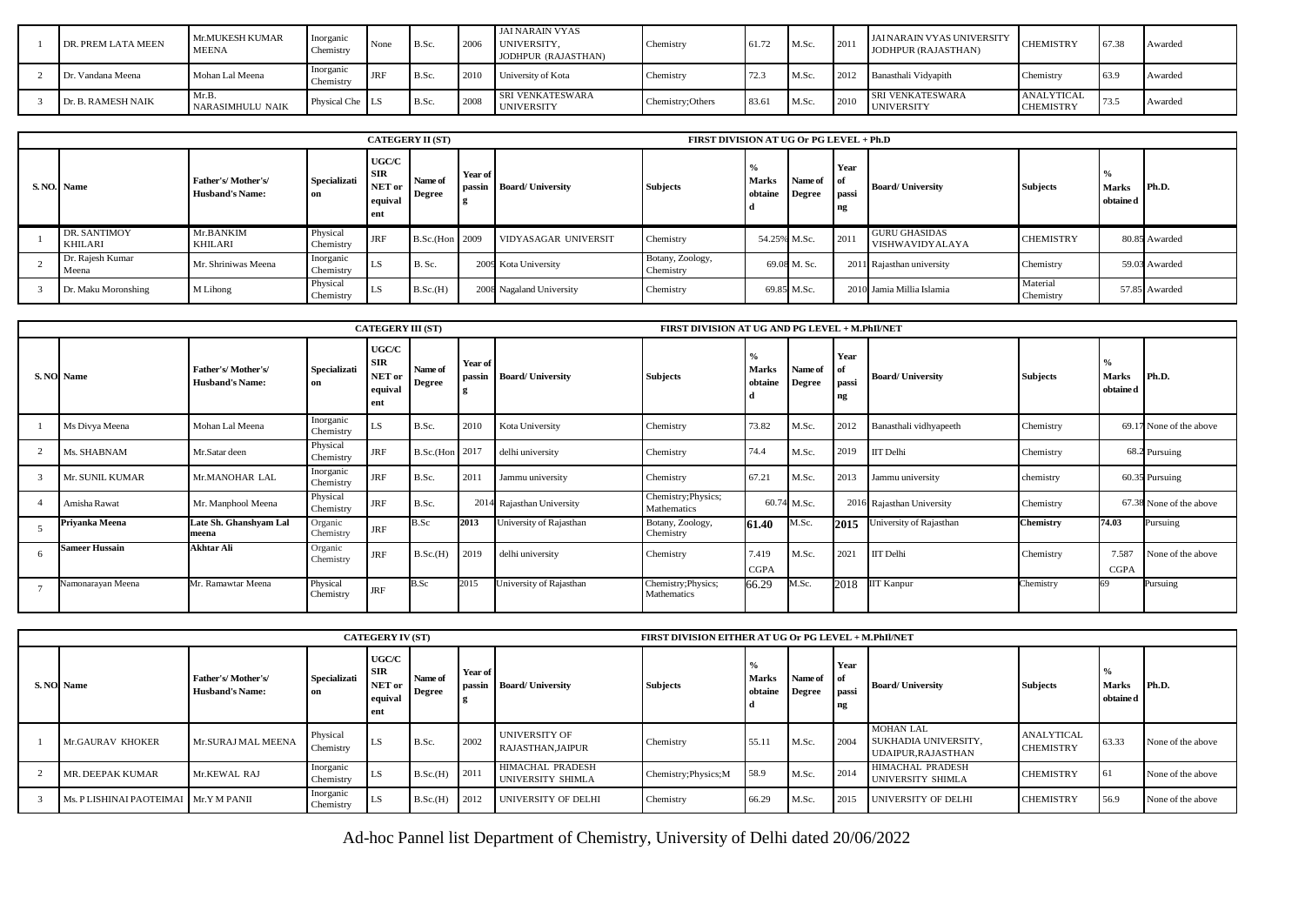| DR. PREM LATA MEEN | Mr.MUKESH KUMAR<br><b>MEENA</b>  | Inorganic<br>Chemistry | None       | B.Sc. | 200  | JAI NARAIN VYAS<br><b>UNIVERSITY.</b><br>JODHPUR (RAJASTHAN) | Chemistry         | 61.72 | M.Sc. | 1201. | JAI NARAIN VYAS UNIVERSITY<br><b>JODHPUR (RAJASTHAN)</b> | <b>CHEMISTRY</b>               | 67.38   | Awarded |
|--------------------|----------------------------------|------------------------|------------|-------|------|--------------------------------------------------------------|-------------------|-------|-------|-------|----------------------------------------------------------|--------------------------------|---------|---------|
| Dr. Vandana Meena  | Mohan Lal Meena                  | Inorganic<br>Chemistry | <b>JRF</b> | B.Sc. | 2010 | University of Kota                                           | Chemistry         | 72.3  | M.Sc. | 2012  | Banasthali Vidyapith                                     | Chemistry                      | $-63.5$ | Awarded |
| Dr. B. RAMESH NAIK | Mr.B.<br><b>NARASIMHULU NAIK</b> | Physical Che LS        |            | B.Sc. | 2008 | SRI VENKATESWARA<br><b>UNIVERSITY</b>                        | Chemistry: Others | 83.6  | M.Sc. | 2010  | SRI VENKATESWARA<br><b>UNIVERSITY</b>                    | ANALYTICAL<br><b>CHEMISTRY</b> |         | Awarded |

|                                       |                                              |                        | <b>CATEGERY II (ST)</b>                         |                          |                   |                             | FIRST DIVISION AT UG Or PG LEVEL + Ph.D |                                |             |                     |                                         |                       |                    |               |
|---------------------------------------|----------------------------------------------|------------------------|-------------------------------------------------|--------------------------|-------------------|-----------------------------|-----------------------------------------|--------------------------------|-------------|---------------------|-----------------------------------------|-----------------------|--------------------|---------------|
| S. NO. Name                           | Father's/Mother's/<br><b>Husband's Name:</b> | Specializati<br>on     | UGC/C<br><b>SIR</b><br>NET or<br>equival<br>ent | Name of<br><b>Degree</b> | Year of<br>passin | <b>Board/University</b>     | <b>Subjects</b>                         | <b>Marks</b><br>obtaine Degree | Name of     | Year<br>passi<br>ng | <b>Board/University</b>                 | <b>Subjects</b>       | Marks<br>obtaine d | Ph.D.         |
| <b>DR. SANTIMOY</b><br><b>KHILARI</b> | Mr.BANKIM<br>KHILARI                         | Physical<br>Chemistry  | <b>JRF</b>                                      | <b>B.Sc.</b> (Hon 2009   |                   | <b>VIDYASAGAR UNIVERSIT</b> | Chemistry                               | 54.25% M.Sc.                   |             | 2011                | <b>GURU GHASIDAS</b><br>VISHWAVIDYALAYA | <b>CHEMISTRY</b>      |                    | 80.85 Awarded |
| Dr. Rajesh Kumar<br>Meena             | Mr. Shriniwas Meena                          | Inorganic<br>Chemistry | LS                                              | <b>B.</b> Sc.            |                   | 2009 Kota University        | Botany, Zoology,<br>Chemistry           |                                | 69.08 M.Sc. |                     | 2011 Rajasthan university               | Chemistry             |                    | 59.03 Awarded |
| Dr. Maku Moronshing                   | M Lihong                                     | Physical<br>Chemistry  | <b>LS</b>                                       | B.Sc.(H)                 |                   | 2008 Nagaland University    | Chemistry                               |                                | 69.85 M.Sc. |                     | 2010 Jamia Millia Islamia               | Material<br>Chemistry |                    | 57.85 Awarded |

|                       |                                              |                        | <b>CATEGERY III (ST)</b>                        |                          |         |                           | FIRST DIVISION AT UG AND PG LEVEL + M.PhII/NET |                         |                          |                               |                           |                 |                      |                         |
|-----------------------|----------------------------------------------|------------------------|-------------------------------------------------|--------------------------|---------|---------------------------|------------------------------------------------|-------------------------|--------------------------|-------------------------------|---------------------------|-----------------|----------------------|-------------------------|
| S. NO. Name           | Father's/Mother's/<br><b>Husband's Name:</b> | Specializati<br>on     | UGC/C<br><b>SIR</b><br>NET or<br>equival<br>ent | Name of<br><b>Degree</b> | Year of | passin Board/University   | <b>Subjects</b>                                | <b>Marks</b><br>obtaine | Name of<br><b>Degree</b> | Year<br>passi<br>$\mathbf{n}$ | <b>Board/University</b>   | <b>Subjects</b> | Marks<br>obtaine d   | Ph.D.                   |
| Ms Divya Meena        | Mohan Lal Meena                              | Inorganic<br>Chemistry | LS.                                             | B.Sc.                    | 2010    | Kota University           | Chemistry                                      | 73.82                   | M.Sc.                    | 2012                          | Banasthali vidhyapeeth    | Chemistry       |                      | 69.17 None of the above |
| Ms. SHABNAM           | Mr.Satar deen                                | Physical<br>Chemistry  | <b>JRF</b>                                      | B.Sc.(Hon 2017           |         | delhi university          | Chemistry                                      | 74.4                    | M.Sc.                    | 2019                          | <b>IIT</b> Delhi          | Chemistry       |                      | 68.2 Pursuing           |
| Mr. SUNIL KUMAR       | Mr.MANOHAR LAL                               | Inorganic<br>Chemistry | <b>JRF</b>                                      | B.Sc.                    | 2011    | Jammu university          | Chemistry                                      | 67.21                   | M.Sc.                    | 2013                          | Jammu university          | chemistry       |                      | 60.35 Pursuing          |
| Amisha Rawat          | Mr. Manphool Meena                           | Physical<br>Chemistry  | <b>JRF</b>                                      | B.Sc.                    |         | 2014 Rajasthan University | Chemistry; Physics;<br>Mathematics             |                         | 60.74 M.Sc.              |                               | 2016 Rajasthan University | Chemistry       |                      | 67.38 None of the above |
| Privanka Meena        | Late Sh. Ghanshyam Lal<br>meena              | Organic<br>Chemistry   | <b>JRF</b>                                      | B.Sc                     | 2013    | University of Rajasthan   | Botany, Zoology,<br>Chemistry                  | 61.40                   | M.Sc.                    | 2015                          | University of Rajasthan   | Chemistry       | 74.03                | Pursuing                |
| <b>Sameer Hussain</b> | Akhtar Ali                                   | Organic<br>Chemistry   | <b>JRF</b>                                      | B.Sc.(H)                 | 2019    | delhi university          | Chemistry                                      | 7.419<br><b>CGPA</b>    | M.Sc.                    | 2021                          | <b>IIT</b> Delhi          | Chemistry       | 7.587<br><b>CGPA</b> | None of the above       |
| Namonarayan Meena     | Mr. Ramawtar Meena                           | Physical<br>Chemistry  | <b>JRF</b>                                      | B.Sc                     | 2015    | University of Rajasthan   | Chemistry; Physics;<br>Mathematics             | 66.29                   | M.Sc.                    | 2018                          | <b>IIT Kanpur</b>         | Chemistry       | 69                   | Pursuing                |

|             |                                       |                                              |                        | <b>CATEGERY IV (ST)</b>                           |                          |                     |                                                 | FIRST DIVISION EITHER AT UG Or PG LEVEL + M.PhII/NET |                         |                          |                               |                                                                      |                                       |                    |                   |
|-------------|---------------------------------------|----------------------------------------------|------------------------|---------------------------------------------------|--------------------------|---------------------|-------------------------------------------------|------------------------------------------------------|-------------------------|--------------------------|-------------------------------|----------------------------------------------------------------------|---------------------------------------|--------------------|-------------------|
| S. NO. Name |                                       | Father's/Mother's/<br><b>Husband's Name:</b> | Specializati<br>on     | UGC/C<br><b>SIR</b><br>NET or<br>equival<br>l ent | Name of<br><b>Degree</b> | Year of<br>l passin | <b>Board/University</b>                         | <b>Subjects</b>                                      | <b>Marks</b><br>obtaine | Name of<br><b>Degree</b> | Year<br>-l of<br>passi<br>Ing | <b>Board/University</b>                                              | <b>Subjects</b>                       | Marks<br>obtaine d | $\mathbf{Ph.D.}$  |
|             | Mr.GAURAV KHOKER                      | Mr.SURAJ MAL MEENA                           | Physical<br>Chemistry  | $LS$                                              | B.Sc.                    | 2002                | <b>UNIVERSITY OF</b><br><b>RAJASTHAN.JAIPUR</b> | Chemistry                                            | 55.11                   | M.Sc.                    | 12004                         | <b>MOHAN LAL</b><br>SUKHADIA UNIVERSITY.<br><b>UDAIPUR.RAJASTHAN</b> | <b>ANALYTICAL</b><br><b>CHEMISTRY</b> | 63.33              | None of the above |
|             | MR. DEEPAK KUMAR                      | <b>Mr.KEWAL RAJ</b>                          | Inorganic<br>Chemistry | <b>LS</b>                                         | B.Sc.(H) 2011            |                     | <b>HIMACHAL PRADESH</b><br>UNIVERSITY SHIMLA    | Chemistry; Physics; M                                | 58.9                    | M.Sc.                    | 2014                          | <b>HIMACHAL PRADESH</b><br>UNIVERSITY SHIMLA                         | <b>CHEMISTRY</b>                      | - 61               | None of the above |
|             | Ms. P LISHINAI PAOTEIMAI Nr.Y M PANII |                                              | Inorganic<br>Chemistry | L <sub>S</sub>                                    | B.Sc.(H)                 | 2012                | UNIVERSITY OF DELHI                             | Chemistry                                            | 66.29                   | M.Sc.                    | 2015                          | UNIVERSITY OF DELHI                                                  | <b>CHEMISTRY</b>                      | 56.9               | None of the above |